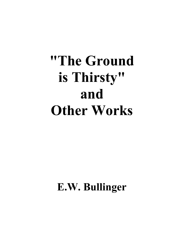# **"The Ground is Thirsty" and Other Works**

**E.W. Bullinger**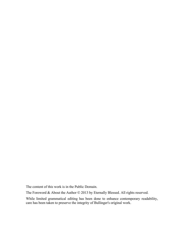The content of this work is in the Public Domain.

The Foreword & About the Author © 2013 by Eternally Blessed. All rights reserved.

While limited grammatical editing has been done to enhance contemporary readability, care has been taken to preserve the integrity of Bullinger's original work.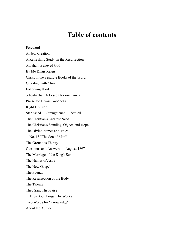# **Table of contents**

Foreword A New Creation A Refreshing Study on the Resurrection Abraham Believed God By Me Kings Reign Christ in the Separate Books of the Word Crucified with Christ Following Hard Jehoshaphat: A Lesson for our Times Praise for Divine Goodness Right Division Stablished — Strengthened — Settled The Christian's Greatest Need The Christian's Standing, Object, and Hope The Divine Names and Titles: No. 13 "The Son of Man" The Ground is Thirsty Questions and Answers — August, 1897 The Marriage of the King's Son The Names of Jesus The New Gospel The Pounds The Resurrection of the Body The Talents They Sang His Praise They Soon Forgat His Works Two Words for "Knowledge" About the Author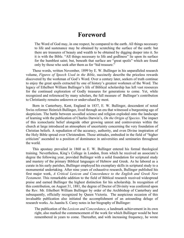## **Foreword**

The Word of God may, in one respect, be compared to the earth. All things necessary to life and sustenance may be obtained by scratching the surface of the earth: but there are treasures of beauty and wealth to be obtained by digging deeper into it. So it is with the Bible. "All things necessary to life and godliness" lie upon its surface for the humblest saint; but, beneath that surface are "great spoils" which are found only by those who seek after them as for "hid treasure."

These words, written November, 1899 by E. W. Bullinger in his unparalleled research volume, *Figures of Speech Used in the Bible*, succinctly describe the priceless rewards discovered by the workman of God's Word. Over a century later, seekers of truth continue to enjoy the great spoils extracted by one of history's greatest workmen of the Word. The legacy of Ethelbert William Bullinger's life of Biblical scholarship has left vast resources for the continued exploration of Godly treasures for generations to come. Yet, while recognized and referenced by many scholars, the full measure of Bullinger's contribution to Christianity remains unknown or undervalued by most.

Born in Canterbury, Kent, England in 1837, E. W. Bullinger, descendent of noted Swiss reformer Heinrich Bullinger, lived through an era that witnessed a burgeoning age of skepticism. The battle between so**-**called science and religion exploded onto the landscape of learning with the publication of Charles Darwin's, *On the Origin of Species*. The impact of this iconoclastic belief alongside other growing unrest and controversies within the church at large introduced an atmosphere of uncertainty concerning the very foundation of Christian beliefs. A repudiation of the accuracy, authority, and even Divine inspiration of the Holy Bible spread over Christendom. Those attitudes, embodied in the field of "higher criticism" ascended to a position of dominance in universities and seminaries throughout the world.

This apostasy prevailed in 1860 as E. W. Bullinger entered his formal theological training. Nevertheless, King's College in London, from which he received an associate's degree the following year, provided Bullinger with a solid foundation for scriptural study and mastery of the primary Biblical languages of Hebrew and Greek. As he labored as a curate in his early parishes, Bullinger employed his exemplary skills in scriptural study to a monumental undertaking. After nine years of exhaustive research, Bullinger published his first major work, *A Critical Lexicon and Concordance to the English and Greek New Testament*. This remarkable addition to the field of Biblical research received widespread praise and earned Bullinger the highest distinction for his scholarship. In recognition of this contribution, on August 31, 1881, the degree of Doctor of Divinity was conferred upon the Rev. Mr. Ethelbert William Bullinger by order of the Archbishop of Canterbury and subsequently, officially recognized by Queen Victoria. The auspicious occasion of this invaluable publication also initiated the accomplishment of an astounding deluge of research works. As Juanita S. Carey notes in her biography of Bullinger:

The publication of the *Lexicon and Concordance*, a landmark achievement in its own right, also marked the commencement of the work for which Bullinger would be best remembered in years to come. Thereafter, and with increasing frequency, he wrote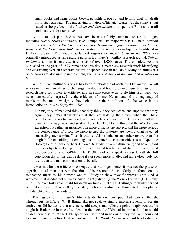small books and large books–books, pamphlets, poetry, and hymns–until his death thirty**-**six years later. The underlying principle of his later works was the same as that stated in the preface of the *Lexicon and Concordance*: to open the Bible so that all could study it for themselves.

A total of 171 published works have been verifiably attributed to Dr. Bullinger, including twenty books and twenty-seven pamphlets. His major works: *A Critical Lexicon and Concordance to the English and Greek New Testament; Figures of Speech Used in the Bible;* and *The Companion Bible* are exhaustive reference works indispensably utilized in Biblical research. The widely acclaimed *Figures of Speech Used in the Bible* was originally introduced as ten separate parts in Bullinger's monthly research journal, *Things to Come;* and in its entirety, it consists of over 1,000 pages. The complete volume published in the year of 1899 remains to this day a matchless research work identifying and classifying over 200 separate figures of speech used in the Bible. Many of Bullinger's other books are also unique in their field, such as *The Witness of the Stars* and *Numbers in Scripture.*

While E. W. Bullinger's work has been celebrated and acclaimed by many; like all whose enlightenment dares to challenge the dogma of tradition, the unique findings of his research have led others to criticize, and in some cases even revile him. Bullinger was never particularly surprised by the criticism of some. He understood the stagnancy of men's minds, and how tightly they held on to their traditions. As he wrote in his introduction to *How to Enjoy the Bible*:

The majority of mankind think that they think; they acquiesce, and suppose that they argue; they flatter themselves that they are holding their own, when they have actually grown up to manhood, with scarcely a conviction that they can call their own. So it always was, and so it will ever be. The Divine things of the Word are no exception but rather an instance. The more difficult the subject, and the more serious the consequence of error, the more averse the majority are toward what is called "unsettling men's minds"; as if truth could be held on any other tenure than the knight's fee of holding its own against all comers.... But our object is to "Open the Book"; to let it speak; to hear its voice; to study it from within itself; and have regard to other objects and subjects, only from what it teaches about them.... Like Ezra of old, our desire is to "OPEN THE BOOK" and let it speak for itself, with the full conviction that if this can be done it can speak more loudly, and more effectively for itself, that any man can speak on its behalf.

It was not for the critic or the skeptic that Bullinger wrote; it was not the praise or approbation of men that was the aim of his research. As the Scripture found on his tombstone attests to, his purpose was to: "Study to show thyself approved unto God, a workman that needed not to be ashamed, rightly dividing the Word of truth." (II Timothy 2:15). For over forty years, until his death on June 6, 1913, Dr. Bullinger faithfully carried out that command. Nearly 100 years later, his books continue to illuminate the Scriptures, and delight and aid the readers.

The legacy of Bullinger's life extends beyond his published works, though. Throughout his life, E. W. Bullinger did not seek to simply inform students of certain truths; nor did he desire that anyone would accept and believe a point simply because he taught it. Rather, he instructed students in the method of Biblical interpretation that would enable them also to let the Bible speak for itself; and in so doing, they too were equipped to stand approved before God as workmen of His Word. As one who builds a bridge for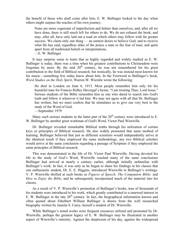the benefit of those who shall come after him, E. W. Bullinger looked to the day when others might surpass the reaches of his own journey.

None are more cognizant of imperfection and failure than ourselves; and, after all we have done, there is still much left for others to do. We do not exhaust the book; and may, after all, have only laid out a road on which others may follow with far greater success. We claim only one thing — an earnest desire to believe God; and to receive what He has said, regardless alike of the praise a man or the fear of man; and quite apart from all traditional beliefs or interpretations.

—E. W. Bullinger

It may surprise some to learn that as highly regarded and widely studied as E. W. Bullinger is today, there was a time when his greatest contributions to Christendom were forgotten by most. By the mid  $20<sup>th</sup>$  century, he was not remembered for his great contribution to the field of Biblical research, but ironically, he was instead most known for his music—something few today know about him. In the Foreword to Bullinger's book, *Word Studies on the Holy Spirit*, Warren W. Wiersbe wrote the following:

He died in London on June 6, 1913. Most people remember him only for his beautiful tune for Frances Ridley Havergal's hymn, "I am trusting Thee, Lord Jesus." Serious students of the Bible remember him as one who dared to search into God's truth and follow it wherever it led him. We may not agree with all that Dr. Bullinger has written, but we must confess that he stimulates us to give our very best to the study of the Word of God.

—September 1979

Many such serious students in the latter part of the  $20<sup>th</sup>$  century were introduced to E. W. Bullinger by another great workman of God's Word, Victor Paul Wierwille.

Dr. Bullinger revealed remarkable Biblical truths through his utilization of certain keys or principles of Biblical research. He also widely promoted that same method of learning. Bullinger believed that just as different scientists would independently arrive at the identical result if they employed the same methodology, any two Biblical scholars would arrive at the same conclusion regarding a passage of Scripture if they employed the same principles of Biblical research.

This was demonstrated in the life of Dr. Victor Paul Wierwille. Having devoted his life to the study of God's Word, Wierwille reached many of the same conclusions Bullinger had arrived at nearly a century earlier, although initially unfamiliar with Bullinger's work. In fact, it was only as he began to share his findings in his classes that one enthusiastic student, Dr. E. E. Higgins, introduced Wierwille to Bullinger's writings. V. P. Wierwille thrilled at such books as *Figures of Speech; The Companion Bible;* and *How to Enjoy the Bible*, and he subsequently incorporated much of the material into his classes.

As a result of V. P. Wierwille's promotion of Bullinger's books, tens of thousands of his students were introduced to his work, which greatly contributed to a renewed interest in E. W. Bullinger in the late  $20<sup>th</sup>$  century. In fact, the biographical information known and often quoted about Ethelbert William Bullinger is drawn from the well researched biography written by Juanita S. Carey, herself a student of Dr. Wierwille.

While Bullinger's noted works were frequent resources utilized and promoted by Dr. Wierwille, perhaps the greatest legacy of E. W. Bullinger may be illustrated in another aspect of Wierwille's ministry. Against the skepticism of his day, against the widespread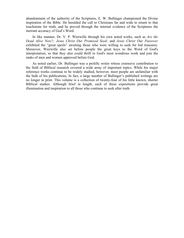abandonment of the authority of the Scriptures, E. W. Bullinger championed the Divine inspiration of the Bible. He heralded the call to Christians far and wide to return to that touchstone for truth, and he proved through the internal evidence of the Scriptures the inerrant accuracy of God's Word.

In like manner, Dr. V. P. Wierwille through his own noted works, such as *Are the Dead Alive Now?; Jesus Christ Our Promised Seed;* and *Jesus Christ Our Passover* exhibited the "great spoils" awaiting those who were willing to seek for hid treasures. Moreover, Wierwille also set before people the great keys to the Word of God's interpretation, so that they also could thrill to God's most wondrous work and join the ranks of men and women approved before God.

As noted earlier, Dr. Bullinger was a prolific writer whose extensive contribution to the field of Biblical research covered a wide array of important topics. While his major reference works continue to be widely studied, however, most people are unfamiliar with the bulk of his publications. In fact, a large number of Bullinger's published writings are no longer in print. This volume is a collection of twenty-four of his little known, shorter Biblical studies. Although brief in length, each of these expositions provide great illumination and inspiration to all those who continue to seek after truth.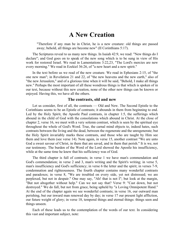# **A New Creation**

"Therefore if any man be in Christ, he is a new creature: old things are passed away; behold, all things are become new" (II Corinthians 5:17).

The Scriptures reveal to us many new things. In Isaiah 42:9, we read: "New things do I declare"; and God goes on to speak of the new song which is to be sung in view of His work for restored Israel. We read in Lamentations 3:22,23, "The Lord's mercies are new every morning." We read in Ezekiel 36:26, of "a new heart and a new spirit."

In the text before us we read of the new creature. We read in Ephesians 2:15, of "the one new man"; in Revelation 21 and 22, of "the new heavens and the new earth," also of "the new Jerusalem," and of a glorious time when it will be said, "Behold, I make all things new." Perhaps the most important of all these wondrous things is that which is spoken of in our text, because without this new creation, none of the other new things can be known or enjoyed. Having this, we have all the others.

#### **The contrasts, old and new**

Let us consider, first of all, the contrasts — Old and New. The Second Epistle to the Corinthians seems to be an Epistle of contrasts; it abounds in them from beginning to end. Led by the Holy Spirit, the Apostle Paul contrasts, in chapter 1:5, the sufferings which abound in the child of God with the consolations which abound in Christ. At the close of chapter 2, verse 16, we meet with a very solemn contrast, which is seen by the spiritual eye throughout the whole of God's Word. True, the carnal mind objects to, indeed hates, such contrasts between the living and the dead, between the regenerate and the unregenerate; but the Holy Spirit invariably marks these contrasts, and those who are taught by Him see them and love them (see verse 14). Note again, in verse 15, another contrast "We are unto God a sweet savour of Christ, in them that are saved, and in them that perish." It is we, not our testimony. The burden of the Word of the Lord showed the Apostle his insufficiency, while at the same time he knew that his sufficiency was of God.

The third chapter is full of contrasts; in verse 1 we have man's commendation and God's commendation; in verse 2 and 3, man's writing and the Spirit's writing; in verse 5, man's insufficiency and God's sufficiency; in verse 6 the letter and the spirit; in verses 7-9, condemnation and righteousness. The fourth chapter contains many wonderful contrasts and paradoxes; in verse 8, "We are troubled on every side, yet not distressed; we are perplexed, but not in despair." One may say, "Ah! that is not I"; but look at the margin, "But not altogether without help." Can we not say that? Verse 9: "Cast down, but not destroyed." We do fall, but not from grace, being upheld by "a Loving Omnipotent Hand." At the end of the chapter again we see wonderful contrasts; in verse 16, our outward man perishing, but our inward man renewed day by day; in verse 17 our present light affliction, our future weight of glory; in verse 18, temporal things and eternal things: things seen and things unseen.

Each of these leads us to the contemplation of the words of our text. In considering this vast and important subject, note: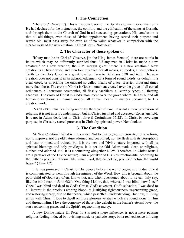## **1. The Connection**

"Therefore" (Verse 17). This is the conclusion of the Spirit's argument, or of the truths He had declared for the instruction, the comfort, and the edification of the saints at Corinth, and through them to the Church of God in all succeeding generations. His conclusion is that all old things, even those of Divine appointment, having served their purpose and waxen old, must pass away for ever, as of no value whatever in comparison with the eternal work of the new creation in Christ Jesus. Note next:

## **2. The Character of those spoken of**

"If any man be in Christ." Observe, [in the King James Version] there are words in italics which may be differently supplied thus: "If any man in Christ be made a new creature," or a new creation; the R.V. margin gives: "there is a new creation." Now creation is a Divine work, and therefore this excludes all means, all modes, all distinctions. Truth by the Holy Ghost is a great leveller. Turn to Galatians 3:28 and 6:15. The new creation does not consist in an acknowledgement of a form of sound words, or delight in a clear creed, or in prizing the outward so-called means of grace. It is ten thousand times more than these. The cross of Christ is God's monument erected over the grave of all carnal ordinances, all sensuous ceremonies, all fleshly sacrifices, all earthly types, all fleeting shadows. The cross of Christ is God's monument over the grave where He has buried all human distinctions, all human modes, all human means in matters pertaining to His creation work.

IN CHRIST. This is a living union by the Spirit of God. It is not a mere profession of religion; it is not in self-condemnation but in Christ, justified and accepted (Ephesians 1:6). It is not in Adam dead, but in Christ alive (I Corinthians 15:22). In Christ by sovereign purpose; in Christ by sacred purchase; in Christ by spiritual power. Next look at:

## **3. The Condition**

"A New Creation." What is it to create? Not to change, not to renovate, not to reform, not to improve, not the old nature adorned and beautified, not the flesh with its corruptions and lusts trimmed and trained; but it is the new and Divine nature imparted, with all its spiritual blessings and holy privileges. It is not the Old Adam made clean or religious, clothed and adorned. No! It is a something altogether NEW. Therefore, in Christ Jesus I am a partaker of the Divine nature; I am a partaker of His Resurrection-life, according to the Father's promise: "Eternal life, which God, that cannot lie, promised before the world began" (Titus 1:2).

Life was promised in Christ for His people before the world began; and in due time it is communicated to them through the ministry of the Word. How this is brought about, the poor child of God very often, knows not, and when questioned about it, he can only say, like the blind man in John 9:25: "One thing I know, that, whereas I was blind, now I see." Once I was blind and dead to God's Christ, God's covenant, God's salvation; I was dead to all interest in the precious atoning blood, to justifying righteousness, regenerating grace, and restoring mercy, also to that peace, which passeth all understanding. But now, in living union with Christ, I love to dwell on those glorious verities which are found alone in Him and through Him. I love the company of those who delight in the Father's eternal love, the son's redeeming grace, and the Spirit's regenerating mercy.

A new Divine nature (II Peter 1:4) is not a mere influence, is not a mere passing religious feeling induced by ravishing music or pathetic story, but a real existence in living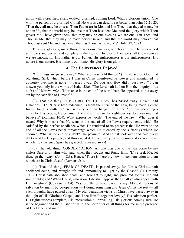union with a crucified, risen, exalted, glorified, coming Lord. What a glorious union! One with the person of a glorified Christ! No words can describe it better than John 17:21-23: "That they all may be one; as Thou Father art in Me, and I in Thee; that they also may be one in Us, that the world may believe that Thou hast sent Me. And the glory which Thou gavest Me I have given them; that they may be one even as We are one. I in Thee, and Thou in Me, that they may be made perfect in one; and that the world may believe that Thou hast sent Me, and hast loved them as Thou hast loved Me" (John 17:22,23).

This is a glorious, marvellous, mysterious Oneness, which can never be understood until we stand perfect and complete in the light of His glory. Then we shall know even as we are known, for His Father is our Father; His righteousness is our righteousness; His nature is our nature; His home is our home; His glory is our glory.

## **4. The Deliverances Enjoyed**

"Old things are passed away." What are these "old things?" (1). Blessed be God, that old thing, SIN, which before I was in Christ manifested its power and maintained its authority over me, is gone — passed away. Do you ask, How did it pass away? I can answer you only in the words of Isaiah 53:6, "The Lord hath laid on Him the iniquity of us all"; and Hebrews 9:26, "Now once in the end of the world hath He appeared, to put away sin by the sacrifice of Himself."

(2). That old thing, THE CURSE OF THE LAW, has passed away. How? Read Galatians 3:13: "Christ hath redeemed us from the curse of the Law, being made a curse for us. for it is written 'Cursed is every one that hangeth on a tree.'" In thus becoming a curse for His people, He became "The end of the law for righteousness to every one that believeth" (Romans 10:4). What expressive words! "The end of the law!" What does it mean? Why it means that He went to the end of all the Law's requirements, which He satisfied by the perfect obedience which He rendered to its precepts; that He went to the end of all the Law's penal threatenings which He silenced by the sufferings which He endured. What is the end of a debt? The payment! And Christ took over and paid every debt owed by His people, and thus ended it. Hence every transgression and even sin over which my chastened Spirit has grieved, is passed away!

(3). That old thing, CONDEMNATION. All that was due to me was borne by my sinless Surety, by Him who said, when they sought and found Him: "If ye seek Me, let these go their way" (John 18:8). Hence: "There is therefore now no condemnation to them which are in Christ Jesus" (Romans 8:1).

(4). That old thing, FEAR OF DEATH, is passed away, for "Jesus Christ... hath abolished death, and brought life and immortality to light by the Gospel" (II Timothy 1:10). Christ hath abolished death, and brought to light, and procured for us, life and immortality; and "When Christ, who is our Life shall appear, then shall ye also appear with Him in glory" (Colossians 3:4). Yes, old things have passed away. My old notions of salvation by merit; by co-operation  $-1$  doing something and Jesus Christ the rest  $-$  all such thoughts have passed away! My old, degrading views of Christ have passed away in the light of His Glorious Gospel, and I see Him "altogether lovely," His salvation perfect, His righteousness complete, His intercession all-prevailing, His glorious coming sure. He is the beginner and the finisher of faith, the performer of all things for me in the presence of His Father and mine.

Look now at: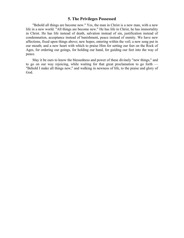## **5. The Privileges Possessed**

"Behold all things are become new." Yes, the man in Christ is a new man, with a new life in a new world. "All things are become new." He has life in Christ, he has immortality in Christ. He has life instead of death, salvation instead of sin, justification instead of condemnation, acceptance instead of banishment, peace instead of enmity. We have new affections, fixed upon things above; new hopes, entering within the veil; a new song put in our mouth; and a new heart with which to praise Him for setting our feet on the Rock of Ages, for ordering our goings, for holding our hand, for guiding our feet into the way of peace.

May it be ours to know the blessedness and power of these divinely "new things," and to go on our way rejoicing, while waiting for that great proclamation to go forth — "Behold I make all things new," and walking in newness of life, to the praise and glory of God.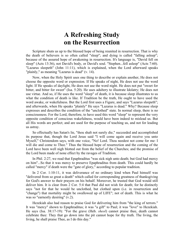# **A Refreshing Study on the Resurrection**

Scripture shuts us up to the blessed hope of being reunited in resurrection. That is why the death of believers is so often called "sleep"; and dying is called "falling asleep"; because of the assured hope of awakening in resurrection. It's language is, "David fell on sleep" (Acts 13:36), not David's body, or David's soul. "Stephen...fell asleep" (Acts 7:60). "Lazarus sleepeth" (John 11:11), which is explained, when the Lord afterward speaks "plainly," as meaning "Lazarus is dead" (v. 14).

Now, when the Holy Spirit uses one thing to describe or explain another, He does not choose the opposite word or expression. If He speaks of night, He does not use the word light. If He speaks of daylight, He does not use the word night. He does not put "sweet for bitter, and bitter for sweet" (Isa. 5:20). He uses adultery to illustrate Idolatry; He does not use virtue. And so, if He uses the word "sleep" of death, it is because sleep illustrates to us what the condition of death is like. If Tradition be the truth, He ought to have used the word awake, or wakefulness. But the Lord first uses a Figure, and says "Lazarus sleepeth"; and afterwards, when He speaks "plainly" He says "Lazarus is dead." Why? Because sleep expresses and describes the condition of the "unclothed" state. In normal sleep, there is no consciousness. For the Lord, therefore, to have used this word "sleep" to represent the very opposite condition of conscious wakefulness, would have been indeed to mislead us. But all His words are perfect; and are used for the purpose of teaching us, and not for leading us astray.

So effectually has Satan's lie, "thou shalt not surely die," succeeded and accomplished its purpose that, though the Lord Jesus said "I will come again and receive you unto Myself," Christendom says, with one voice, "No! Lord. Thou needest not come for me: I will die and come to Thee." Thus the blessed hope of resurrection and the coming of the Lord have been well nigh blotted out from the belief of the Churches; and the promise of the Lord been made of none effect by the ravages of Tradition.

In Phil. 2:27, we read that Epaphraditus "was sick nigh unto death; but God had mercy on him"...So that it was mercy to preserve Epaphraditus from death. This could hardly be called "mercy" if death were the "gate of glory," according to popular tradition.

In 2 Cor. 1:10-11, it was deliverance of no ordinary kind when Paul himself was "delivered from so great a death" which called for corresponding greatness of thanksgiving for God's answer to their prayers on his behalf. Moreover, he trusted that God would still deliver him. It is clear from 2 Cor. 5:4 that Paul did not wish for death; for he distinctly says "not for that he would be unclothed, but clothed upon (i.e. in resurrection and "change") that mortality might be swallowed up of LIFE"; not of death. This is what he was so "earnestly desiring" (v.2).

Hezekiah also had reason to praise God for delivering him from "the king of terrors." It was "mercy" shown to Epaphraditus; it was "a gift" to Paul; it was "love" to Hezekiah. He says (Isa. 38:17-19): "For the grave (Heb. *sheol*) cannot praise thee, death cannot celebrate thee: They that go down into the pit cannot hope for thy truth. The living, the living, he shall praise Thee, as I do this day."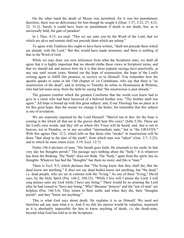On the other hand the death of Moses was permitted, for it was his punishment; therefore, there was no deliverance for him though he sought it (Deut. 1:37; 3:23, 27; 4:21, 22; 31:2). Surely it could have been no punishment if death is not death; but, as is universally held, the gate of paradise!

In 1 Thes. 4:15, we read: "This we say unto you by the Word of the Lord, that we which are alive and remain shall not precede them which are asleep."

To agree with Tradition this ought to have been written, "shall not precede them which are already with the Lord." But this would have made nonsense; and there is nothing of that in the Word of God.

While we may draw our own inferences from what the Scriptures state, we shall all agree that it is highly important that we should clothe these views in Scriptural terms, and that we should ask and answer how far it is that these popular sayings have practically, at any rate until recent years, blotted out the hope of resurrection, the hope of the Lord's coming again to fulfill His promise, to receive us to Himself. You remember how the apostle speaks to some in the 15th chapter of 1st Corinthians, who say that there is "no resurrection of the dead"; and in writing to Timothy he refers to Hymenaeus & Philetus, who had led some away from the faith by saying that "the resurrection is past already."

The greatest comfort which the greatest Comforter that the world ever knew had to give to a sister who had been bereaved of a beloved brother was, "Thy brother shall rise again." All hope is bound up with this great subject: and, if our Theology has no place in it for this great hope, then the sooner we change it the better; for remember that this subject is one of revelation.

We are expressly enjoined by the Lord Himself: "Marvel not at this: for the hour is coming in the which all that are in the graves shall hear His voice" (John 5:28). These are the Lord's own words, and they tell us where His Voice will be heard; and, that is not in heaven, not in Paradise, or in any so-called "intermediate state," but in "the GRAVES." With this agrees Dan. 12:2, which tells us that those who "awake" in resurrection will be those "that sleep in the dust of the earth"; from which man was "taken" (Gen. 2:7; 3:23), and to which he must return (Gen. 3:19; Eccl. 12:7).

Psalm 146:4 declares of man, "His breath goes forth, He returneth to his earth; In that very day his thoughts perish." The passage says nothing about the "body." It is whatever has done the thinking. The "body" does not think. The "body," apart from the spirit, has no thoughts. Whatever has had the "thoughts" has them no more; and this is "man."

There is Eccl. 9:5, which declares that "The living know that they shall die; But the dead know not anything." It does not say dead bodies know not anything, but "the dead," i.e. dead people, who are set in contrast with the "living." As one of these "living," David says, by the Holy Spirit (Psa. 146:2; 104:33): "While I live will I praise the Lord: I will sing praises unto my God while I have any being." There would be no praising the Lord after he had ceased to "have any being." Why? Because "princes" and the "son of man" are helpless (Psa. 146:3,4). They return to their earth; and when they die, their "thoughts perish": and they "know not anything."

This is what God says about death. He explains it to us Himself. We need not therefore ask any man what it is. And if we did, his answer would be valueless, inasmuch as it is absolutely impossible for him to know anything of death, i.e. the death-state, beyond what God has told us in the Scriptures.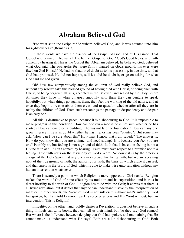# **Abraham Believed God**

"For what saith the Scripture? 'Abraham believed God, and it was counted unto him for righteousness'" (Romans 4:3).

In these words we have the essence of the Gospel of God, and of His Grace. That Gospel is explained in Romans 1:1 to be the "Gospel of God." God's Good News; and faith cometh by hearing it. This is the Gospel that Abraham believed; he believed God; believed what God said. The patriarch's feet were firmly planted on God's ground; his eyes were fixed on God Himself. He had no shadow of doubt as to his possessing, in due time, all that God had promised. He did not hope it, still less did he doubt it, or go on asking for what God said He had given.

Oh! how few comparatively among the children of God really believe God, and without any reserve take this blessed ground of having died with Christ, of being risen with Christ, of being forgiven all sins, accepted in the Beloved, and sealed by the Holy Spirit! At times they hope it; when all goes smoothly with them they can venture to speak hopefully, but when things go against them, they feel the working of the old nature, and at once they begin to reason about themselves, and to question whether after all they are in reality the children of God. From such reasonings the passage to despondency and despair is an easy one.

All this is destructive to peace, because it is dishonouring to God. It is impossible to make progress in this condition. How can one run a race if he is not sure whether he has started? How can one erect a building if he has not laid the foundation? How can any one grow in grace if he is in doubt whether he has life, or has been "planted"? But some may ask, "How can I be sure about this? How may I know that I am saved?" The answer is, How do you know that you are a sinner and need saving? Is it because you feel you are one? Possibly so, but feeling is not a ground of faith; faith that is based on feeling is not a Divine faith at all. "Faith cometh by hearing." Faith must have respect to a promise not to a feeling. True faith rests on the testimony of God's Word. No doubt it is by the gracious energy of the Holy Spirit that any one can exercise this living faith, but we are speaking now of the true ground of faith, the authority for faith, the basis on which alone it can rest, and that surely is the Word of God, which is able to make wise unto salvation without any human intervention whatsoever.

There is scarcely a point on which Religion is more opposed to Christianity. Religion makes the word of God of none effect by its tradition and its superstition, and is thus in direct hostility to the truth of God. Religion has to do with the flesh; it admits that there is a Divine revelation; but it denies that anyone can understand it save by the interpretation of man; or, in other words, the Word of God is not sufficient without man's authority. God has spoken, but I am told I cannot hear His voice or understand His Word without; human intervention. This is Religion!

Infidelity, on the other hand, boldly denies a Revelation; it does not believe in such a thing. Infidels can write books, they can tell us their mind, but (so they say) God cannot! But where is the difference between denying that God has spoken, and maintaining that He cannot make us understand what He says? Both are alike dishonouring to God. Both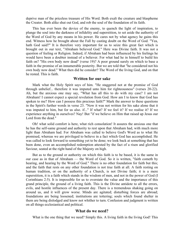deprive man of the priceless treasure of His Word. Both exalt the creature and blaspheme the Creator. Both alike shut out God, and rob the soul of the foundation of its faith.

This has ever been the device of the enemy, to quench the light of inspiration, to plunge the soul into the darkness of infidelity and superstition, to set aside the authority of the Word of God by any means in his power. He cares not by what agency he gains this end. Witness how he brought about the Fall by casting doubt on the Word of God. "Yea, hath God said?" It is therefore very important for us to seize this great fact which is brought out in our text, "Abraham believed God." Here was Divine faith. It was not a question of feeling or Religion. Indeed, if Abraham had been influenced by his feelings he would have been a doubter instead of a believer. For what had he in himself to build his faith on? "His own body now dead" (verse 19)? A poor ground surely on which to base a faith in the promise of an innumerable posterity. But we are told that "he considered not his own body now dead." What then did he consider? The Word of the living God, and on that he rested. This is faith.

## **Written for our sake**

Mark what the Holy Spirit says of him. "He staggered not at the promise of God through unbelief... therefore it was imputed unto him for righteousness" (verses 20-22). Ah, but the anxious one may say, "What has all this to do with my case? I am not Abraham! I cannot expect a special revelation from God. How am I to know that God has spoken to me? How can I possess this precious faith?" Mark the answer to these questions in the Spirit's further words in verse 23. "Now it was not written for his sake alone that it was imputed to him, but for us also. if..." If what? If we feel it? If we realise it? If we experience anything in ourselves? Nay! But "if we believe on Him that raised up Jesus our Lord from the dead."

Oh! what solid comfort is here, what rich consolation! It assures the anxious one that he has the self-same ground and authority to rest upon that Abraham had, with much more light than Abraham had. For Abraham was called to believe God's Word as to what He promised, whereas we are privileged to believe in a fact which God has accomplished. He was called to look forward to something yet to be done; we look back at something that has been done, even an accomplished redemption attested by the fact of a risen and glorified Saviour, seated at the right hand of the Majesty on high.

But as to the ground or authority on which this faith is to be based, it is the same in our case as in that of Abraham — the Word of God. So it is written, "faith cometh by hearing, and hearing by the Word of God." There is no other foundation for faith but this; and the faith that rests on any other foundation is not true faith at all. A faith resting on human tradition, or on the authority of a Church, is not Divine faith; it is a mere superstition, it is a faith which stands in the wisdom of men, and not in the power of God (I Corinthians 2:5). It is impossible for us to overstate the value and the importance of this grand principle, the ground of a living faith. This is the Divine antidote to all the errors, evils, and hostile influences of the present day. There is a tremendous shaking going on around us, and it will grow worse. Minds are agitated; disturbing forces are abroad; foundations are being loosened; institutions are tottering; souls which found shelter in them are being dislodged and know not whither to turn. Confusion and judgment is written on all things ecclesiastical and political.

#### **What do we need?**

What is the one thing that we need? Simply this. A living faith in the living God! This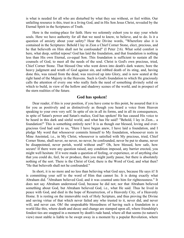is what is needed for all who are disturbed by what they see without, or feel within. Our unfailing resource is this, trust in a living God, and in His Son Jesus Christ, revealed by the Eternal Spirit in the Scriptures of Truth.

Here is the resting-place for faith. Here we solemnly exhort you to stay your whole souls. Here we have authority for all that we need to know, to believe, and to do. Is it a question of anxiety about your safety? Hear the Divine words, "Wherefore also it is contained in the Scriptures: Behold I lay in Zion a Chief Corner Stone, elect, precious, and he that believeth on Him shall not be confounded" (I Peter 2:6). What solid comfort is here, what deep, settled repose! God has laid the foundation, and that foundation is nothing less than His own Eternal, co-equal Son. This foundation is sufficient to sustain all the counsels of God, to meet all the needs of the soul. Christ is God's own precious, tried, Chief Corner Stone. That blessed One who went down into death's dark waters; bore the heavy judgment and wrath of God against sin, and robbed death of its sting, and, having done this, was raised from the dead, was received up into Glory, and is now seated at the right hand of the Majesty in the Heavens. Such is God's foundation to which He graciously calls the attention of every one who really feels the need of something divinely solid on which to build, in view of the hollow and shadowy scenes of the world, and in prospect of the stern realities of the future.

#### **God has spoken!**

Dear reader, if this is your position, if you have come to this point, be assured that it is for you as positively and as distinctively as though you heard a voice from Heaven speaking to your own very self. In spite of sin in all its forms, and in all its consequences, in spite of Satan's power and Satan's malice, God has spoken! He has caused His voice to be heard in this dark and sinful world, and what has He said? "Behold, I lay in Zion... a foundation!" This is something entirely new! It is as though our blessed, loving and evergracious God had said to us, "Here I have begun anew, I have laid a foundation, and I pledge My word that whosoever commits himself to My foundation, whosoever rests in Mine Anointed, i.e., in My Christ, whosoever is satisfied with My precious, tried, Chief Corner Stone, shall never, no never, no never, be confounded, never be put to shame, never be disappointed, never perish, world without end!" Oh, how blessed, how safe, how secure! If there were any question raised, any condition imposed, any barrier erected, you might well hesitate. If it were made a question of feeling, or experience, or of anything else that you could do, feel, be or produce, then you might justly pause, but there is absolutely nothing of the sort. There is the Christ of God, there is the Word of God, and what then? "He that believeth shall not he confounded."

In short, it is no more and no less than believing what God says, because He says it! It is committing your self to the word of Him that cannot lie. It is doing exactly what Abraham did. "Abraham believed God, and it was counted unto him for righteousness." It does not say Abraham understood God, because he did not; nor that Abraham believed something about God, but Abraham believed God, i.e., what He said. Thus he lived in peace with God, and died in the hope of Resurrection, of a Heavenly City, of a Heavenly Home. It is resting on the immovable rock of Holy Scripture, and thus proving the Divine and saving virtue of that which never failed any who trusted to it, never did, and never will, and never can. Oh! the unspeakable blessedness of having such a foundation in a world like this, where death and decay and change are stamped upon all, where friendship's fondest ties are snapped in a moment by death's rude hand, where all that seems (to nature's view) most stable is liable to be swept away in a moment by a popular Revolution, where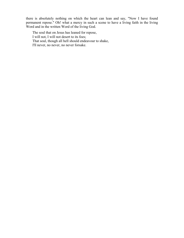there is absolutely nothing on which the heart can lean and say, "Now I have found permanent repose." Oh! what a mercy in such a scene to have a living faith in the living Word and in the written Word of the living God.

The soul that on Jesus has leaned for repose, I will not, I will not desert to its foes; That soul, though all hell should endeavour to shake, I'll never, no never, no never forsake.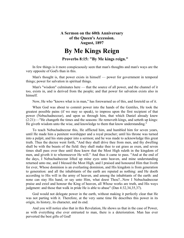**A Sermon on the 60th Anniversary of the Queen's Accession. August, 1897** 

# **By Me Kings Reign**

**Proverbs 8:15: "By Me kings reign."** 

In few things is it more conspicuously seen that man's thoughts and man's ways are the very opposite of God's than in this.

Man's thought is, that power exists in himself — power for government in temporal things; power for salvation in spiritual things.

Man's "wisdom" culminates here — that the source of all power, and the channel of it too, exists in, and is derived from the people; and that power for salvation exists also in himself.

Now, He who "knows what is in man," has forewarned us of this, and foretold us of it.

When God was about to commit power into the hands of the Gentiles, He took the greatest possible pains (if we may so speak), to impress upon the first recipient of that power (Nebuchadnezzar), and upon us through him, that which Daniel already knew (2:21):—"He changeth the times and the seasons: He removeth kings, and setteth up kings: He giveth wisdom unto the wise, and knowledge to them that know understanding."

To teach Nebuchadnezzar this, He afflicted him, and humbled him for seven years, until He made him a penitent worshipper and a royal preacher; until his throne was turned into a pulpit, and his state-paper into a sermon; and he was made to acknowledge this great truth. Thus the decree went forth, "And they shall drive thee from men, and thy dwelling shall be with the beasts of the field: they shall make thee to eat grass as oxen, and seven times shall pass over thee until thou know that the Most High ruleth in the kingdom of men, and giveth it to whomsoever He will." And thus it came to pass. "And at the end of the days, I Nebuchadnezzar lifted up mine eyes unto heaven, and mine understanding returned unto me, and I blessed the Most High, and I praised and honoured Him that liveth for ever, Whose dominion is an everlasting dominion, and His kingdom is from generation to generation: and all the inhabitants of the earth are reputed as nothing: and He doeth according to His will in the army of heaven, and among the inhabitants of the earth: and none can stay His hand, or say unto Him, what doest Thou?...Now I Nebuchadnezzar praise and extol and honour the King of heaven, all Whose works are truth, and His ways judgment: and those that walk in pride He is able to abase" (Dan 4:32,34,35,37).

God would not delegate power in the earth, without making it perfectly clear that He was not parting with it. Therefore, at the very same time He describes this power in its origin, its history, its character, and its end.

And you will notice also that in this Revelation, He shows us that in the case of Power, as with everything else ever entrusted to man, there is a deterioration. Man has ever perverted the best gifts of God!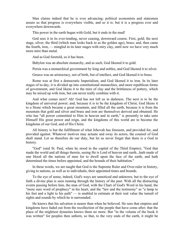Man claims indeed that he is ever advancing; political economists and statesmen assure us that progress is everywhere visible, and so it is: but it is a progress ever and everywhere downwards.

This power in the earth began with Gold, but it ends in the mud!

God sees it in its ever-tending, never ceasing, downward course. First, gold; the next stage, silver; the third (which man looks back to as the golden age), brass; and, then came the fourth, iron, — mingled in its later stages with miry clay, until now we have very much more mire than metal.

And as God foretold, so it has been.

Babylon was an absolute monarchy, and as such, God likened it to gold.

Persia was a monarchical government by king and nobles, and God likened it to silver.

Greece was an aristocracy, not of birth, but of intellect, and God likened it to brass.

Rome was at first a democratic Imperialism, and God likened it to iron. In its later stages of to-day, it is divided up into constitutional monarchies, and more republican forms of government, and God likens it to the mire of clay and the brittleness of pottery, which may be mixed up with iron, but can never really combine with it.

And what comes next? Ah! God has not left us in darkness. The next is to be the kingdom of universal power; and, because it is to be the kingdom of Christ, God likens it to a Stone which became a great mountain, and filled all the earth, because it is from the mountain that gold and silver and brass and iron are themselves derived and obtained. He who has "all power committed to Him in heaven and in earth," is presently to take unto Himself His great power and reign, and the kingdoms of this world are to become the kingdoms of our God, and of His Christ.

All history is but the fulfillment of what Jehovah has foreseen, and provided for, and provided against. Whatever motives may actuate and sway its actors, the counsel of God shall stand. Let us therefore do our duty, but let us never forget that there is a God in history.

"God" (said St. Paul, when he stood in the capital of the Third Empire), "God that made the world and all things therein, seeing He is Lord of heaven and earth...hath made of one blood all the nations of men for to dwell upon the face of the earth, and hath determined the times before appointed, and the bounds of their habitation."

In these words, we are taught that God is the Supreme Ruler and Over-ruler in history, giving to nations, as well as to individuals, their appointed times and bounds.

To the eye of sense, indeed, God's ways are unnoticed and unknown, but to the eye of faith a divine plan is seen running through the history of the past. With all the distracting events passing before him, the man of God, with the Chart of God's Word in his hand, the "more sure word of prophecy" in his heart, and the "law and the testimony" as "a lamp to his feet and a light to his path" — is enabled to estimate at their real value the tumult of sights and sounds by which he is surrounded.

He knows that his salvation is nearer than when he believed. He sees that empires and kingdoms have faded out from the recollection of the people that have come after; that the place of the mightiest dynasties knows them no more. But "in the volume of the book it was written" for peoples then unborn, so that, to the very ends of the earth, it might be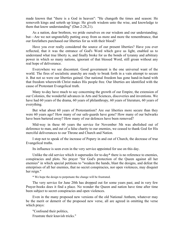made known that "there is a God in heaven": "He changeth the times and season: He removeth kings and setteth up kings: He giveth wisdom unto the wise, and knowledge to them that know understanding" (Dan 2:28,21).

As a nation, dear brethren, we pride ourselves on our wisdom and our understanding; but—Are we not ungratefully putting away from us more and more the remembrance, that our forefathers purchased our liberties for us with their blood?

Have you ever really considered the source of our present liberties? Have you ever reflected, that it was the entrance of God's Word which gave us light, enabled us to understand what true liberty is, and finally broke for us the bonds of tyranny and arbitrary power in which so many nations, ignorant of that blessed Word, still groan without any real hope of deliverance.

Everywhere we see discontent. Good government is the one universal want of the world. The fires of socialistic anarchy are ready to break forth in a vain attempt to secure it. But not so were our liberties gained. Our national freedom has gone hand-in-hand with that freedom wherewith Christ makes His people free. Our liberties are identified with the cause of Protestant Evangelical truth.

Many to-day have much to say concerning the growth of our Empire, the extension of our Colonies, the wonderful advances in Arts and Sciences, discoveries and inventions. We have had 60 years of the drama, 60 years of philanthropy, 60 years of literature, 60 years of everything.

But what about 60 years of Protestantism? Are our liberties more secure than they were 60 years ago? How many of our safe-guards have gone? How many of our bulwarks have been bartered away? How many of our defences have been removed?

Mid-way in these 60 years the service for November 5th was abolished out of deference to man, and out of a false charity to our enemies, we ceased to thank God for His merciful deliverances to our Throne and Church and Nation.

I stop not to speak of the increase of Popery in and out of Church, the decrease of true Evangelical truths.

Its influence is seen even in the very service appointed for use on this day.

Unlike the old service which it supersedes for to-day\* there is no reference to enemies, conspiracies and plots. No prayer "for God's protection of the Queen against all her enemies" in which special petitions to "weaken the hands, blast the designs, and defeat the enterprises of all her enemies, that no secret conspiracies, nor open violences, may disquiet her reign."

\* We hope the design to perpetuate the change will be frustrated.

The very service for June 20th has dropped out for some years past, and in very few Prayer-books does it find a place. No wonder the Queen and nation have time after time been subject to secret conspiracies and open violences.

Even in the many proposed new versions of the old National Anthem, whatever may be the merit or demerit of the proposed new verse, all are agreed in omitting the verse which prays:

"Confound their politics,

Frustrate their knavish tricks."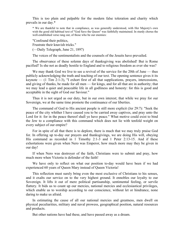This is too plain and palpable for the modern false toleration and charity which prevails in our day.\*

\* We are thankful to note that in compliance, as was generally understood, with Her Majesty's own wish the good old habitual text of "God Save the Queen" was faithfully maintained. In sturdy chorus the well-established verse rang out, of those who be our enemies:

"Confound their politics, Frustrate their knavish tricks."

(—Daily Telegraph, June 21, 1897)

The voices of the sentimentalists and the counsels of the Jesuits have prevailed.

The observance of these solemn days of thanksgiving was abolished! But is Rome pacified? Is she not as deadly hostile to England and to religious freedom as ever she was?

We may thank God we live to see a revival of the service for the 20th of June — thus publicly acknowledging the truth and teaching of our text. The opening sentence gives it its keynote —  $(1 \text{ Tim } 2:1-3)$ , "I exhort first of all that supplications, prayers, intercessions, and giving of thanks, be made for all men — for kings, and for all that are in authority; that we may lead a quiet and peaceable life in all godliness and honesty: for this is good and acceptable in the sight of God our Saviour."

Thus it is not urged as our duty, but in our own interest; that while we pray for our Sovereign, we at the same time promote the continuance of our liberties.

The command of God to His ancient people is still more explicit (Jer 29:7): "Seek the peace of the city whither I have caused you to be carried away captives, and pray unto the Lord for it: for in the peace thereof shall ye have peace." What motive could exist to bind the Jew to a compliance with this command which does not lie with tenfold weight on every subject of our empire?

For in spite of all that there is to deplore, there is much that we may truly praise God for. In offering up to-day our prayers and thanksgivings, we are doing His will, obeying His command as recorded in 1 Timothy 2:1-3 and 1 Peter 2:13-15. And if these exhortations were given when Nero was Emperor, how much more may they be given in our day!

If when Nero was destroyer of the faith, Christians were to submit and pray, how much more when Victoria is defender of the faith!

We have only to reflect on what our position to-day would have been if we had experienced 60 years of Queen Mary instead of Queen Victoria!

This reflection must surely bring even the most exclusive of Christians to his senses, and it exalts our service on to the very highest ground. It ennobles our loyalty to our Sovereign. It lifts it out of mere political partisanship, sentimental feeling, or servile flattery. It bids us to count up our mercies, national mercies and ecclesiastical privileges, which enable us to worship according to our conscience, without let or hindrance, none daring to make us afraid.

In estimating the cause of all our national mercies and greatness, men dwell on physical peculiarities, military and naval prowess, geographical position, natural resources and products.

But other nations have had these, and have passed away as a dream.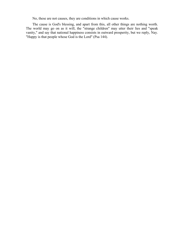No, these are not causes, they are conditions in which cause works.

The cause is God's blessing, and apart from this, all other things are nothing worth. The world may go on as it will, the "strange children" may utter their lies and "speak vanity," and say that national happiness consists in outward prosperity, but we reply, Nay. "Happy is that people whose God is the Lord" (Psa 144).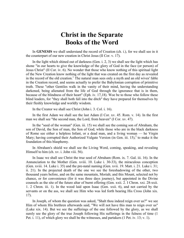# **Christ in the Separate Books of the Word**

In **GENESIS** we shall understand the record of Creation (ch. i.), for we shall see in it the counterpart of our new creation in Christ Jesus (II Cor. v. 17).

In the light which shined out of darkness (Gen. i. 2, 3) we shall see the light which has shone "in our hearts to give the knowledge of the glory of God in the face (or person) of Jesus Christ" (II Cor. iv. 6). No wonder that those who know nothing of this spiritual light of the New Creation know nothing of the light that was created on the first day as revealed in the record of the old creation.<sup>1</sup> The natural man sees only a myth and an old wives' fable in the Creation record, and seems actually to prefer the Babylonian corruption of primitive truth. These "other Gentiles walk in the vanity of their mind, having the understanding darkened, being alienated from the life of God through the ignorance that is in them, because of the blindness of their heart" (Eph. iv. 17,18). Woe be to those who follow these blind leaders, for "they shall both fall into the ditch" they have prepared for themselves by their fleshly knowledge and worldly wisdom.

In the Creator we shall see Christ (John i. 3. Col. i. 16).

In the first Adam we shall see the last Adam (I Cor. xv. 45. Rom. v. 14). In the first man we shall see "the second man, the Lord, from heaven" (I Cor. xv. 47).

In the "seed of the woman" (Gen. iii. 15) we shall see the coming son of Abraham, the son of David, the Son of man, the Son of God; while those who are in the black darkness of Rome see either a helpless Infant, or a dead man, and a living woman — he Virgin Mary; having corrupted their Authorized Vulgate Version (in Gen. iii. 15), $^2$  to make it the foundation of this blasphemy.

In Abraham's shield we shall see the Living Word, coming, speaking, and revealing Himself to him (ch. xv. i. John viii. 56).

In Isaac we shall see Christ the true seed of Abraham (Rom. ix. 7. Gal. iii. 16). In the Annunciation to the Mother (Gen. xviii. 10. Luke i. 30-33), the miraculous conception (Gen. xviii. 14. Luke i. 35) and the pre-natal naming (Gen. xvii. 19. Matt. i. 21. Luke i. 31; ii. 21). In the projected death of the one we see the foreshadowing of the other, two thousand years before, and on the same mountain, Moriah; and this Mount, selected not by chance, or for convenience (for it was three days journey), but appointed in the Divine counsels as the site of the future altar of burnt offering (Gen. xxii. 2. I Chron. xxi. 28-xxii. 1. 2 Chron. iii. 1). In the wood laid upon Isaac (Gen. xxii. 6), and not carried by the servants or on the ass, we shall see Him who was led forth bearing His Cross (John xix. 17).

In Joseph, of whom the question was asked, "Shalt thou indeed reign over us?" we see Him of whom His brethren afterwards said, "We will not have this man to reign over us" (Luke xix. 14). But we see the sufferings of the one followed by the glory, as we shall surely see the glory of the true Joseph following His sufferings in the fulness of time (1 Pet. i. 11), of which glory we shall be the witnesses, and partakers (1 Pet. iv. 13; v. 1).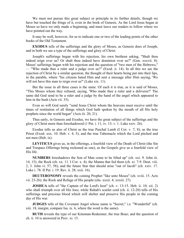We must not pursue this great subject or principle in its further details, though we have but touched the fringe of it, even in the book of Genesis. As the Lord Jesus began at Moses so have we only made a beginning, and must leave our readers to follow where we have pointed out the way.

It may be well, however, for us to indicate one or two of the leading points of the other books of the Old Testament.

**EXODUS** tells of the sufferings and the glory of Moses, as Genesis does of Joseph, and in both we see a type of the sufferings and glory of Christ.

Joseph's sufferings began with his rejection, his own brethren asking, "Shalt thou indeed reign over us? Or shalt thou indeed have dominion over us?" (Gen. xxxvii. 8). Moses' sufferings began with his rejection and the question of "two men of the Hebrews," — "Who made thee a ruler and a judge over us?" (Exod. ii. 14). In all this we see the rejection of Christ by a similar question, the thought of their hearts being put into their lips, in the parable, where "his citizens hated Him and sent a message after Him saying, 'We will not have this man to reign over us" (Luke xix. 11).

But the issue in all three cases is the same. Of each it is true, as it is said of Moses, "This Moses whom they refused, saying, 'Who made thee a ruler and a deliverer?' The same did God send to be a ruler and a judge by the hand of the angel which appeared to him in the bush (Acts vii. 35).

Even so will God surely "send Jesus Christ whom the heavens must receive until the times of restitution of all things which God hath spoken by the mouth of all His holy prophets since the world began" (Acts iii. 20, 21).

Thus early, in Genesis and Exodus, we have the great subject of the sufferings and the glory of Christ more than foreshadowed (1 Pet. i. 11; iv. 13; v. 1. Luke xxiv. 26).

Exodus tells us also of Christ as the true Paschal Lamb (I Cor. v. 7, 8); as the true Priest (Exod. xxx. 10. Heb. v. 4, 5); and the true Tabernacle which the Lord pitched and not men (Heb. ix).

**LEVITICUS** gives us, in the offerings, a fourfold view of the Death of Christ (the Sin and Trespass Offerings being reckoned as one), as the Gospels give us a fourfold view of His life.

**NUMBERS** foreshadows the Son of Man come to be lifted up" (ch. xxi. 9. John iii. 14, 15); the Rock (ch. xx. 11. I Cor. x. 4); the Manna that fed them (ch. xi. 7-9. Deut. viii. 2, 3. John vi. 57, 58); and the future Star that should arise "out of Jacob" (ch. xxiv. 17. Luke i. 78. II Pet. i. 19. Rev. ii. 28; xxii. 16).

**DEUTERONOMY** reveals the coining Prophet "like unto Moses" (ch. xviii. 15. Acts vii. 23-26); the Rock and Refuge of His people (chs. xxxii. 4; xxxiii. 27).

**JOSHUA** tells of "the Captain of the Lord's host" (ch. v. 13-15. Heb. ii. 10; xii. 2) who shall triumph over all His foes; while Rahab's scarlet cord (ch. ii. 12-20) tells of His sufferings and precious blood which will shelter and preserve His people in the coming day of His war.

**JUDGES** tells of the Covenant Angel whose name is "Secret," i.e. "Wonderful" (ch. xiii. 18, margin; compare Isa. ix. 6, where the word is the same).

**RUTH** reveals the type of our Kinsman-Redeemer, the true Boaz; and the question of ch. ii. 10 is answered in Prov. xi. 15.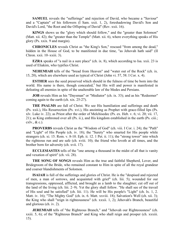**SAMUEL** reveals the "sufferings" and rejection of David, who became a "Saviour" and a "Captain" of his followers (I Sam. xxii. 1, 2), foreshadowing David's Son and David's Lord, "the Root and the Offspring of David" (Rev. xxii. 16).

**KINGS** shows us the "glory which should follow," and the "greater than Solomon" (Matt. xii. 42); the "greater than the Temple" (Matt. xii. 6), where everything speaks of His glory (Ps. xxix. 9 and margin).

**CHRONICLES** reveals Christ as "the King's Son," rescued "from among the dead," hidden in the House of God, to be manifested in due time, "as Jehovah hath said" (II Chron. xxii. 10–xxiii. 3).

**EZRA** speaks of "a nail in a sure place" (ch. ix. 8), which according to Isa. xxii. 23 is used of Eliakim, who typifies Christ.

**NEHEMIAH** tells of the "bread from Heaven" and "water out of the Rock" (ch. ix. 15, 20), which are elsewhere used as typical of Christ (John vi. 57, 58. I Cor. x. 4).

**ESTHER** sees the seed preserved which should in the fulness of time be born into the world. His name is there, though concealed, $3$  but His will and power is manifested in defeating all enemies in spite of the unalterable law of the Medes and Persians.

**JOB** reveals Him as his "Daysman" or "Mediator" (ch. ix. 33); and as his "Redeemer" coming again to the earth (ch. xix. 25-27).

**THE PSALMS** are full of Christ. We see His humiliation and sufferings and death (Ps. xxii.), His Resurrection (Ps. xvi.), His anointing as Prophet with grace-filled lips (Ps. xlv. Luke iv. 22); as Priest after the order of Melchisedec (Ps. ex. Heb. v. 6; vi. 20; vii. 17, 21); as King enthroned over all (Ps. ii.), and His kingdom established in the earth (Ps. ciii.; cxlv., & c.).

**PROVERBS** reveals Christ as the "Wisdom of God" (ch. viii. I Cor. i. 24); the "Path" and "Light" of His People (ch. iv. 18); the "Surety" who smarted for His people while strangers (ch. xi. 15. Rom. v. 8-10. Eph. ii. 12. 1 Pet. ii. 11); the "strong tower" into which the righteous run and are safe (ch. xviii. 10); the friend who loveth at all times, and the brother born for adversity (ch. xvii. 17).

**ECCLESIASTES** tells of the "one among a thousand in the midst of all that is vanity and vexation of spirit" (ch. vii. 28).

**THE SONG OF SONGS** reveals Him as the true and faithful Shepherd, Lover, and Bridegroom of the Bride, who remained constant to Him in spite of all the royal grandeur and coarser blandishments of Solomon.

**ISAIAH** is full of the sufferings and glories of Christ. He is the "despised and rejected of men, a man of sorrows, and acquainted with grief" (ch. liii. 5); wounded for our transgressions, oppressed, afflicted, and brought as a lamb to the slaughter; cut off out of the land of the living (ch. liii. 2–9). Yet the glory shall follow. "He shall see of the travail of His soul and be satisfied" (ch. liii. 11). He will be His people's "Light" (ch. lx. 1, 2. Matt. iv. 16); "The Mighty God" (ch. ix. 6. Matt. xxviii. 18); Salvation's Well (ch. xii. 3); the King who shall "reign in righteousness" (ch. xxxii. 1, 2); Jehovah's Branch, beautiful and glorious (ch. iv. 2).

**JEREMIAH** tells of "the Righteous Branch," and "Jehovah our Righteousness" (ch. xxiii. 5, 6); of the "Righteous Branch" and King who shall reign and prosper (ch. xxxiii. 15).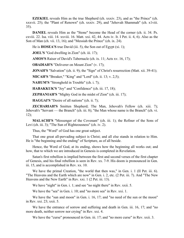**EZEKIEL** reveals Him as the true Shepherd (ch. xxxiv. 23), and as "the Prince" (ch. xxxvii. 25); the "Plant of Renown" (ch. xxxiv. 29), and "Jehovah Shammah" (ch. x1viii. 35).

**DANIEL** reveals Him as the "Stone" become the Head of the corner (ch. ii. 34. Ps. cxviii. 22. Isa. viii. 14. xxviii. 16. Matt. xxi. 42, 44. Acts iv. It. I Pet. ii. 4, 6). Also as the Son of Man (ch. vii. 13, 16); and "Messiah the Prince" (ch. ix. 24).

He is **HOSEA'S** true David (iii. 5), the Son out of Egypt (xi. 1);

**JOEL'S** "God dwelling in Zion" (ch. iii. 17);

**AMOS'S** Raiser of David's Tabernacle (ch. ix. 11; Acts xv. 16, 17);

**OBADIAH'S** "Deliverer on Mount Zion" (v. 17);

**JONAH'S** "Salvation" (ch. ii. 9); the "Sign" of Christ's resurrection (Matt. xii. 39-41);

**MICAH'S** "Breaker," "King" and "Lord" (ch. ii. 13; v. 2,5);

**NAHUM'S** "Stronghold in Trouble" (ch. i. 7);

**HABAKKUK'S** "Joy" and "Confidence" (ch. iii. 17, 18);

**ZEPHANIAH'S** "Mighty God in the midst of Zion" (ch. iii. 17);

**HAGGAI'S** "Desire of all nations" (ch. ii. 7);

**ZECHARIAH'S** Smitten Shepherd; The Man, Jehovah's Fellow (ch. xiii. 7); Jehovah's "Servant — the Branch" (ch. iii. 8); "the Man whose name is the Branch" (ch. vi.  $12$ :

**MALACHI'S** "Messenger of the Covenant" (ch. iii. 1); the Refiner of the Sons of Levi (ch. iii. 3); "The Sun of Righteousness" (ch. iv. 2).

Thus, the "Word" of God has one great subject.

That one great all-pervading subject is Christ; and all else stands in relation to Him. He is "the beginning and the ending" of Scripture, as of all beside.

Hence, the Word of God, at its ending, shows how the beginning all works out; and how, that to which we are introduced in Genesis is completed in Revelation.

Satan's first rebellion is implied between the first and second verses of the first chapter of Genesis, and his final rebellion is seen in Rev. xx. 7-9. His doom is pronounced in Gen. iii. 15, and is accomplished in Rev. xx. 10.

We have the primal Creation, "the world that then was," in Gen. i. 1 (II Pet. iii. 6). "The Heavens and the Earth which are now" in Gen. i. 2, etc. (2 Pet. iii. 7). And "The New Heavens and the New Earth" in Rev. xxi. 1 (2 Pet. iii. 13).

We have "night" in Gen. i. 1; and see "no night there" in Rev. xxii. 5.

We have the "sea" in Gen. i. 10; and "no more sea" in Rev. xxi. 1.

We have the "sun and moon" in Gen. i. 16, 17; and "no need of the sun or the moon" in Rev. xxi. 23; xxii. 5.

We have the entrance of sorrow and suffering and death in Gen. iii. 16, 17; and "no more death, neither sorrow nor crying" in Rev. xxi. 4.

We have the "curse" pronounced in Gen. iii. 17; and "no more curse" in Rev. xxii. 3.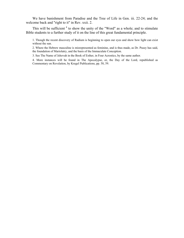We have banishment from Paradise and the Tree of Life in Gen. iii. 22-24; and the welcome back and "right to it" in Rev. xxii. 2.

This will be sufficient  $4$  to show the unity of the "Word" as a whole; and to stimulate Bible students to a further study of it on the line of this great fundamental principle.

1. Though the recent discovery of Radium is beginning to open our eyes and show bow light can exist without the sun.

2. Where the Hebrew masculine is misrepresented as feminine, and is thus made, as Dr. Pusey has said, the foundation of Mariolatry, and the basis of the Immaculate Conception.

3. See The Name of Jehovah in the Book of Esther, in Four Acrostics, by the same author.

4. More instances will be found in The Apocalypse, or, the Day of the Lord, republished as Commentary on Revelation, by Kregel Publications, pp. 58, 59.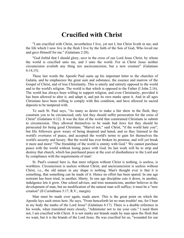# **Crucified with Christ**

"I am crucified with Christ, nevertheless I live, yet not I, but Christ liveth in me; and the life which I now live in the flesh I live by the faith of the Son of God, Who loved me and gave Himself for me." (Galatians 2:20).

"God forbid that I should glory, save in the cross of our Lord Jesus Christ, by whom the world is crucified unto me, and I unto the world. For in Christ Jesus neither circumcision availeth any thing nor uncircumcision, but a new creature" (Galatians 6:14,15).

These last words the Apostle Paul sums up his important letter to the churches of Galatia, and he emphasizes the great sum and substance, the essence and marrow of the Gospel of Christ, and of true Christianity. This is utterly and entirely opposed to the world and to the world's religion. The world is that which is opposed to the Father (I John 2:16). The world has always been willing to support religion, and even Christianity, provided it has been allowed to alter it, and adapt it, and put its own marks upon it. And in all ages Christians have been willing to comply with this condition, and have allowed its sacred deposits to be tampered with.

To such St. Paul says, "As many as desire to make a fair show in the flesh, they constrain you to be circumcised; only lest they should suffer persecution for the cross of Christ" (Galatians 6:12). It was the fear of the world that constrained Christians to submit to circumcision. They allowed themselves to be made bad Jews lest they should be persecuted for being good Christians. "Marvel not," said Christ, "if the world hate you"; but His followers grew weary of being despised and hated, and so they listened to the world's overtures of peace, and accepted the world's terms to gain for themselves the world's security and luxury. But the world has ever broken its promise, and will yet break it more and more! "The friendship of the world is enmity with God." We cannot purchase peace with the world without losing peace with God. Its last work will be to strip and destroy that church, which has purchased peace at the cost of disobedience to the Lord and by compliance with the requirements of man!

St. Paul's counsel here is, that mere religion without Christ is nothing, is useless, is worthless. Circumcision is useless without Christ, and uncircumcision is useless without Christ, i.e., the old nature in any shape is nothing. Man's thought ever is that it is something, that something can be made of it. Hence no effort has been spared. In one age restraint has been tried, in another, liberty. In one age discipline cuts it down, in another, indulgence lets it grow. One school advises, and tries monasticism, another believes in the development of man, but no modification of the natural man will suffice; it must be a "new creation" (II Corinthians 5:17, R.V., margin).

Man must be made over again, made anew. This is the great point on which the Apostle lays such stress here. He says, "From henceforth let no man trouble! me, for I bear in my body the marks of the Lord Jesus" (Galatians 6:17). There is a double reference in his words, when translated more closely, "Administer not to me your cuts." I need them not, I am crucified with Christ. It is not marks nor brands made by man upon the flesh that we want, but it is the brands of the Lord Jesus. He was crucified for us, "wounded for our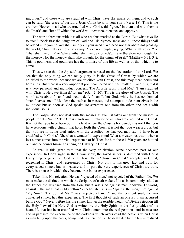iniquities," and those who are crucified with Christ have His marks on them, and to such can be said, "the grace of our Lord Jesus Christ be with your spirit (verse 18). This is the cry from Heaven to all who are crucified with Christ, this "grace" in them and with them is the "mark" and "brand" which the world will never countenance and approve.

The world threatens with loss all who are thus marked as the Lord's. But what says He to such? "Seek first the Kingdom of God and His righteousness and all these things shall be added unto you." "God shall supply all your need." We need not fear about not pleasing the world; Christ takes all excuses away. "Take no thought, saying, 'What shall we eat'? or 'what shall we drink' or 'wherewithal shall we be clothed?'... Take therefore no thought for the morrow; for the morrow shall take thought for the things of itself" (Matthew 6:31, 34). This is godliness, and godliness has the promise of this life as well as of that which is to come.

Thus we see that the Apostle's argument is based on the declaration of our Lord. We see that the only thing we can really glory in is the Cross of Christ, by which we are crucified to the world, because we are crucified with Christ, and this may mean perils and hardships. But there is a very important point connected with this matter — and it is, that it is a very personal and individual concern. The Apostle says, "I and Me." "I am crucified with Christ... He gave Himself for me" (Gal. 2. 20). This is the glory of the Gospel. The world talks about "man," and would deify "man "; but God, while he has condemned "man," saves "men." Men lose themselves in masses, and attempt to hide themselves in the multitude; but so soon as God speaks He separates one from the other, and deals with individual souls.

The Gospel does not deal with the masses as such; it takes out from the masses "a people for His Name." The Cross stands out in relation to all who are crucified with Christ. It is not that you have been born in a land where the Cross is honoured; it is not I that you have relations with a church that holds forth the Cross; it is not that you wear a cross, but that you are in living vital union with the crucified, so that you may say, "I have been crucified with Christ." Oh, what a wonderful expression! What a mysterious truth, when a lost sinner comes into the vital experience of it! Then for him these 1,800 years are blotted out, and he counts himself as being on Calvary in Christ.

So real is this great truth that the very crucifixion scene becomes part of our experience. In God's sight, in the Divine view, the saved sinner is identified with Christ Everything he gets from God is in Christ. He is "chosen in Christ," accepted in Christ, redeemed in Christ, and represented by Christ. Not only is this great fact and truth for every saved sinner, but in measure and in part the very experiences of Christ are ours. There is a sense in which they become true in our experience.

Take, first, His rejection. He was "rejected of men," not rejected of the Father! No. We must make the distinction which the Scripture of truth makes. Not as is commonly said that the Father hid His face from the Son, but it was God against man. "Awake, O sword, against... the man that is My fellow" (Zechariah  $13:7$ ) — "against the man," not against "My Son." "The Son of Man" was "rejected of men," and the penitent soul, the sinconvicted sinner, has this experience. The first thought of such an one is, "I am accursed before God." Never before has the sinner known the terrible weight of Divine rejection till the Holy Law of the Holy God is written by the Holy Spirit on the fleshy tables of his heart. He that has been crucified with Christ enters into the real positions and in measure and in part into the experience of the darkness which overspread the heavens when Christ as man hung upon the cross, being made a curse for us The death due by the law is realized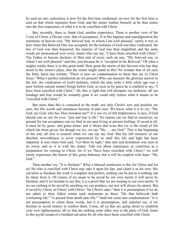by such an one; conscience is now for the first time awakened; sin now for the first time is seen as that which separates from God; and the sinner loathes himself, as he thus enters into the first experience of what it is to be crucified with Christ.

But, secondly, there is, thank God, another experience. There is another view of the Cross of Christ, a Divine view, that of acceptance. If at His baptism and transfiguration the testimony of heaven was, "My beloved Son, in whom I am well pleased," surely it was so here when that Beloved One was accepted; for the holiness of God was then vindicated, the law of God was then honoured, the majesty of God was then magnified, and the same words are pronounced over every sinner who can say, "I have been crucified with Christ." The Father in heaven declares of Him and of every such an one, "My beloved son, in whom I am well pleased," and this, just because he is "accepted in the Beloved." Oh what a mighty reality there is in this great truth! How great the merits of this Saviour who has thus stood in the sinner's place, that the sinner might stand in His! No wonder that of all such the Holy Spirit has written, "There is now no condemnation to them that are in Christ Jesus." What a perfect satisfaction do we present! Who can measure the glorious answer to the law, the vindication of God's holiness, which the man (who a little while ago was a poor forlorn outcast sinner) brings before God, as soon as by grace he is enabled to say, "I have been crucified with Christ." Ah, this is light that will dissipate our darkness: all our bondage and fear would be instantly gone if we could only realize what it means to be "crucified with Christ."

But more than this is contained in the truth: not only Christ's acts and position are ours, but His words and utterances become in part ours. We know what it is to cry, "My God, my God, why has Thou forsaken me?" It is our cry of felt helplessness; it says, if God should cast us out for ever, "just and true is He." No reason can we find in ourselves, no ground for our acceptance can we find in our past living or present feelings. If saved at all, it must be by grace. and grace alone; and it shews that even this cry is the result of life which has been given; for though we cry, we say " $My - my God$ ." This is the beginning of the end, all else is assured when we can say my God. But the full measure of our absolute unworthiness is never experienced by us until this life and light has been imparted. It was when God said, "Let there be light," that ruin and desolation was seen at its worst, and so it is with the sinner. Talk not about repentance or contrition as a preparation for coming to Christ, for if we "have been crucified with Christ," we will surely experience the horror of this great darkness, but it will be coupled with hope. "My God."

Then another cry, "It is finished." What a blessed confession is this for Christ and for us! He who is crucified with Christ may take it upon his lips, and claim it as his own. His salvation is finished, the work is complete and perfect, nothing can be put to it nothing can be taken from it. Of course, if we mean to be saved by our own merits it will never be finished, and if we hesitate to say this, it is a proof that we are trusting to our own merits. If we are seeking to be saved by anything we can produce, our rest will always be unrest. But if saved by Christ, in Christ, with Christ, "for Christ's sake," then it is presumption if we do not admit to their fullest extent such statements as these, "He that believeth hath everlasting life," "is passed from death unto life," "shall not come into condemnation." It is not presumption to claim these words, but it is presumption, and unbelief too, if we hesitate as saved sinners to confess them. Come, all ye that are going about to establish your own righteousness, all ye that are seeking some other way to the glory of God, listen to this joyful sound of a finished salvation for all who have been crucified with Christ.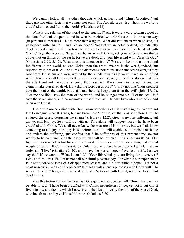We cannot follow all the other thoughts which gather round "Christ Crucified," but there are two other facts that we must not omit. The Apostle says, "By whom the world is crucified to me, and I unto the world" (Galatians 6:14).

What is the relation of the world to the crucified? Ah, it wore a very solemn aspect as the Crucified looked upon it, and he who is crucified with Christ sees it in the same way (in part and in measure). This is more than a figure. What did Paul mean when he said, "If ye be dead with Christ" — and "Ye are dead"? Not that we are actually dead, but judicially dead in God's sight, and therefore we are so to reckon ourselves. "If ye be dead with Christ," says the Apostle. "If ye then be risen with Christ, set your affections on things above, not on things on the earth, for ye are dead, and your life is hid with Christ in God" (Colossians 2:20; 3:1-3). What does this language imply? We are to be blind and deaf and indifferent to the world, as was Christ upon the cross. We are in the world, indeed, but rejected by it, not of it. All the hum and distracting noises fell upon unheeding ears, as they rose from Jerusalem and were wafted by the winds towards Calvary! If we are crucified with Christ we shall know something of this experience; only remember always that it is the effect and not the cause of being thus crucified. We cannot crucify our selves, we cannot make ourselves dead. How did the Lord Jesus pray? "I pray not that Thou shouldst take them out of the world, but that Thou shouldst keep them from the evil" (John 17:15). "Let me see life," says the man of the world, and he plunges into sin. "Let me see life," says the saved sinner, and he separates himself from sin. He only lives who is crucified and risen with Christ.

Those who are crucified with Christ know something of His sustaining joy. We are not left to imagine what this was, but we know that "For the joy that was set before Him He endured the cross, despising the shame" (Hebrews 12:2). Great were His sufferings, but greater still His joy. So it will be with us. This alone will support those who have been crucified with Christ. We shall never know the measure of His sorrow, but we shall know something of His joy. For a joy is set before us, and it will enable us to despise the shame and endure the suffering, and confess that "The sufferings of this present time are not worthy to be compared with the glory which shall be revealed in us" (Romans 8:18). "Our light affliction which is but for a moment worketh for us a far more exceeding and eternal weight of glory" (II Corinthians 4:17). Only those who have been crucified with Christ can truly say, "I live" (Galatians 2. 20), and I have the blessed hope of everlasting life. Can we say this? If we cannot, "What is our life?" Your life which you are living for yourselves? Let us not call this life. Let us not call our sinful pleasures joy. For what is our experience? Is it not a consciousness of a disappointed present, and a future without hope? Is it not a heart unsatisfied with earthly objects? Is it not a will at cross purposes with God's will? Do we call this life? Nay, call it what it is, death. Not dead with Christ, not dead to sin, but dead in sins.

May this testimony for the Crucified One quicken us together with Christ, that we may be able to say, "I have been crucified with Christ, nevertheless I live, yet not I, but Christ liveth in me; and the life which I now live in the flesh, I live by the faith of the Son of God, who loveth me, and gave Himself for me (Galatians 2:20).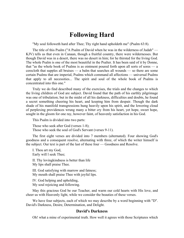# **Following Hard**

"My soul followeth hard after Thee; Thy right hand upholdeth me" (Psalm 63:8).

The title of this Psalm ("A Psalm of David when he was in the wilderness of Judah" — KJV) tells us that even in Canaan, though a fruitful country, there were wildernesses. But though David was in a desert, there was no desert in him; for he thirsted for the living God. The whole Psalm is one of the most beautiful in the Psalter. It has been said of it by Donne, that "as the whole book of Psalms is as ointment poured forth upon all sorts of sores — a cerecloth that supples all bruises — a balm that searches all wounds — so there are some certain Psalms that are imperial, Psalms which command all affections — universal Psalms that apply to all necessities... The spirit and soul of the whole book of Psalms is concentrated into this one."

Truly we do find described many of the exercises, the trials and the changes to which the living children of God are subject. David found that the path of his earthly pilgrimage was one of tribulation; but in the midst of all his darkness, difficulties and doubts, he found a secret something cheering his heart, and keeping him from despair. Though the dark shade of his manifold transgressions hung heavily upon his spirit, and the lowering cloud of perplexing providences wrung many a bitter cry from his heart, yet hope, sweet hope, sought in the gloom for one ray, however faint, of heavenly satisfaction in his God.

This Psalm is divided into two parts:

Those who seek after God (verses 1-8); Those who seek the soul of God's Servant (verses 9-11).

The first eight verses are divided into 7 members (alternated). Four showing God's goodness and a consequent resolve, alternating with three, of which the writer himself is the subject. Our text is part of the last of these four — Goodness and Resolve.

I. Thou art my God, Early will l seek Thee;

II. Thy lovingkindness is better than life My lips shall praise Thee.

III. God satisfying with marrow and fatness; My mouth shall praise Thee with joyful lips.

IV. God helping and upholding, My soul rejoicing and following.

May this gracious God be our Teacher, and warm our cold hearts with His love, and cheer us with Heavenly light, while we consider the beauties of these verses.

We have four subjects, each of which we may describe by a word beginning with "D". David's Darkness, Desire, Determination, and Delight.

## **David's Darkness**

Oh! what a mine of experimental truth. How well it agrees with those Scriptures which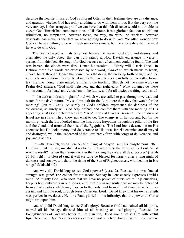describe the heartfelt trials of God's children! Often in their feelings they are at a distance, and question whether God has really anything to do with them or not. But the very cry, the very anxiety, is the strongest proof we can have that this felt distance would not trouble us except God Himself had come near to us in His Grace. It is a glorious fact that no trial, no tribulation, no temptation, however fierce, no way, no work, no warfare, however desperate, can make us feel that we have nothing to do with God. We often wonder how God can have anything to do with such unworthy sinners, but we also realize that we must have to do with God.

The heart charged with its bitterness heaves the heavenward sigh, and desires, and cries after the only object that can truly satisfy it. Now David's experience in verse 1 springs from this fact. He sought for God because no refreshment could be found. The land was barren, the clouds were dark. Hence his resolve — "Early will I seek Thee." In Hebrew these five words are expressed by one word, *shah-char*, which means to break, cleave, break through. Hence the noun means the dawn, the breaking forth of light, and the verb gets an additional idea of breaking forth, hence to seek carefully or earnestly. In our text the two thoughts are united. Similar is the teaching (though not the same word) in Psalm 46:5 (marg.), "God shall help her, and that right early." What volumes do these words contain for Israel and Jerusalem in the future, and for all anxious waiting souls now!

In the dark and dreary nights of trial which we are called to pass through, we wait and watch for the day's return. "My soul waiteth for the Lord more than they that watch for the morning" (Psalm 130:6). As surely as God's children experience the darkness of the Wilderness, so surely will God help, defend, and comfort them with the morning of His appearing Yes! God's deliverances are "early". Look at Exodus 14:24-27. The children of Israel are in straits. They know not what to do. The enemy is in hot pursuit, but "in the morning-watch the Lord looked unto the host of the Egyptians through the pillar of the fire and the cloud, and troubled the host of the Egyptians." The Lord looks destruction on His enemies; but He looks mercy and deliverance to His own. Israel's enemies are dismayed and destroyed, while the Redeemed of the Lord break forth with songs of deliverance, and joy, and gladness.

So with Hezekiah, when Sennacherib, King of Assyria, sent his blasphemous letter. Hezekiah made no stir, marshalled no forces, but went up to the house of the Lord. What was the result? "When they arose early in the morning they were all dead corpses" (Isaiah 37:36). Ah! it is blessed (and it will ere long be blessed for Israel), after a long night of darkness and sorrow, to behold the rising of the Sun of Righteousness, with healing in His wings" (Malachi 4:2).

And why did David long to see God's power? (verse 2). Because his own fancied strength was gone! The collect for the second Sunday in Lent exactly expresses David's mind. "Almighty God, who seest that we have no power of ourselves to help ourselves, keep us both outwardly in our bodies, and inwardly in our souls; that we may be defended from all adversities which may happen to the body, and from all evil thoughts which may assault and hurt the soul, through Jesus Christ our Lord." David knew that his own strength was perfect in weakness. He, like Paul, gloried in his infirmity, that the power of Christ might rest upon him.

And why did David long to see God's glory? Because God had stained all his pride, marred all his beauty, divested him of all boasting and self-glorying. Because the lovingkindness of God was better to him than life, David would praise Him with joyful lips. These were David's experiences, expressed, not only here, but in Psalm 119:25, where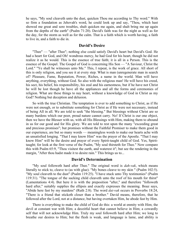he says, "My soul cleaveth unto the dust, quicken Thou me according to Thy word." With so firm a foundation as Jehovah's word, he could look up and say, "Thou, which hast showed me great and sore troubles, shalt quicken me again, and shalt bring me up again from the depths of the earth" (Psalm 71:20). David's faith was for the night as well as for the day, for the storm as well as for the calm. That is a faith which is worth having, a faith to live in, and a faith to die in.

## **David's Desire**

"Thee" — "after Thee"; nothing else could satisfy David's heart but David's God. He had a heart for God, and Oh! wondrous mercy, he had God for his heart, though he did not realize it as he would. This is the essence of true faith; it is all in a Person. This is the essence of the Gospel. The Gospel of God is concerning His Son — "A Saviour, Christ the Lord." "Ye shall be witnesses unto Me." This, I repeat, is the work of grace. All short of this is only religion, and you see it at every step. What is man (unregenerate man in search of? Pleasure, Fame, Reputation, Power, Riches, a name in the world. Man will have anything, everything, without God. So also with the religious man! He will have his creed, his sect, his belief, his responsibility, his zeal and his earnestness, but if he have not Christ he will be lost though he have all the appliances and all the forms and ceremonies of religion. What are these things to nay heart, without a knowledge of God in Christ as my God? Nothing but deception and delusion.

So with the true Christian. The temptation is ever to add something to Christ, as if He were not enough, or to substitute something for Christ as if He were not necessary, instead of being All in all. We are told to seek "the blessing." But blessings without Christ are so many burdens which our poor, proud nature cannot carry. No! If Christ is our one object, then we have the Blesser with us, with all His Blessings with Him, making them to abound in us for our good and for His glory. We are told to rest upon the many "exceeding great and precious promises"; but promises without the Faithful Promiser to make them good in our experience, are but so many words — meaningless words to make our hearts ache with an unsatisfied longing. "That I may know Him" was the prayer of the Apostle. "That I may know Him" will be the desire and prayer of every Spirit-taught child of God. Yes, Spirittaught; for look at the first verse of the Psalm, "My soul thirsteth for Thee." Now compare this with Psalm 65:9, "Thou visitest the earth, and waterest it"; but see the rendering in the margin, "After thou hadst made it to desire rain." This brings us to...

## **David's Determination**

"My soul followeth hard after Thee." The original word is *dah-vak*, which means literally to stick to, cleave to (as with glue). "My bones cleave to my skin " (Psalm 102:5). "My soul cleaveth to the dust" (Psalm 119:25). "I have stuck unto Thy testimonies" (Psalm 119:31). "The tongue of the sucking child cleaveth unto the roof of his mouth for thirst" (Lamentations 4:4). But here it is with the preposition "after," and therefore "followeth hard after," suitably supplies the ellipsis and exactly expresses the meaning. Boaz says, "Abide here fast by my maidens" (Ruth 2:8). The word *dai-vak* occurs in Proverbs 18:24, "There is a friend that sticketh closer than a brother." David means, therefore, that he followed after the Lord, not at a distance, but having overtaken Him, he abode fast by Him.

There is everything to make the child of God do this: a world at enmity with Him; the devil at constant war with Him; a deceitful heart that cannot believe in Him; a cowardly self that will not acknowledge Him. Truly my soul followeth hard after Him; we long to breathe our desires to Him; but the flesh is weak, and language is lame, and ability is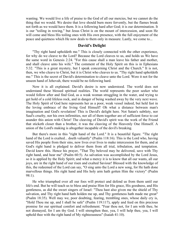wanting. We would live a life of praise to the God of all our mercies, but we cannot do the thing that we would. We desire that love should burn more fervently, but the flames break not forth as we would have them. It is a following hard after God; it is our determination. It is our "toiling in rowing," but Jesus Christ is on the mount of intercession, and soon He will come and bless His toiling ones with His own presence, with the full enjoyment of the peace and quietness which He now deals to them only in measure. Lastly, we come to...

## **David's Delight**

"Thy right hand upholdeth me." This is closely connected with the other experience, for why do we cleave to the Lord? Because the Lord cleaves to us, and holds us We have the same word in Genesis 2:24. "For this cause shall a man leave his father and mother, and shall cleave unto his wife." The comment of the Holy Spirit on this is in Ephesians 5:32. "This is a great mystery, but I speak concerning Christ and the Church." It is not, then, we who cleave to Christ, but it is Christ who cleaves to us. "Thy right hand upholdeth me." This is the secret of David's determination to cleave unto the Lord. Were it not for the unseen hand of Jehovah, there would be no following hard.

Now it is all explained. David's desire is now understood. The world does not understand these blessed spiritual realities. The world represents the poor seeker who would follow after and find God, as a weak woman struggling in the water, and trying to get hold of a cold lifeless rock, and in danger of being washed away by the very next wave. The Holy Spirit of God here represents her as a poor, weak vessel indeed, but held fast in the loving embrace of the living God Himself! Oh what a distance between man's imagination and God's revelation! This is David's delight here. Not Satan's subtlety, nor Saul's cruelty, nor his own infirmities, nor all of them together are of sufficient force to cut asunder this anion with Christ! The cleaving of David's spirit was the work of the Friend that sticketh closer than a brother, it was the cleaving of the Heavenly One Himself. A union of the Lord's making is altogether incapable of the devil's breaking.

But there's more in this "right hand of the Lord." It is a beautiful figure. "The right hand of the Lord is exalted... doeth valiantly" (Psalm 118:16). This is the Lord who, having saved His people from their sins, now lives ever lives to make intercession for them, and at God's right hand is pledged to deliver them from all trial, tribulation, and temptation. David knew this. Hence his prayer, "That Thy beloved may be delivered, save with Thy right hand, and hear me" (Psalm 60:5). As salvation was accomplished by the Lord Jesus, so it is applied by the Holy Spirit; and what a mercy it is to know that all our wants, all our joys, are in the right hand of our risen and exalted Saviour! Blessed with the knowledge of this, the redeemed of the Lord can say, "O sing unto the Lord a new song, for He hath done marvellous things. His right hand and His holy arm hath gotten Him the victory" (Psalm 98:1).

He who triumphed over all our foes will protect and defend us from them until our life's end. But he will teach us to bless and praise Him for His grace, His goodness, and His gentleness, as did the sweet singers of Israel: "Thou hast also given me the shield of Thy salvation, and Thy right hand hath holden me up, and Thy gentleness hath made me great" (Psalm 18:35). Well may we, poor doubting, fearing, trembling ones, whose daily cry is, "Hold Thou me up, and I shall be safe" (Psalm 119:117), apply and feed on this precious promise for our spiritual comfort and refreshment. "Fear thou not, for I am with thee, be not dismayed, for I am thy God. I will strengthen thee, yea, I will help thee, yea, I will uphold thee with the right hand of My righteousness" (Isaiah 41:10).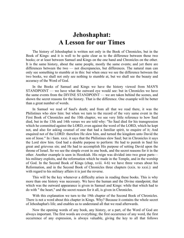# **Jehoshaphat: A Lesson for our Times**

The history of Jehoshaphat is written not only in the Book of Chronicles, but in the Book of Kings: and it is well to be quite clear as to the difference between those two books; or at least between Samuel and Kings on the one hand and Chronicles on the other. It is the same history, about the same people, mostly the same events; and yet there are differences between the two — not discrepancies, but differences. The natural man can only see something to stumble at in this: but when once we see the difference between the two books, we shall not only see nothing to stumble at, but we shall see the beauty and accuracy of the Word of God.

In the Books of Samuel and Kings we have the history viewed from MAN'S STANDPOINT — we have what the outward eye would see: but in Chronicles we have the same events from the DIVINE STANDPOINT — we are taken behind the scenes, and shown the secret reasons for the history. That is the difference. One example will be better than a great number of words.

In Samuel we read of Saul's death; and from all that we read there, it was the Philistines who slew him: but when we turn to the record of the very same event in the First Book of Chronicles and the 10th chapter, we see very little reference to how Saul died, but in the 13th and 14th verses we are told why: "So Saul died for his transgression which he committed against the LORD, even against the word of the LORD, which he kept not, and also for asking counsel of one that had a familiar spirit, to enquire of it; And enquired not of the LORD: therefore He slew him, and turned the kingdom unto David the son of Jesse." In i Sam. xxxi. it says that the Philistines slew Saul; but in Chronicles it says the Lord slew him. God had a double purpose to perform: He had to punish in Saul his great and grievous sin; and He had to accomplish His purpose of setting David upon the throne of Israel. So we see the simple event in one book, and the secret reasons for it in the other. Another example is seen in Hezekiah. His reign was divided into two great parts his military exploits, and the reformation which he made in the Temple, and in the worship of God. In the Second Book of Kings (chap, xviii. 4-6) we have three verses about his Reformation, and in the Second Book of Chronicles three chapters (xxix. to xxxi.): and with regard to his military affairs it is just the reverse.

This will be the key whenever a difficulty arises in reading these books. This is why more than one history was necessary. We have the human and the Divine standpoint; that which was the outward appearance is given in Samuel and Kings: while that which had to do with " the heart," and the secret reason for it all, is given in Chronicles.

With this explanation we turn to the 19th chapter of the Second Book of Chronicles. There is not a word about this chapter in Kings. Why? Because it contains the whole secret of Jehoshaphat's life; and enables us to understand all that we read afterwards.

Now the opening words of any book, any history, or a part, of the Word of God are always important. The first words are everything; the first occurrence of any word, the first occurrence of any expression, is always valuable, giving the key to all that follows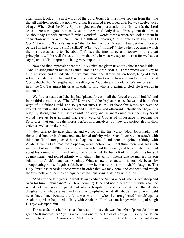afterwards. Look at the first words of the Lord Jesus. He must have spoken from the time that all children speak: but not a word that He uttered is recorded until He was twelve years of age. When God the Holy Spirit singled out for preservation the first words the Lord Jesus, there was a good reason. What are the words? Only these: "Wist ye not that I must be about My Father's business?" What wonderful words these a when we look at them in connection with the 40th Psalm, and the 10th of Hebrews, "Lo, I come to do Thy will, O God." It was the "Father's business" that He had come to "about." Now put this utterance beside His last words, "IS FINISHED!" What was "finished"? The Father's business which the Lord Jesus came to "be about." To see the importance and beauty of this great principle, it will be well for us to follow that rule in what we say and write: for we have a saying about "first impression being very important."

Now the first impression that the Holy Spirit has given us about Jehoshaphat is this,— "And he strengthened himself against Israel" (2 Chron. xvii. i). These words are a key to all his history: and to understand it we must remember that when Jeroboam, King of Israel, set up the calves at Bethel and Dan, the idolaters' backs were turned again to the Temple of God. Jehoshaphat "strengthened himself against" idolaters and idolatry. We are to read this in all the Old Testament histories, in order to find what is pleasing to God. He leaves us in no doubt.

We further read that Jehoshaphat "placed forces in all the fenced cities of Judah;" and in the third verse it says, "The LORD was with Jehoshaphat, because he walked in the first ways of his father David, and sought not unto Baalim." In those few words we have the key which will enable us to understand all that we read afterward. Jehoshaphat began his reign by strengthening himself against idolatry; and, in mentioning this, the Holy Spirit would have us bear in mind that every word of God is of importance in reading the Scriptures. Not only are the words perfect in themselves, but they are perfect also in their order, as well as in their truth.

Now turn to the next chapter, and we see in the first verse, "Now Jehoshaphat had riches and honour in abundance, and joined affinity with Ahab." Are we not struck with this? He first "strengthened himself against Israel," and here he "joined affinity with Ahab." If we had not read those opening words before, we might think there was not much in these: but in the 19th chapter we are taken behind the scenes; and hence, when we read about his joining affinity with Ahab, we are startled. He had left off strengthening himself against Israel, and joined affinity with Ahab! This affinity means that he married his son Jehoram to Ahab's daughter, Athaliah. What an awful change, is it not? He began by strengthening himself against Ahab, and now he marries his son to Ahab's daughter. The Holy Spirit has recorded these words in order that we may note, and connect, and weigh the two facts, and see the consequence of his thus joining affinity with Ahab.

"And after certain years he went down to Ahab to Samaria. And Ahab killed sheep and oxen for him in abundance" (2 Chron. xviii. 2). If he had not joined affinity with Ahab, he would not have gone to partake of Ahab's hospitality; and we see at once that Ahab's daughter, and Ahab's sheep and oxen, accomplished what all Ahab's men of war could never have done: because the Lord was with him when he strengthened himself against Ahab, but, when he joined affinity with Ahab, the Lord was no longer with him, although His eye was upon him.

The next fact put before us, as the result of this visit, was that Ahab "persuaded him to go up to Ramoth-gilead" (v. 2) which was one of the Cities of Refuge. This city had fallen into the hands of the Syrians, and Ahab wanted to regain it, but he felt he could not do so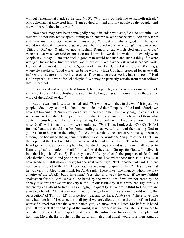without Jehoshaphat's aid; so he said (v. 3), "Wilt thou go with me to Ramoth-gilead?" And Jehoshaphat answered him, "I am as thou art, and and my people as thy people; and we will be with thee in the war."

Now there may have been some godly people in Judah who said, "We do not quite like this; we do not like Jehoshaphat joining in an enterprise with that wicked idolater Ahab": and there may have been some who answered, "Oh, but see what a good man he is; he would not do it if it were wrong; and see what a good work he is doing! It is one of our 'Cities of Refuge.' Ought we not to reclaim Ramoth-gilead which God gave it to us?" Whether that was ever said or not, I do not know, but we do know that it is exactly what people say to-day. "I am sure such a good man would not such and such a thing if it were wrong." But we have find out what God thinks of it. We have to ask what is "good" work. Do not take man's definition of a "good work" God has defined it in Eph. ii. 10 (marg.): where He speaks of "good works" as being works "which God hath prepared for us to walk in." Only those are good works; no other. They may be great works, but not "good." Had He "prepared" this work for Jehoshaphat? We may be perfectly certain from what follows that He had not.

Jehoshaphat not only pledged himself, but his people; and he was very uneasy. Look at the next verse: "And Jehoshaphat said unto the king of Israel, Enquire, I pray thee, at the word of the LORD to-day."

But this was too late, after he had said, "We will be with thee in the war." It is just like people today; they settle what they intend to do, and then "enquire of the Lord." Surely we have got beyond that. Surely we do not want the Lord to help us in anything unless it is His work, unless it is what He prepared for us to do. Surely we are far in advance of those who content themselves with being merely willing to do God's will. If we knew how infinitely wiser God's will is than our own, we should say, "Wilt Thou, Lord, order EVERYTHING for me?" and we should not be found settling what we will do, and then asking God to guide us or to help us in the doing of it. We can see that Jehoshaphat was uneasy; because, although he had made the agreement without God, he wanted to "enquire of the LORD" in the hope that the Lord would approve of what he had agreed to do. Therefore the king of Israel gathered together of prophets four hundred men, and said unto them, Shall we go to Ramoth-gilead to battle, or shall I forbear? And they said, Go up; for God will deliver it into the king's hand" (v. 5). But they were "false prophets," the prophets of Baal, and Jehoshaphat knew it; and yet he had to sit there and hear what those men said. This must have made him still more uneasy; for the next verse says: "But Jehoshaphat said, Is there not here a prophet of the LORD besides, that we might enquire of him?" This shows that he was very troubled in his mind: for Ahab said, "There is yet one man, by whom we may enquire of the LORD: but I hate him." Yes, that is always the case: if we are faithful spokesmen for the Lord, we shall be hated by the world; am if we are not hated by the enemy, it shows that we are not very faithful in our testimony. It is a very bad sign for us if the enemy can afford to treat us as a negligible quantity. If we are faithful to God, we are sure to be hated. "All that are determined to live godly in this present evil world will suffer persecution" (2 Tim. iii. 12). It is perfect true: and so, here, Ahab says: "There is yet one man, but hate him." Let us count it all joy if we are called to prove the truth of the Lord's words: "Marvel not that the world hateth you; ye know that it hated Me before it hated you." If we seek the friendship of the world, it will despise us well as hate us. If we are to be hated, let us, at least, respected. We know the subsequent history of Jehoshaphat and how that Micaiah, the prophet of the Lord, intimated that Israel would lose their King as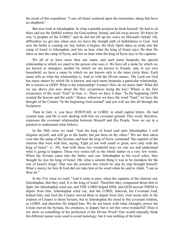the result of this expedition: "I saw all Israel scattered upon the mountains, sheep that have no shepherd."

But now look at Jehoshaphat. In what a pitiable position he finds himself. He had to sit there and see the faithful witness for God smitten, bound, and led away prison. He knew he was "a prophet of the LORD," and he did not lift up his voice on Micaiah's behalf. Oh, difficulties we get into when once we leave the straight path of faithfulness to God. And now the battle is coming on; but, before it begins, the Holy Spirit takes us aside into the camp of Israel to Jehosaphat, and lets us hear what the king of Israel says; He then He takes us into the camp of Syria, and lets us hear what the king of Syria says to his captains.

We all of us have more than one name; and each name bespeaks the special relationship in which we stand to the person who uses it. We have all a name by which we are known to strangers; another by which we are known to friends; and, in our own household, we have a name by which we are known only to the inner circle there. Each name tells us what the relationship is. And so with the Divine names. The Lord our God has many names by which He is known; and each name bespeaks a particular relationship. He is known as GOD! What is the relationship? Creator! How do we know that? What did we say above just now about the first occurrences being the key? Where is the first occurrence of the word "God" In Gen. i.i. There we have it thus: "In the beginning GOD created the heaven and the earth." Hence, wherever we have the word "God," we have the thought of the Creator "In the beginning God created" and you will see this all through the Scriptures.

Then in Gen. ii. you have JEHOVAH, or LORD, in small capital letters. He had created man, and He is now dealing with him on covenant ground. This word, therefore, expresses the covenant relationship between Himself and His People. Now we are in a position to understand what follows.

In the 20th verse we read: "And the king of Israel said unto Jehoshaphat, I will disguise myself, and will go to the battle; but put thou on thy robes." We are then taken over into the camp of the Syrians, and hear the king of Syria, command "the captains of the chariots that were with him, saying, Fight ye not with small or great, save only with the king of Israel." (v. 30). And with these two wonderful keys we can see and understand what is going to happen. Those two verses tell us the whole matter in a very few words. When the Syrians came into the battle, and saw Jehoshaphat in his royal robes, they thought he was the king of Israel. Oh, what a solemn thing it was to be mistaken for the war of Israel's kings! That was the position into which he step by step brought himself. What a mercy for him th God did not take him at his word when he said to Ahab, "I am as thou art."

In the 31st verse we read: "And it came to pass, when the captains of the chariots saw Jehoshaphat, that they said, It is the king of Israel. Therefore they compassed about him to fight, but Jehoshaphat cried out, and THE LORD helped HIM; and GOD moved THEM to depart from him. Jehoshaphat cried out, and the LORD, Jehovah, his Covenant God, helped him; and God the Creator moved them to depart from him. God stood only in the relation of Creator to those Syrians; but to Jehoshaphat He stood in His covenant relation, as LORD, and therefore He helped him. We do not know with what Almighty power the Create moved the Syrians, his creatures, to depart; but is not this verse wonderful? Does it not show us something of the perfection of the Divine Word? One would naturally think the different names were used to avoid tautology; but it was nothing of the kind.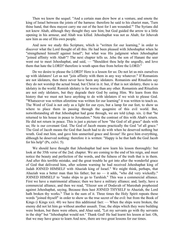Then we know the sequel. "And a certain man drew bow at a venture, and smote the king of Israel between the joints of the harness: therefore he said to his chariot man, 'Turn thine hand, that thou mayest carry me out of the host for I am wounded.'" The Syrians did not know Ahab, although they thought they saw him; but God guided the arrow to a little opening in his armour, and Ahab was killed. Jehoshaphat was not as Ahab; for Jehovah saw him as one of His own people.

And now we study this Scripture, which is "written for our learning," in order to discover what the Lord thought of all this. He had been pleased with Jehoshaphat when he "strengthened himself against Israel"; but what was His judgment when Jehoshaphat "joined affinity with Ahab"? The next chapter tells us. Jehu the son of Hanani the seer went out to meet Jehoshaphat, and said, — "Shouldest thou help the ungodly, and love them that hate the LORD? therefore is wrath upon thee from before the LORD."

Do we desire to please the LORD? Here is a lesson for us: Do not let us mix ourselves up with idolaters! Let us not "join affinity with them in any way whatever." If Romanists are not idolaters, then there never have been any idolaters. Romanists and Ritualists say they do not worship the actual bread, but Christ in it: but, if that is not idolatry, there is no idolatry in the world. Romish idolatry is far worse than any other. Romanists and Ritualists are not only idolaters, but they degrade their God by eating Him. We learn from this history that we must not have anything to do with idolaters if we wish to please God. "Whatsoever was written aforetime was written for our learning" it was written to teach us. The Word of God is not only as a light for our eyes, but a lamp for our feet, to show us where to place them in passing through the quagmire of this evil world. But, notwithstanding all that Jehoshaphat had gone through, we are told (chap. xix. i) that "he returned to his house in peace to Jerusalem." Note the contrast of this with Ahab's return. He did not return in peace. This is just a picture of how "the God of all grace" deals with us; He is our covenant God. The God of Jacob means practically the God "of all grace." The God of Jacob means the God that Jacob had to do with when he deserved nothing but wrath. God met him, and gave him unmerited grace and favour! He gave him everything, although he deserved nothing: therefore it is written: "Happy is he that hath the God Jacob for his help" (Ps, cxlvi. 5).

We should have thought that Jehoshaphat had now learn his lesson thoroughly: but look at the 35th verse of the 2nd. chapter. We are coming to the end of his reign, and must notice the beauty and perfection of the words, and the fulness of the truth that is in them. And after this terrible mistake, and the great trouble he got into after the wonderful grace of God that delivered him, after solemn warning he had received Jehoshaphat king of Judah JOINED HIMSELF with Ahaziah king of Israel." We might think, perhaps, that Ahaziah was a better man than his father; but no — it adds, "who did very wickedly." JOINED HIMSELF to "make ships to go to Tarshish." This was a commercial alliance. First we have a matrimonial alliance; then we have a military alliance; and, lastly, have a commercial alliance, and then we read, "Eliezer son of Dodavah of Mareshah prophesied against Jehoshaphat, saying, Because thou hast JOINED THYSELF to Ahaziah, the Lord hath broken thy works." That is the sum of it. Three times the Holy Spirit repeats these words "joined thyself" in order to show us the true secret of the evil: but from the Book of Kings (i Kings xxii. 48) we have this additional fact: — When the ships were broken, the enemy did not let him go without another assault. True, the ships which they were building were broken, but there were others, and Ahaz said, "Let my servants go with thy servants in the ship" but "Jehoshaphat would not." Thank God! He had learnt his lesson at last. Oh, that we may have grace to learn And now, there are two great lessons for our times.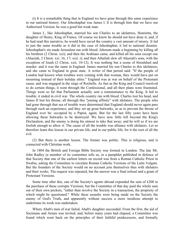(i) It is a remarkable thing that in England we have gone through this same experience in our national history. Our Jehoshaphat was James I. It is through him that we have our Authorised Version; he was a good but weak man.

James I., like Jehoshaphat, married his son Charles to an idolatress, Henrietta, the daughter of Henry, King of France. Of course we know he should not have done it; and, if he had read this narrative, he would have saved the country a vast amount of misery. It led to just the same trouble as it did in the case of Jehoshaphat; it led to national disaster. Jehoshaphat's sin made Jerusalem run with blood. Jehoram made a beginning by killing all his brethren (2 Chron. xxi); and then the Arabians came, and killed all his sons except one (Ahaziah, 2 Chron. xxi. 16, 17; xxii. i); and then Athaliah slew all Ahaziah's sons, with the exception of Joash (2 Chron. xxii. 10-12). It was nothing but a scene of bloodshed and murder: and it was the same in England. James married his son Charles to this idolatress, and she came to England in great state. A writer of that period said: "If the people of London had known what troubles were coming with that woman, they would have put on mourning instead of their holiday attire." England was at war on behalf of the Protestant cause, and was engaged in the siege of Rochelle. As fast as the King and Council resolved to do certain things, it went through the Confessional, and all their plans were frustrated. Things went so far that Parliament actually sent a remonstrance to the King. It led to trouble; it ended in civil war. The whole country ran with blood. Charles lost his head, and James II lost his throne, all through this "joining affinity" with idolaters. The people who had gone through that sea of trouble were determined that England should never again pass through such an experience; and they set up great bulwarks, so as to prevent the throne of England ever be: occupied by a Papist, again. But for the last fifty years have been allowing these bulwarks to be destroyed. We have now little left beyond the King's Declaration, and the enemy is doing his utmost to take that away; and he will so if we are foolish enough to allow it. The cause of all the trouble was alliance with idolaters. Let us therefore learn this lesson in our private life, and in our public life; for it the root of all the evil.

(2) But there is another lesson. The former was politic. This is religious, and is connected with Christian work.

In 1804 the British and Foreign Bible Society was formed in London. The late Mr. John Radley (a member of its committee tells us, in a pamphlet published in defence of that Society that one of the earliest letters on record was from a Roman Catholic Priest in Swabia, asking the Committee to circulate Roman Catholic Versions of the Latin Vulgate. But the founders of the Society would on no account join themselves thus with idolaters and their works. The request was repeated, but the answer was a final refusal and a grant of Protestant Versions.

Some time after this, one of the Society's agents abroad expended the sum of £200 in the purchase of these corrupts Versions; but the Committee of that day paid the whole sum out of their own pockets, "rather than involve the Society in a transaction, the propriety of which might be questioned." While these assaults were being made on the Society the enemy of God's Truth, and apparently without success a more insidious attempt to undermine its work was undertaken.

Where Ahab's men of war failed, Ahab's daughter succeeded. From the first, the aid of Socinians and Arians was invited; and, before many years had elapsed, a Committee was found which went back on the principles of their faithful predecessors, and formally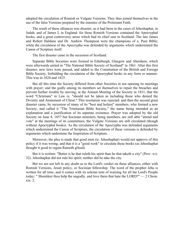adopted the circulation of Romish or Vulgate Versions. They thus joined themselves in the use of the false Versions prepared by the enemies of the Protestant Faith.

The result of these alliances was disaster, as it had been in the cases of Jehoshaphat, in Judah, and of James I, in England: for these Romish Versions contained the Apocryphal books, and a great controversy arose which had its chief seat in Scotland. The late James and Robert Haldane and Dr. Andrew Thompson were the champions of a. Pure Bible; while the circulation of the Apocrypha was defended by arguments which undermined the Canon of Scripture itself.

The first disaster came in the secession of Scotland.

Separate Bible Societies were formed in Edinburgh, Glasgow and Aberdeen; which were afterwards united in "The National Bible Society of Scotland" in 1861. Alter this first disaster, new laws were passed, and added to the Constitution of the British and Foreign Bible Society, forbidding the circulation of the Apocryphal books in any form or manner. This was in 1824 and 1825.

But all this time the Society differed from other Societies in not opening its meetings with prayer; and the godly among its members set themselves to repair the breaches and prevent further trouble by moving, at the Annual Meeting of the Society in 1831, that the word "Christians" in Law ix. "should not be taken as including those who denied the Divinity and Atonement of Christ." This resolution was rejected: and then the second great disaster came, by secession of many of its "best and holiest" members, who formed a new Society, and called it "The Trinitarian Bible Society," the name being intended as an explanation and a justification of its separate existence. Prayer was adopted by the old Society on June 8, 1857 but Socinian ministers, being members, are still able "attend and vote" at the meetings of its committees; the Vulgate Versions are still circulated (though without Apocryphal books). As the circulation of the Apocrypha was defended arguments which undermined the Canon of Scripture, the circulation of these versions is defended by arguments which undermine the Inspiration of Scripture.

Moreover, the plea is made that good men (ie. Jehoshaphat) would not approve of this policy if it was wrong; and that it is a "good work" to circulate these books (as Jehoshaphat thought it good to regain Ramoth gilead).

But it is written: "Better is he that ruleth his spirit than he that taketh a city" (Prov. xvi. 32). Jehoshaphat did not rule his spirit; neither did he take the city.

But we are not left in any doubt as to the Lord's verdict on these alliances, either with Romish Versions, Jesuit policy, or Socinian fellowship. The word of the prophet Jehu is written for all time, and it comes with its solemn note of warning for all the Lord's People today: " Shouldest thou help the ungodly, and love them that hate the LORD?" — 2 Chron. xix. 2.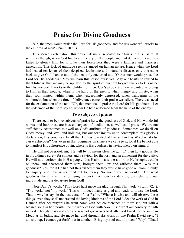## **Praise for Divine Goodness**

"Oh, that men would praise the Lord for His goodness, and for His wonderful works to the children of men" (Psalm 107:3).

This sacred exclamation, this devout desire is repeated four times in this Psalm. It seems as though, when God had heard the cry of His people and had delivered them, they failed to glorify Him for it. Like their forefathers they were a faithless and thankless generation. This lack of gratitude seems stamped on human nature. Hence when the Lord had healed ten lepers of their despised, loathsome and incurable disease, only one came back to give God thanks: out of the ten, only one cried out, "O that men would praise the Lord for His goodness." May we learn this lesson ourselves. May our hearts be roused to thankfulness, that we may be uplifted by the spirit of our text to give thanks to His name for His wonderful works to the children of men. God's people are here regarded as crying to Him in their trouble, when in the hand of the enemy, when hungry and thirsty, when their soul fainted within them, when exceedingly depressed, when wandering in the wilderness, but when the time of deliverance came, their praise was silent. There was need for the exclamation of the text, "Oh, that men would praise the Lord for His goodness... Let the redeemed of the Lord say so, whom He hath redeemed from the hand of the enemy."

#### **Two subjects of praise**

There seem to be two subjects of praise here; the goodness of God, and His wonderful works, and both these are blessed subjects of meditation, as well as of praise. We are not sufficiently accustomed to dwell on God's attribute of goodness. Sometimes we dwell on God's mercy, and love, and holiness, but our text invites us to contemplate this glorious declaration, His goodness. In all that He has revealed of Himself in His Word what else can we discover? Yes, even in His judgments on sinners we can see it; for if He be not able to manifest His abhorrence of sin, where is His goodness in having mercy on sinners?

He will not overlook sin, "He will by no means clear the guilty," then how good is He in providing a surety for sinners and a saviour for the lost, and an atonement for the guilty. He will not overlook sin in His people; this Psalm is a witness of how He brought trouble on them, and chastened them sore, brought them low and afflicted them. Was this goodness? Yes, for if He had not thus visited them they would have gone on from iniquity to iniquity, and have never cried out for mercy. So would you, so would I. Oh, what goodness there is in thus bringing us back from our wanderings, our rebellion, our ingratitude and our departure from God!

Note David's words, "Thou Lord hast made me glad through Thy work" (Psalm 92:4). "Thy work," not "my work." This will indeed make us glad and ready to praise the Lord. That is why he says in the last verse of our Psalm, "Whoso is wise and will observe these things, even they shall understand the loving kindness of the Lord." See the work of God in Hannah after her prayer! She went home with her countenance no more sad, but with a blessed song in her mouth. See the work of God with Naomi, she went out contrary to faith in God. Though chastened sore she was not given over to death. God loved her the same in Moab as in Judah, and He made her glad through His work. In one Psalm David says, "I am shut up, I cannot get forth" but in another "Bring my soul out of prison." Why? "That I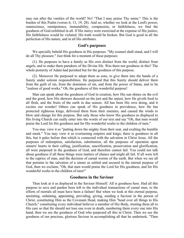may run after the vanities of the world? No! "That I may praise Thy name." This is the burden of this Psalm (verses 6, 13, 19, 28). And so, whether we look at the Lord's power, omniscience, omnipotence, immutability, compassion, or faithfulness, we find the goodness of God exhibited in all. If His mercy were exercised at the expense of His justice, His faithfulness would be violated, His truth would be broken. But God is good in all the perfection of His nature, and in all His attributes.

#### **God's purposes**

We specially behold His goodness in His purposes. "My counsel shall stand, and I will do all Thy pleasure." Just think for a moment of these purposes:

(1). He purposes to have a family as His own distinct from the world, distinct from angels, and to make them partakers of the Divine life. Was there not goodness in this? The whole posterity of Adam had perished but for the goodness of this purpose.

(2). Moreover He purposed to adopt them as sons, to give them into the hands of a Surety under solemn responsibilities. He purposed that this Surety should deliver them from the guilt of sin, from the dominion of sin, and from the power of Satan, and to be "zealous of good works." Oh, the goodness of this wonderful purpose!

Man can speak about the goodness of God in creation, how His sun shines on the evil and the good, how His showers descend on the just and the unjust, how He giveth food to all flesh, and the fruits of the earth in due season. All has been His own doing, and it excites our wonder! Others can speak of His goodness in providence, how He has protected righteous kings, delivered them from their enemies, and caused the winds to blow and change for this purpose. But only those who know His goodness as displayed to His living Church can really enter into the words of our text and say "Oh, that men would praise the Lord for His goodness and for His wonderful works to the children of men."

You may view it as "putting down the mighty from their seat, and exalting the humble and meek." You may view it as overturning empires and kings; there is goodness in all this, but it pales before that which is connected with the salvation in Christ Jesus. All the purposes of redemption, satisfaction, substitution, all the purposes of operation upon sinners' hearts in their calling, justification, sanctification, preservation and glorification, all were purposed in the goodness of God, and therefore cannot fail. You could not talk about goodness if all these things were matters of chance and might all fail. If all were left to the caprice of man, and the decision of carnal worms of the earth. But when we see all that pertains to the salvation of a sinner as settled and secured in the eternal purpose of God, then we exclaim, "Oh, that men would praise the Lord for His goodness, and for His wonderful works to the children of men!"

#### **Goodness in the Saviour**

Then look at it as displayed in the Saviour Himself. All is goodness here. Had all this purpose to save and pardon been left to the individual transactions of carnal men, to the efforts of mortals all must have been a failure! But when we look at this eternal purpose, anointing, ordaining, appointing, providing, giving, sending a Saviour in the person of Christ, constituting Him as the Covenant Head, making Him "head over all things to His Church," constituting every individual believer a member of His Body, trusting them all to His care so that He should not lose one even in death, numbering them every one into His hand, then we see the goodness of God who purposed all this in Christ. Then we see the goodness of our precious, glorious Saviour in accomplishing all that he undertook. "Then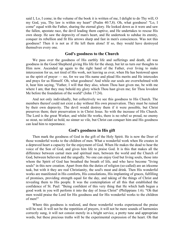said I, Lo, I come; in the volume of the book it is written of me, I delight to do Thy will, O my God, yea, Thy law is within my heart" (Psalm 40:7,8). Oh, what goodness! "Lo, I come" equal with the Father, sharing the eternal glory. He looked down as it were and saw the fallen, apostate race, the devil leading them captive, and He undertakes to rescue His own sheep. He saw the depravity of man's heart, and He undertook to subdue its enmity, conquer its rebellion and fit His arrows sharp and fast in men's consciences. Was not this goodness? Then it is not as if He left them alone! If so, they would have destroyed themselves every one.

#### **God's goodness to the Church**

We pass over the goodness of His earthly life and sufferings and death, all was goodness in the Good Shepherd giving His life for the sheep, but let us turn our thoughts to Him now. Ascended up again to the right hand of the Father, ever living to make intercession for us, not tired of His work, not leaving us ever, when He has bestowed upon us the spirit of prayer — no, for we use His name and plead His merits and He intercedes and prays for us Himself. Oh, what goodness! And while our souls are overwhelmed with it, hear him saying, "Father, I will that they also, whom Thou hast given me, be with me where I am; that they may behold my glory which Thou hast given me; for Thou lovedest Me before the foundation of the world" (John 17:24).

And not only individually, but collectively we see this goodness to His Church. The members thereof could not exist a day without His own preservation. They must be ruined by their own depravity. The devil would destroy them if it were possible, but Christ preserves them; their preservation is in Christ Jesus. So with the increase of His Church. The Lord is the great Worker, and whilst He works, there is no rebel so proud, no enemy so stout, no infidel so bold, no sinner so vile, but Christ can conquer him and His goodness can lead him to repentance.

### **God's goodness in His gift**

Then mark the goodness of God in the gift of the Holy Spirit. He is now the Doer of those wonderful works to the children of men. What a wonderful work when He creates in a depraved heart a capacity for the enjoyment of God. When He makes the dead to hear the voice of the Son of God, and gives him life to praise God. It is this that makes all the difference between carnal men and spiritual men, between the world and the Church of God, between believers and the ungodly. No one can enjoy God but living souls, those into whom the Spirit of God has breathed the breath of life, and who have become "living souls" in this new creation. Apart from this the duties of religion (so-called) are an irksome task, but with it they are real Christianity, the soul's meat and drink. Then His wonderful works are manifested in His comforts, His consolations, His implanting of graces, fulfilling of promises, providing strength equal for the day, and taking of the things of Christ and revealing them to His people. It was the contemplation of all this that established the confidence of St. Paul: "Being confident of this very thing that He which hath begun a good work in you will perform it into the day of Jesus Christ" (Philippians 1:6). "Oh that men would praise the Lord for His goodness and for His wonderful works to the children of men!"

Where this goodness is realized, and these wonderful works experienced the praise will be real. It will not be the repetition of prayers, it will not be mere sounds of harmonies correctly sung, it will not consist merely in a bright service, a pretty tune and appropriate words, but these precious truths will be the experimental expression of the heart. Oh that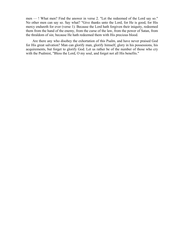men — ! What men? Find the answer in verse 2. "Let the redeemed of the Lord say so." No other men can say so. Say what? "Give thanks unto the Lord, for He is good, for His mercy endureth for ever (verse 1). Because the Lord hath forgiven their iniquity, redeemed them from the hand of the enemy, from the curse of the law, from the power of Satan, from the thraldom of sin; because He hath redeemed them with His precious blood.

Are there any who disobey the exhortation of this Psalm, and have never praised God for His great salvation? Man can glorify man, glorify himself, glory in his possessions, his acquirements, but forget to glorify God. Let us rather be of the number of those who cry with the Psalmist, "Bless the Lord, O my soul, and forget not all His benefits."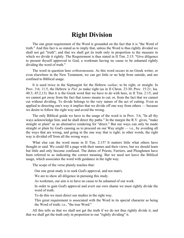# **Right Division**

The one great requirement of the Word is grounded on the fact that it is "the Word of truth." And this fact is so stated as to imply that, unless the Word is thus rightly divided we shall not get "truth"; and that we shall get its truth only in proportion to the measure in which we divide it rightly. The Requirement is thus stated in II Tim. 2:15: "Give diligence to present thyself approved to God, a workman having no cause to be ashamed rightly dividing the word of truth."

The word in question here *orthotomounta*. As this word occurs in no Greek writer, or even elsewhere in the New Testament, we can get little or no help from outside, and are confined to Biblical usage.

It is used twice in the Septuagint for the Hebrew *vashar*, to be right, or straight. In Prov. 3:6; 11:5, the Hebrew is *Piel* ,to make right (as in II Chron. 23:30; Prov. 15:21; Isa. 40:3; 45:2,13). But it is the Greek word that we have to do with here, in II Tim. 2:15; and we cannot get away from the fact that *temno* means to cut; or, from the fact that we cannot cut without dividing. To divide belongs to the very nature of the act of cutting. Even as applied to directing one's way it implies that we divide off one way from others — because we desire to follow the right way and avoid the wrong.

The only Biblical guide we have to the usage of the word is in Prov. 3:6, "In all thy ways acknowledge him, and he shall direct thy paths." In the margin the R.V. gives, "make straight or plain" as an alternative rendering for "direct." But our ways can only be made straight or plain by God's causing us to proceed on our Way aright  $-$  i.e., by avoiding all the ways that are wrong, and going in the one way that is right; in other words, the right way is divided off from all the wrong ways.

What else can the word mean in II Tim. 2:15? It matters little what others have thought or said. We could fill a page with their names and their views, but we should learn but little and only become confused. The duties of Priests, Furriers, and Ploughmen have been referred to as indicating the correct meaning. But we need not leave the Biblical usage, which associates the word with guidance in the right way.

The scope of the verse plainly teaches that:

Our one great study is to seek God's approval, and not man's.

We are to show all diligence in pursuing this study.

As workmen, our aim is to have no cause to be ashamed of our work.

In order to gain God's approval and avert our own shame we must rightly divide the word of truth.

To do this we must direct our studies in the right way.

This great requirement is associated with the Word in its special character as being the Word of truth; i.e., "the true Word."

All this tells us that we shall not get the truth if we do not thus rightly divide it; and that we shall get the truth only in proportion to our "rightly dividing" it.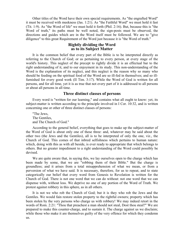Other titles of the Word have their own special requirements. As "the engrafted Word" it must be received with meekness (Jas. 1:21). As "the Faithful Word" we must hold it fast (Tit. 1:9). As "the Word of life" we must hold it forth (Phil. 2:16). But, because this is "the Word of truth," its paths must be well noted, the sign-posts must be observed, the directions and guides which are in the Word itself must be followed. We are to "give diligence" to this great Requirement of the Word just because it is "the Word of truth."

#### **Rightly dividing the Word as to its Subject Matter**

It is the common belief that every part of the Bible is to be interpreted directly as referring to the Church of God; or as pertaining to every person, at every stage of the world's history. This neglect of the precept to rightly divide it is an effectual bar to the right understanding of it, and to our enjoyment in its study. This non-understanding of the Word is the explanation of its neglect, and this neglect is the reason why so many who should be feeding on the spiritual food of the Word are so ill-fed in themselves; and so illfurnished for every good work (II Tim. 3:17). While the Word of God is written for all persons, and for all time, yet it is as true that not every part of it is addressed to all persons or about all persons in all time.

#### **Three distinct classes of persons**

Every word is "written for our learning," and contains what all ought to know: yet, its subject-matter is written according to the principle involved in I Cor. 10:32, and is written concerning one or other of three distinct classes of persons:

"The Jews, The Gentiles, and The Church of God."

According to the general belief, everything that goes to make up the subject-matter of the Word of God is about only one of these three: and, whatever may be said about the other two (the Jews and the Gentiles), all is to be interpreted of only the one, viz., the Church of God. This comes of that inbred selfishness which pertains to human nature: which, doing with this as with all beside, is ever ready to appropriate that which belongs to others. But no greater impediment to a right understanding of the Word could possibly be devised.

We are quite aware that, in saying this, we lay ourselves open to the charge which has been made by some, that we are "robbing them of their Bible." But the charge is groundless; and it arises from a total misapprehension of what we mean, or from a perversion of what we have said. It is necessary, therefore, for us to repeat, and to state categorically our belief that every word from Genesis to Revelation is written for the Church of God. There is not one word that we can do without: not one word that we can dispense with, without loss. We deprive no one of any portion of the Word of Truth. We protest against robbery in this sphere, as in all others.

It is not we who rob the Church of God; but it is they who rob the Jews and the Gentiles. We would fain restore stolen property to the rightful owners; property which has been stolen by the very persons who charge us with robbery! We may indeed retort in the words of Rom. 2:21: "Thou that preachest a man should not steal, Dost thou steal?" We are prepared to make this counter-charge, and to sustain it. The charge against us we disclaim; while those who make it are themselves guilty of the very offence for which they condemn us.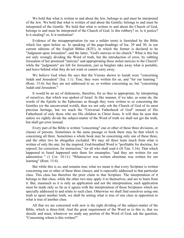We hold that what is written to and about the Jew, belongs to and must be interpreted of the Jew. We hold that what is written of and about the Gentile; belongs to and must be interpreted of the Gentile. We hold that what is written to and about the Church of God, belongs to and must be interpreted of the Church of God. Is this robbery? or, Is it justice? Is it stealing? or, Is it restitution?

Evidence of the misappropriation (to use a milder term) is furnished by the Bible which lies open before us. In speaking of the page-headings of Isa. 29 and 30, in our current editions of the English Bibles (KJV), in which the former is declared to be "Judgment upon Jerusalem"; and the latter, "God's mercies to his church." What is this but not only wrongly dividing the Word of truth, but the introduction of error, by robbing Jerusalem of her promised "mercies" and appropriating these stolen mercies to the Church? while the "judgments" are left for Jerusalem, just as burglars take away what is portable, and leave behind what they do not want or cannot carry away.

We believe God when He says that the Visions shown to Isaiah were "concerning Judah and Jerusalem" (Isa. 1:1). True, they were written for us; and "for our learning " (Rom. 15:4); but they are not addressed to us, or written concerning us, but "concerning Judah and Jerusalem."

It would be an act of dishonesty, therefore, for us thus to appropriate, by interpreting of ourselves, that which was spoken of Israel. In like manner, if we take, as some do, the words of the Epistle to the Ephesians as though they were written to or concerning the Gentiles (or the unconverted world), then we not only rob the Church of God of its most precious heritage, but we teach the ''Universal Fatherhood of God" instead of His Fatherhood of only those who are His children in Christ Jesus. It will thus be seen that unless we rightly divide the subject-matter of the Word of truth we shall not get the truth, but shall get error instead.

Every part of the Bible is written "concerning" one or other of these three divisions, or classes of persons. Sometimes in the same passage or book there may be that which is concerning all three. Sometimes a whole book may be concerning only one of these three, and the other two be altogether excluded. We may all three learn much from what is written of only the one; for the inspired, God-breathed Word is "profitable for doctrine, for reproof, for correction, for instruction," for all who shall read it (II Tim. 3:16). That which happened to Israel happened unto them for ensamples; "and they are written for our admonition " (1 Cor. 10:11). "Whatsoever was written aforetime was written for our learning" (Rom. 15:4).

But while this is so, and remains true; what we mean is that every Scripture is written concerning one or other of these three classes; and is especially addressed to that particular class. This class has therefore the prior claim to that Scripture. The interpretation of it belongs to that class; while the other two may apply it to themselves, and are to learn from it. But, inasmuch as it is only an application and not the interpretation, such application must be made only so far as it agrees with the interpretation of those Scriptures which are specially addressed to and relate to such class. Otherwise we shall find ourselves using one truth to upset another truth; we shall be setting what is true of one class in opposition to what is true of another class.

All that we are concerned with now is the right dividing of the subject-matter of the Bible, which is three-fold. And the great requirement of the Word as to this is, that we should, and must, whenever we study any portion of the Word of God, ask the question, "Concerning whom is this written?"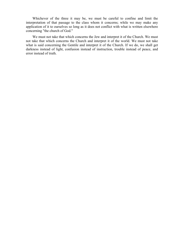Whichever of the three it may be, we must be careful to confine and limit the interpretation of that passage to the class whom it concerns; while we may make any application of it to ourselves so long as it does not conflict with what is written elsewhere concerning "the church of God."

We must not take that which concerns the Jew and interpret it of the Church. We must not take that which concerns the Church and interpret it of the world. We must not take what is said concerning the Gentile and interpret it of the Church. If we do, we shall get darkness instead of light, confusion instead of instruction, trouble instead of peace, and error instead of truth.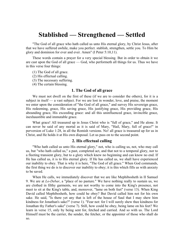# **Stablished — Strengthened — Settled**

"The God of all grace who hath called us unto His eternal glory, by Christ Jesus, after that we have suffered awhile, make you perfect. stablish, strengthen, settle you. To Him be glory and dominion for ever and ever. Amen" (I Peter 5:10,11).

These words contain a prayer for a very special blessing. But in order to obtain it we are cast upon the God of all grace — God, who performeth all things for us. Thus we have in this verse four things:

- (1) The God of all grace.
- (2) His effectual calling.
- (3) The necessary suffering.
- (4) The certain blessing.

#### **1. The God of all grace**

We must not dwell on the first of these (if we are to consider the others), for it is a subject in itself — a vast subject. For we are lost in wonder, love, and praise, the moment we enter upon the consideration of "the God of all grace," and survey His sovereign grace, His redeeming, grace, His saving grace, His justifying grace, His providing grace, His abounding grace, His exceeding grace: and all this uninfluenced grace, invincible grace, inexhaustible and immutable grace.

What grace! All treasured up in Jesus Christ who is "full of grace," and He alone. It can never be said of any mortal as it is said of Mary, "Hail, Mary, full of grace!" in perversion of Luke 1:28, in all the Romish versions. No! all grace is treasured up for us in Christ, and He holds it at His own disposal. Let us pass on to the second point.

#### **2. His effectual calling**

"Who hath called us unto His eternal glory," not, who is calling us, not, who may call us, but "who hath called us," a past, completed act, and that not to a temporal glory, nor to a fleeting transient glory, but to a glory which knew no beginning and can know no end. If He has called us, it is to His eternal glory. If He has called us, we shall have experienced our inability to obey. That is why it is here, "The God of all grace." When God commands, the first thing we do is to discover our inability to obey; it is this which fills us with anxiety to be saved.

When He calls, we immediately discover that we are like Mephibosheth in II Samuel 9. We are at *Lo-Debar*, a "place of no pasture." We have nothing really to sustain us, we are clothed in filthy garments, we are not worthy to come into the King's presence, not meet to sit at the King's table, and, moreover, "lame on both feet" (verse 13). When King David called Mephibosheth, how could he obey? But David called him not for his own sake. He said, "Is there yet any that is left of the house of Saul that I may shew him kindness for Jonathan's sake?" (verse 1). "Fear not: for I will surely shew thee kindness for Jonathan thy Father's sake" (verse 7). Still, how could he obey, being lame on his feet? We learn in verse 15, only by being sent for, fetched and carried. And so with us. The Lord Himself must be the carrier, the sender, the fetcher, or the appointer of those who shall do so.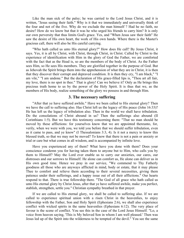Like the man sick of the palsy; he was carried to the Lord Jesus Christ, and it is written, "Jesus seeing their faith." Why is it that we immediately and universally think of the four and not of the five. Why do we exclude the man himself ? Had he no faith, no desire? How do we know but that it was he who urged his friends to carry him? It is only our own perversity that thus limits God's grace. Yes, and "When Jesus saw their faith" He saw the desire of His own heart, the work of His own hands. Where there is the Master's gracious call, there will also be His careful carrying.

"Who hath called us unto His eternal glory?" How does He call? By Jesus Christ, it says. Yes, it is all by Christ, with Christ, through Christ, in Christ. Called by Christ to the experience of identification with Him in the glory of God the Father, we are comforted with the fact that as the Head is, so are the members of the body of Christ. As the Father sees Him, so He sees His members. They are glorified together in the purpose of God. But as Jehovah the Spirit brings them into the apprehension of what they are in Christ, it is then that they discover their corrupt and depraved condition. It is then they cry, "I am black," "I am vile," "I am undone." But the declaration of His grace-filled lips is, "Thou art all fair, my love, there is no spot in thee." That is glory! Can we believe it? Only as He brings this precious truth home to us by the power of the Holy Spirit. It is thus that we, as the members of His body, realize something of the glory we possess in and through Him.

#### **3. The necessary suffering**

"After that ye have suffered awhile." Have we been called to His eternal glory? Then we have the call to suffering also. Has Christ left us the legacy of His peace (John 16:33)? He has left us the legacy of tribulation also. Then in the world we shall have tribulation. Do the consolations of Christ abound in us? Then the sufferings also abound (II Corinthians 1:5). But we have this testimony concerning them: "That no man should be moved by these afflictions: for yourselves know that we are appointed thereunto, for, verily, when we were with you, we told you before that we should suffer tribulation, even as it came to pass, and ye know" (I Thessalonians 3:3, 4). Is it not a mercy to know this blessed truth, so that we may not be moved? To know that there is not a pain or anxiety or trial or care but what comes in all wisdom, and is accompanied by infinite love.

Have you experienced any of them? What have you done with them? Does your conscience condemn you for having taken them to anyone but to Him, who calls you by them to Himself? May the Lord ever enable us to carry our anxieties, our cares, our distresses and our sorrows to Himself. He alone can comfort us, He alone can deliver us in His own good time. Hence we pray in our service, "We commend to Thy Fatherly goodness all those who are anyways afflicted in mind, body or estate, that it may please Thee to comfort and relieve them according to their several necessities, giving them patience under their sufferings, and a happy issue out of all their afflictions." Our hearts respond to that. There is true fellowship there. "The God of all grace who hath called us unto His eternal glory by Christ Jesus, after that ye have suffered awhile, make you perfect, stablish, strengthen, settle you." Christian sympathy breathed in that prayer.

If we are called to His eternal glory, we shall be called to suffering also. If we are called to experience spiritual union with a risen Christ in the heavenlies, to enjoy fellowship with the Father, Son and Holy Spirit (Ephesians 2:6), we shall also experience conflict with wicked spirits in the same heavenlies (Ephesians 6:12). The very place of favour is the scene of conflict. You see this in the case of the Lord Jesus Himself. "Lo, a voice from heaven saying, 'This is My beloved Son in whom I am well pleased.' Then was Jesus led up of the Spirit into the wilderness to be tempted of the devil." You see the same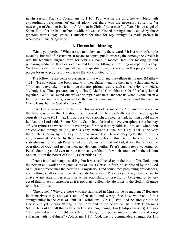in His servant Paul (II Corinthians 12:1-10). Paul was in the third heaven, blest with extraordinary revelations of eternal glory, yet there was the necessary suffering, '"a messenger of Satan to buffet him." "A man in Christ," yet a man "buffeted" by an angel of Satan. But after he had suffered awhile he was stablished, strengthened, settled by those gracious words, "My grace is sufficient for thee for My strength is made perfect in weakness." This brings us to...

#### **4. The certain blessing**

"Make you perfect." What are we to understand by these words? It is a word of simple meaning, but full of instruction. It means to adjust, put in order again. Among the Greeks it was the technical surgical term for setting a bone, a medical term for making up and preparing medicine. It was also a nautical term for fitting out, refitting or repairing a ship. We have its various meanings, all true in a spiritual sense, expressed in this prayer; it is the prayer for us to pray, and it expresses the work of God for us.

The following are some occurrences of the word, and they illustrate its use: (Matthew 4:21), "He saw other two brethren... with their father mending their nets." (Galatians 6:1). "If a man be overtaken in a fault, ye that are spiritual restore such a one." (Hebrews 10:5), "A body hast Thou prepared (margin fitted) Me." (I Corinthians 1:10), "Perfectly joined together." Who can mend our ways and repair our nets? Restore us when overtaken in a fault, prepare our hearts, join us together in the same mind, the same mind that was in Christ Jesus, but the God of all grace?

It is He also who can stablish us. This speaks of permanency. "It came to pass when the time was come that He should be received up He steadfastly set His face to go to Jerusalem (Luke 9:51); i.e., His purpose was stablished, fixed, settled; nothing could move it. "And the Lord said, 'Simon, Simon, Satan hath desired to have you (plural) that he may sift you (plural) as wheat, but I have prayed for thee that thy faith fail not, and when thou art converted strengthen (i.e., stablish) thy brethren'" (Luke 22:31,32). That is the very thing Peter is doing by the Holy Spirit here in our text. He was obeying by the Spirit this very command. May he by these words stablish us his brethren now. His very example stablishes us, for though Peter failed and fell, his faith did not fail, it was the faith of the operation of God, and neither men nor demons, neither Peter's sins, Peter's wavering, or Peter's doubting could ever mar the fair beauty of that faith which stood not "in the wisdom of men, but in the power of God" ( I Corinthians 2:5).

Peter's faith had many a shaking, but it was stablished upon the truth of his God, upon the person and work and righteousness of Jesus Christ. A faith, so stablished by the "God of all grace," reconciles the heart to His mysterious and sometimes perplexing providences, and nothing shall ever remove it from its foundation. Peter does not say that we are to arrive at any state of perfection, or at this stablishing by praying, by believing, or by any act of faith or act of surrender as it is popularly called. No. He looks to the God of all grace to do it all for us.

"Strengthen." Why are those who are stablished in Christ to be strengthened? Because in themselves they are weak and often faint and weary. See how we read of this strengthening in the case of Paul (II Corinthians 12:5-10). Paul had no strength out of Christ, and yet he was "strong in the Lord, and in the power of His might" (Ephesians 6:10). He could do all things through Christ strengthening Him (Philippians 4:13). He was "strengthened with all might according to His glorious power unto all patience and longsuffering with joyfulness" (Colossians 1:11). God, having commanded strength for His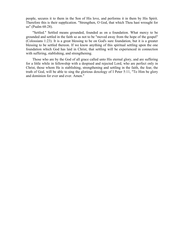people, secures it to them in the Son of His love, and performs it in them by His Spirit. Therefore this is their supplication. "Strengthen, O God, that which Thou hast wrought for us" (Psalm 68:28).

"Settled." Settled means grounded, founded as on a foundation. What mercy to be grounded and settled in the faith so as not to be "moved away from the hope of the gospel" (Colossians 1:23). It is a great blessing to be on God's sure foundation, but it is a greater blessing to be settled thereon. If we know anything of this spiritual settling upon the one foundation which God has laid in Christ, that settling will be experienced in connection with suffering, stablishing, and strengthening.

Those who are by the God of all grace called unto His eternal glory, and are suffering for a little while in fellowship with a despised and rejected Lord, who are perfect only in Christ, those whom He is stablishing, strengthening and settling in the faith, the fear, the truth of God, will be able to sing the glorious doxology of I Peter 5:11, "To Him be glory and dominion for ever and ever. Amen."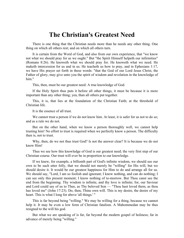# **The Christian's Greatest Need**

There is one thing that the Christian needs more than he needs any other thing. One thing on which all others rest; and on which all others turn.

It is certain from the Word of God, and also from our own experience, that "we know not what we should pray for as we ought." But "the Spirit Himself helpeth our infirmities" (Romans 8:26). He knoweth what we should pray for. He knoweth what we need. He maketh intercession for us and in us. He teacheth us how to pray, and in Ephesians 1:17, we have His prayer set forth in these words: "that the God of our Lord Jesus Christ, the Father of glory, may give unto you the spirit of wisdom and revelation in the knowledge of him."

This, then, must be our greatest need: A true knowledge of God.

If the Holy Spirit thus puts it before all other things, it must be because it is more important than any other thing; yea, than all others put together.

This, it is, that lies at the foundation of the Christian Faith; at the threshold of Christian life.

It is the essence of all trust.

We cannot trust a person if we do not know him. At least, it is safer for us not to do so; and as a rule we do not.

But on the other hand, when we know a person thoroughly well, we cannot help trusting him! No effort to trust is required when we perfectly know a person. The difficulty then is, not to trust.

Why, then, do we not thus trust God? Is not the answer clear? It is because we do not know Him!

Thus we see how this knowledge of God is our greatest need; the very first step of our Christian course. Our trust will ever be in proportion to our knowledge.

If we knew, for example, a billionth part of God's infinite wisdom, we should see our own to be such utter folly, that we should not merely be "willing" for His will, but we should desire it. It would be our greatest happiness for Him to do and arrange all for us. We should say, "Lord, I am so foolish and ignorant; I know nothing, and can do nothing; I can see only this present moment; I know nothing of to-morrow. But Thou canst see the end from the beginning. Thy wisdom is infinite, and thy love is infinite; for, our Saviour and Lord could say of us to Thee, as Thy beloved Son — "Thou hast loved them, as thou has loved me" (John 17:23). Do, then, Thine own will. This is my desire, the desire of my heart. This is what I long for above 'all things.' "

This is far beyond being "willing." We may be willing for a thing, because we cannot help it. It may be even a low form of Christian fatalism. A Mahommedan may be thus resigned to the will his god.

But what we are speaking of is far, far beyond the modern gospel of holiness; far in advance of merely being "willing."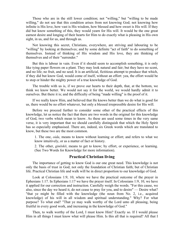Those who are in the still lower condition; not "willing," but "willing to be made willing," do not see that this condition arises from not knowing God; not knowing how infinite is His love, how vast is His wisdom, how blessed and how sweet is His will. If they did but know something of this, they would yearn for His will. It would be the one great earnest desire and longing of their hearts for Him to do exactly what is pleasing in His own sight, in us, and for us, and through us.

Not knowing this secret, Christians, everywhere, are striving and labouring to be "willing" by looking at themselves; and by some definite "act of faith" to do something of themselves. Instead of thinking of His wisdom and His love, they are thinking of themselves and of their "surrender."

But this is labour in vain. Even if it should seem to accomplish something, it is only like tying paper flowers on a plant. They may look natural and fair; but they have no scent, and no life; no fruit, and no seed. It is an artificial, fictitious attempt to produce that which, if they did but know God, would come of itself, without an effort: yea, the effort would be to stop or hinder the mighty power of a true knowledge of God.

The trouble with us is, if we prove our hearts to their depth, that, at the bottom, we think we know better. We would not say it for the world, we would hardly admit it to ourselves. But there it is; and the difficulty of being "made willing" is the proof of it.

If we really knew Him, and believed that He knows better than we do what is good for us, there would be no effort whatever, but only a blessed irrepressible desire for His will.

Before we proceed further to consider some other of the practical effects of this knowledge, let us notice the fact that there are two words in the original for this knowledge of God, two verbs which mean to know. As these are used some times in the very same verse, it is very important that we should carefully distinguish that which the Holy Spirit has so especially emphasised. There are, indeed, six Greek words which are translated to know, but these two are the most common.

1. The one, *oida*, means to know without learning or effort; and refers to what we know intuitively, or as a matter of fact or history.

2. The other, *ginōskō*, means to get to know; by effort, or experience, or learning. (See Two Words for Knowledge for more information).

#### **Practical Christian living**

The importance of getting to know God is our one great need. This knowledge is not only the basis of trust in God; not only the foundation of Christian faith; but of Christian life. Practical Christian life and walk will be in direct proportion to our knowledge of God.

Look at Colossians 1:9, 10, where we have the practical outcome of the prayer in Ephesians 1:17. In Ephesians 1:17 we have the prayer itself. In Colossians 1:9, 10, we have it applied for our correction and instruction. Carefully weigh the words. "For this cause, we also, since the day we heard it, do not cease to pray for you, and to desire" — Desire what? "that ye might be filled with the knowledge (the noun from No. 2, i.e., acquired knowledge) of his will in all wisdom and spiritual understanding." Why? For what purpose? To what end? "That ye may walk worthy of the Lord unto all pleasing, being fruitful in every good work, and increasing in the knowledge of God."

Then, to walk worthy of the Lord, I must know Him? Exactly so. If I would please Him in all things I must know what will please Him. Is this all that is required? All that I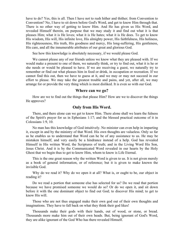have to do? Yes, this is all. Then I have not to rush hither and thither; from Convention to Convention? No, I have to sit down before God's Word, and get to know Him through that. There is no other way of getting to know Him. And He has given us His Word, and revealed Himself therein, on purpose that we may study it and find out what it is that pleases Him; what it is He loves; what it is He hates; what it is He does. To get to know His wisdom, His will, His infinite love, His almighty power, His faithfulness, His holiness, His righteousness, His truth, His goodness and mercy, His long-suffering, His gentleness, His care, and all the innumerable attributes of our great and glorious God.

See how this knowledge is absolutely necessary, if we would please God.

We cannot please any of our friends unless we know what they are pleased with. If we would make a present to one of them, we naturally think, or try to find out, what it is he or she needs or would be pleased to have. If we are receiving a guest, we naturally try to remember or find out what pleases him in food or drink, in occupation or recreation. If we cannot find this out, then we have to guess at it, and we may or may not succeed in our effort to please. We may take the greatest trouble and pains, and yet, after all, we may arrange for or provide the very thing which is most disliked. It is even so with our God.

#### **Where can we go?**

How are we to find out the things that please Him? How are we to discover the things He approves?

#### **Only from His Word.**

There, and there alone can we get to know Him. There alone shall we learn the fulness of the Spirit's prayer for us in Ephesians 1:17; and the blessed practical outcome of it in Colossians 1:9, 10.

No man has this knowledge of God intuitively. No minister can even help in imparting it, except in and by the ministry of that Word. His own thoughts are valueless. Only so far as he enables us to understand that Word can he be of any assistance to us. He may be mistaken himself, and very easily be a hindrance instead of a help. God has revealed Himself in His written Word, the Scriptures of truth; and in the Living Word His Son, Jesus Christ. And it is by the Communicated Word revealed in our hearts by the Holy Ghost that we begin thus to get to know Him, whom to know is Life Eternal.

This is the one great reason why the written Word is given to us. It is not given merely as a book of general information, or of reference; but it is given to make known the invisible God.

Why do we read it? Why do we open it at all? What is, or ought to be, our object in reading it?

Do we read a portion that someone else has selected for us? Do we read that portion because we have promised someone we would do so? Or do we open it, and sit down before it with the one dominant object to find out God; to discover His mind; to get to know His will.

Those who are not thus engaged make their own god out of their own thoughts and imaginations. They have to fall back on what they think their god likes!

Thousands make their gods with their hands, out of wood, or stone, or bread. Thousands more make him out of their own heads. But, being ignorant of God's Word, they are alike ignorant of the God Who has there revealed Himself.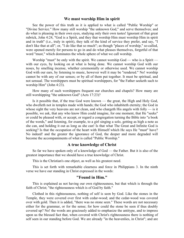#### **We must worship Him in spirit**

See the power of this truth as it is applied to what is called "Public Worship" or "Divine Service." How many still worship "the unknown God," and serve themselves; and do what is pleasing in their own eyes, studying only their own tastes! Ignorant of that great rubrick, John 4:24, "God is a Spirit, and they that worship Him must worship Him in spirit and in truth" (i.e., truly in spirit), they talk of the kind of service they prefer, and say, "I don't like that at all"; or, "I do like that so much"; as though "places of worship," so-called, were opened merely for persons to go in and do what pleases themselves, forgetful of that word "must," which dominates the whole sphere of what we call worship.

Worship "must" be only with the spirit. We cannot worship God — who is a Spirit with our eyes, by looking on at what is being done. We cannot worship God with our noses, by smelling incense, whether ceremonially or otherwise used. We cannot worship God with our ears, by listening to music, however well it may be "rendered." No! worship cannot be with any of our senses; or by all of them put together. It must be spiritual, and not sensual. The worshippers must be spiritual worshippers, for "the Father seeketh such to worship Him" (John 4:23).

How many of such worshippers frequent our churches and chapels? How many are still worshipping "the unknown God" (Acts 17:23)?

Is it possible that, if the true God were known — the great, the High and Holy God, who dwelleth not in temples made with hands; the God who inhabiteth eternity; the God in whose sight the very heavens are not clean, and who chargeth His angels with folly  $-$  is it possible, we ask, that any who know Him could imagine, for one moment, that He "seeks" or could be pleased with, or accept, or regard a congregation turning the Bible into "a book of the words," and listening, for example, to a girl singing a solo, getting as high a note as she can, and holding it out as long as she can! Is that what The Great and Infinite God is seeking? Is that the occupation of the heart with Himself which He says He "must" have? No indeed! and the greater the ignorance of God, the deeper and more degraded will become the accompaniments of what is called "Public Worship."

#### **A true knowledge of Christ**

So far we have spoken only of a knowledge of God — the Father. But it is also of the greatest importance that we should have a true knowledge of Christ.

This is the Christian's one object, as well as his greatest need.

This is set forth with remarkable clearness and force in Philippians 3. In the ninth verse we have our standing in Christ expressed in the words:

#### **"Found in Him."**

This is explained as not having our own righteousness, but that which is through the faith of Christ; "the righteousness which is of God by faith."

Clothed in this righteousness, nothing of self is seen by God. Like the stones in the Temple, they were covered over first with cedar-wood; and the cedar-wood was covered over with gold. Then it is added, "there was no stone seen." These words are not necessary either for the grammar, or for the sense; for how could the stone be seen if thus doubly covered up? No! the words are graciously added to emphasize the antitype, and to impress upon us the blessed fact that, when covered with Christ's righteousness there is nothing of self seen in our standing before God. We are already "in the heavenlies, in Christ"; and are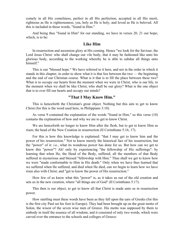comely in all His comeliness, perfect in all His perfection, accepted in all His merit, righteous as He is righteousness; yea, holy as He is holy, and loved as He is beloved. All this is included in those words, "found in Him."

And being thus "found in Him" for our standing, we have in verses 20, 21 our hope; which, is to be:

#### **Like Him**

In resurrection and ascension glory at His coming. Hence "we look for the Saviour, the Lord Jesus Christ: who shall change our vile body, that it may be fashioned like unto his glorious body, according to the working whereby he is able to subdue all things unto himself."

This is our "blessed hope." We have referred to it here, and not in the order in which it stands in this chapter, in order to show what it is that lies between the two — the beginning and the end of our Christian course. What is it that is to fill the place between these two? What is to occupy our hearts from the moment when we were in Christ, who is our life, to the moment when we shall be like Christ, who shall be our glory? What is the one object that is to ever fill our hearts and occupy our minds?

### **"That I May Know Him."**

This is henceforth the Christian's great object. Nothing but this aim to get to know Christ (for this is the word used here, in Philippians 3:10).

As verse 9 contained the explanation of the words "found in Him," so this verse (10) contains the explanation of how and why we are to get to know Christ.

We are henceforth no longer to know Him after the flesh, but to get to know Him as risen; the head of the New Creation in resurrection (II Corinthians 5:16, 17).

For this is how this knowledge is explained: "that I may get to know him and the power of his resurrection." Not to know merely the historical fact of his resurrection, but the "power" of it: i.e., what its wondrous power has done for us. But how can we get to know this "power"? Ah! only by experiencing "the fellowship of His sufferings": by learning that when He, the Head of the Body, suffered, all the members of that Body suffered in mysterious and blessed "fellowship with Him." Thus shall we get to know how we were "made conformable to Him in His death." Only when we have thus learned that we suffered when He suffered, and died when He died, can we begin to learn how we have risen also with Christ; and "get to know the power of His resurrection."

How few of us know what this "power" is, as it takes us out of the old creation and sets us in the new creation, where "all things are of God" (II Corinthians 5:17).

This then is our object, to get to know all that Christ is made unto us in resurrection power.

How startling must these words have been as they fell upon the ears of Greeks (for this is the first city Paul set his foot in Europe). They had been brought up on the great motto of Solon, the wisest of the seven wise men of Greece. His motto was supposed by them to embody in itself the essence of all wisdom; and it consisted of only two words, which were carved over the entrance to the schools and colleges of Greece: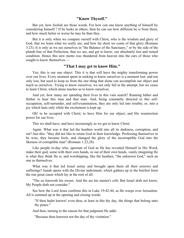#### **"Know Thyself."**

But yet, how foolish are those words. For how can one know anything of himself by considering himself ? If he looks at others, then he can see how different he is from them; and how much better or worse he may be than they.

But it is only when we compare ourself with Christ, who is the wisdom and glory of God, that we learn what we really are; and how far short we come of that glory (Romans 3:23). It is only as we see ourselves in "the Balance of the Sanctuary," or by the side of the plumb-line of that Perfection, that we see, and get to know, our absolutely lost and ruined condition. Hence this new motto was thundered from heaven into the ears of those who sought to know themselves —

### **"That I may get to know Him."**

Yes; this is our one object. This it is that will have the mighty transforming power over our lives. Every moment spent in seeking to know ourselves is a moment lost: and not only lost, but used to keep us from the one thing that alone can accomplish our object and teach us ourselves. Trying to know ourselves, we not only fail in the attempt, but we cease to learn Christ, which alone teaches us to know ourselves.

And yet, how many are spending their lives in this vain search? Running hither and thither to hear this man and that man. And, being constantly directed to this selfoccupation, self-surrender, and self-examination, they are only led into trouble; or, into a joy which lasts only while the excitement is kept up.

Oh! to be occupied with Christ; to have Him for our object; and His resurrection power for our lives.

This we shall have; and have increasingly as we get to know Christ.

Again. What was it that led the heathen world into all its darkness, corruption, and sin? Just this: "they did not like to retain God in their knowledge. Professing themselves to be wise, they became fools, and changed the glory of the incorruptible God into the likeness of corruptible man" (Romans 1:22,28).

Like people to-day who, ignorant of God as He has revealed Himself in His Word, make their god, some with their own hands, or out of their own heads, vainly imagining He is what they think He is, and worshipping, like the heathen, "the unknown God," such an one as themselves.

What was it that led Israel astray and brought upon them all their sorrows and sufferings? Isaiah opens with the Divine indictment, which gathers up in the briefest form the one great cause which lay at the root of all:

"The ox knoweth his owner, And the ass his master's crib; But Israel doth not know, My People doth not consider."

See how the Lord Jesus confirms this in Luke 19:42-44, as He weeps over Jerusalem. All is summed up in the opening and closing words:

"If thou hadst known! even thou, at least in this thy day, the things that belong unto thy peace."

And then, turning to the reason for that judgment He adds:

"Because thou knewest not the day of thy visitation."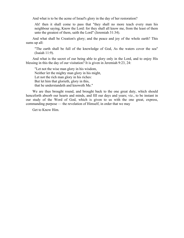And what is to be the acme of Israel's glory in the day of her restoration?

Ah! then it shall come to pass that "they shall no more teach every man his neighbour saying, Know the Lord: for they shall all know me, from the least of them unto the greatest of them, saith the Lord" (Jeremiah 31:34).

And what shall be Creation's glory; and the peace and joy of the whole earth? This sums up all:

"The earth shall be full of the knowledge of God, As the waters cover the sea" (Isaiah 11:9).

And what is the secret of our being able to glory only in the Lord, and to enjoy His blessing in this the day of our visitation? It is given in Jeremiah 9:23, 24:

"Let not the wise man glory in his wisdom, Neither let the mighty man glory in his might, Let not the rich man glory in his riches: But let him that glorieth, glory in this, that he understandeth and knoweth Me."

We are thus brought round, and brought back to the one great duty, which should henceforth absorb our hearts and minds, and fill our days and years; viz., to be instant in our study of the Word of God, which is given to us with the one great, express, commanding purpose — the revelation of Himself, in order that we may

Get to Know Him.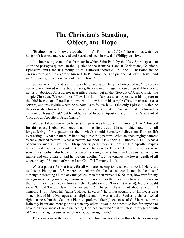# **The Christian's Standing, Object, and Hope**

"Brethren, be ye followers together of me" (Philippians 3:17). "Those things which ye have both learned and received and heard and seen in me, do" (Philippians 4:9).

It is interesting to note the character in which Saint Paul, by the Holy Spirit, speaks to us in the passages quoted. In the Epistles to the Romans, I and II Corinthians, Galatians, Ephesians, and I and II Timothy, he calls himself "Apostle." In I and II Thessalonians he uses no term at all in regard to himself. In Philemon, he is "a prisoner of Jesus Christ," and in Philippians, only, "a servant of Jesus Christ."

So that when he writes and speaks here, and says, "be ye followers of me," he speaks not as one endowed with extraordinary gifts, or one privileged to see unspeakable visions, not as a laborious Apostle, nor as a gifted vessel, but as the "Servant of Jesus Christ," the simple Christian. We could not follow him in his labours as an Apostle, in his rapture to the third heaven and Paradise; but we can follow him in his simple Christian character as a servant, and this Epistle where he exhorts us to follow him, is the only Epistle in which he thus describes himself simply as a servant. It is true that in Romans he styles himself a "servant of Jesus Christ," but he adds, "called to be an Apostle"; and in Titus, "a servant of God, and an Apostle of Jesus Christ."

We can follow him when he sets the pattern as he does in I Timothy 1:16. "Howbeit for this cause I obtained mercy that in me first, Jesus Christ might, show forth all longsuffering, for a pattern to them which should hereafter believe on Him to life everlasting." What a pattern! What a hope-inspiring pattern! What an encouraging pattern! What a blessed pattern! What a pattern for poor lost sinners (I Timothy 1:13)! What a pattern for such as have been "blasphemers, persecutors, injurious"! The Apostle couples himself with another servant of God when he says to Titus (3:3), "We ourselves were sometimes foolish disobedient, deceived, serving divers lusts and pleasures, living in malice and envy, hateful and hating one another." But he touches the lowest depth of all when he says, "Sinners; of whom I am Chief" (I Timothy 1:15).

What a pattern for Pharisees, for all who are seeking to be saved by works! He refers to this in Philippians 2:3, where he declares that he has no confidence in the flesh," although possessing all the advantages enumerated in verses 4-6. So that, however far any may go in working out a righteousness of their own, so that they may have confidence in the flesh, they hear a voice from a higher height saying, "I more" (verse 4). No one could excel Saul of Tarsus. Hear him in verses 5, 6. The point here is not about sins as in I Timothy 1, but about his "gains". Hence in verse 7 he is not speaking of his needs as a sinner, but of his advantages as a religious man; it was not that Saul as a sinner needed righteousness, but that Saul as a Pharisee preferred the righteousness of God because it was infinitely better and more glorious than any other. It would be a positive loss for anyone to have a righteousness of his own, seeing God has provided "that which is through the faith of Christ, the righteousness which is of God through faith."

This brings us to the first of three things which are revealed in this chapter as making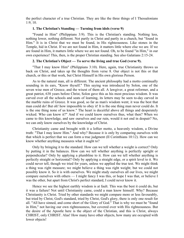the perfect character of a true Christian. They are like the three things of I Thessalonians 1:9, 10.

### **1. The Christian's Standing — Turning from idols (verse 9)**

"Found in Him" (Philippians 3:9). This is the Christian's standing. Nothing less, nothing lower, nothing different. Not partly in Christ and partly in a church, but "found in Him." It is in Christ that we must be found, in His righteousness. Like stones in the Temple, hid in Christ. If we are not found in Him, it matters little where else we are. If we are found in Him, it matters little where we are not found. Oh, to be found "in Him," in our own experience! This, then, is the proper Christian standing. See also Galatians 2:15-24.

#### **2. The Christian's Object — To serve the living and true God (verse 9).**

"That I may know Him" (Philippians 3:10). Here, again, true Christianity throws us back on Christ, and takes up the thoughts from verse 8. Our object is not this or that church, or this or that work, but Christ Himself in His own glorious Person.

As to the natural man, all is different. The ancient philosophy had a motto continually sounding in its ears, "Know thyself." This saying was introduced by Solon, one of the seven wise men of Greece, and the wisest of them all. A lawgiver, a great reformer, and a great patriot, 638 years before Christ, Solon gave this as his most precious wisdom. It was carved over all the schools and seats of learning, its letters may be seen to-day carved in the marble ruins of Greece. It was good, so far as man's wisdom went; it was the best that man could do! But oh! how impossible to obey it! It is the one thing man never could do. It is the one thing none of us know." The heart is deceitful above all things and desperately wicked. Who can know it?" And if we could know ourselves thus, what then? When we came to this knowledge, and saw ourselves and our ruin, would it not end in despair? No, we can only know ourselves by the knowledge of Christ.

Christianity came and brought with it a loftier motto, a heavenly wisdom, a Divine truth: "That I may know Him." And why? Because it is only by comparing ourselves with that which is perfect that we can form a true judgment (II Corinthians 10:12). How can we know whether anything measures what it ought to?

Only by bringing it to the standard. How can we tell whether a weight is correct? Only by putting it in the balances. How can we tell whether anything is perfectly upright or perpendicular? Only by applying a plumbline to it. How can we tell whether anything is perfectly straight or horizontal? Only by applying a straight edge, or a spirit level to it. We could never tell, though we tried for years, unless we applied the true test. We might think a thing was right measure; we might believe a thing was right weight; but we could not possibly know it. So it is with ourselves. We might study ourselves all our lives, we might compare ourselves with others — I might fancy I was this, or hope I was that, or believe I was the other, but apart from Christ's perfect standard, I could never know it.

Hence we see the highest earthly wisdom is at fault. This was the best it could do, but it was a failure! Not until Christianity came, could a man know himself. Why? Because Christianity is Christ. Tried by other standards we might compare more or less favourably, but tried by Christ, God's standard, tried by Christ, God's glory, there is only one result for all. "All have sinned, and come short of the Glory of God." That is why we must be "found in Him," not having our own righteousness, but covered over with His righteousness. But the desire of the Apostle here is the object of the Christian, and this is Christ, always CHRIST, only CHRIST. Alas! How many have other objects, how many are occupied with lower objects!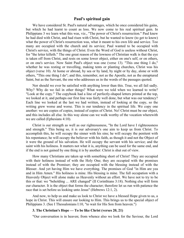#### **Paul's spiritual gain**

We have considered St. Paul's natural advantages, which he once considered his gains, but which he had learnt to count as loss. We now come to his real spiritual gain. In Philippians 3 we learn what this was, viz., "The power of Christ's resurrection." Paul knew he had died with Christ, and had risen with Christ, but he wanted to know (to get to know) what the power of Christ's resurrection was, what it meant to his own life and service. Too many are occupied with the church and its service; Paul wanted to be occupied with Christ's service, with the things of Christ. Even the Word of God is useless without Christ, for "the letter killeth." The one great reason of the lowness of Christian walk is that the eye is taken off from Christ, and rests on some lower object, either on one's self, or on others, or on one's service. Now Saint Paul's object was one (verse 13). "This one thing I do," whether he was resting or travelling, making tents or planting churches, Christ was his object (verse 10). At home or abroad, by sea or by land, by night or by day, alone or with others, "This one thing I do"; and this, remember, not as the Apostle, not as the enraptured Saint, but as the Servant, the one who addresses us in the words of the passages quoted.

Nor should we ever be satisfied with anything lower than this. True, we all fail sadly. Why? Why do we fail in other things? What were we told when we learned to write? "Look at the copy." The copybook had a line of perfectly-shaped letters printed at the top, we looked at it, and perhaps our first line was fairly well done, but what was our tendency? Each line we looked at the last we had written, instead of looking at the copy, so the writing grew worse and worse. This is our tendency in the spiritual life. We copy one another: we are copies of copies, instead of copies of Christ. No! Christ must be our object, and this includes all else. In this way alone can we walk worthy of the vocation wherewith we are called (Ephesians 4:10).

Christ is our strength as well as our righteousness, "In the Lord have I righteousness and strength." This being so, it is our adversary's one aim to keep us from Christ. To accomplish this, he will occupy the sinner with his sins; he will occupy the penitent with his repentance; he will occupy the believer with his faith, as though it and not the Object of it were the ground of his salvation. He will occupy the servant with his service; and the saint with his holiness. It matters not what it is, anything can be used for the same end, and if the end is not gained by one thing it is by another: Christ is shut out of view.

How many Christians are taken up with something short of Christ! They are occupied with their holiness instead of with the Holy One; they are occupied with the promises instead of with the Promiser; they are occupied with the blessing instead of with the Blesser. And yet having Him we have everything. The promises of God "in Him are yea and in Him Amen." His holiness is mine. His blessing is mine. The full occupation with a Heavenly Object will alone make us Heavenly without an effort. We have not to try to be this or that: we "beholding ... ARE changed" (II Corinthians 3:18). Nothing else will form our character. It is the object that forms the character; therefore let us run with patience the race that is set before us looking unto Jesus" (Hebrews 12:1, 2).

And now, to help us and make us look to Christ we have a blessed Hope given to us, a hope in Christ. This will ensure our looking to Him. This brings us to the special object of Philippians 3. (See I Thessalonians l:10, "to wait for His Son from heaven.")

#### **3. The Christian's Hope — To be like Christ (verses 20, 21)**

"Our conversation is in heaven; from whence also we look for the Saviour, the Lord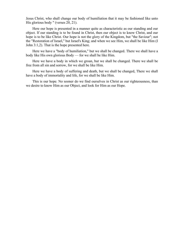Jesus Christ, who shall change our body of humiliation that it may be fashioned like unto His glorious body " (verses 20, 21).

Here our hope is presented in a manner quite as characteristic as our standing and our object. If our standing is to be found in Christ, then our object is to know Christ, and our hope is to be like Christ. Our hope is not the glory of the Kingdom, but "the Saviour"; not the "Restoration of Israel," but Israel's King; and when we see Him, we shall be like Him (I John 3:1,2). That is the hope presented here.

Here we have a "body of humiliation," but we shall be changed. There we shall have a body like His own glorious Body — for we shall be like Him.

Here we have a body in which we groan, but we shall be changed. There we shall be free from all sin and sorrow, for we shall be like Him.

Here we have a body of suffering and death, but we shall be changed, There we shall have a body of immortality and life, for we shall be like Him.

This is our hope. No sooner do we find ourselves in Christ as our righteousness, than we desire to know Him as our Object, and look for Him as our Hope.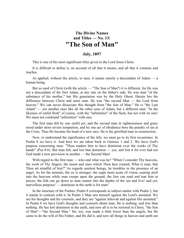### **The Divine Names and Titles — No. 13: "The Son of Man"**

#### **July, 1897**

This is one of the most significant titles given to the Lord Jesus Christ.

It is difficult to define it, on account of all that it means, and all that it contains and teaches.

As applied, without the article, to men, it means merely a descendant of Adam — a human being.

But as used of Christ (with the article — "The Son of Man") it is different, for He was not a descendant of the first Adam, at any rate on the father's side. He was man "of the substance of his mother," but His generation was by the Holy Ghost. Herein lies the difference between Christ and mere man. He was "the second Man — the Lord from heaven." We can never dissociate this thought from "the Son of Man." He is "the Last Adam" — not another man like all the other sons of Adam, but a different man. "In the likeness of sinful flesh" of course, with the "infirmities" of the flesh, but not with its sins! We must not confound "infirmities" with sins.

The first man fell by one sinful act, and the second man in righteousness and grace stood under more severe temptation, and by one act of obedience bore the penalty of sin at the Cross. Thus He became the head of a new race. He is the glorified man in resurrection.

Now, to understand the significance of the title, we must go to its first occurrence. In Psalm 8 we have it. And here we are taken back to Genesis 1 and 2. We have God's purpose concerning man: "Thou madest him to have dominion over the works of Thy hands" (Psa 8:6). But man fell, and lost that dominion — yes, and lost it for ever had not God made a new provision in another — the Second Man!

With regard to the first man — who and what was he? "When I consider Thy heavens, the work of Thy fingers, the moon and stars which Thou hast created, What is man, that Thou art mindful of him?" As regards sentient beings, he trembles in the presence of an angel. As for the animals, the ox is stronger; the eagle more acute of vision, soaring aloft into the heavens while man creeps upon the ground; the lion can rend and tear him in pieces; the fish can go down as man cannot into the depths of the sea and live! and yet, marvellous purpose! — dominion in the earth is for man!

In the structure of the Psalms, Psalm 8 corresponds in subject matter with Psalm 2, but it stands in contrast with it. In Psalm 2 Man sets himself against the Lord's anointed. We see his thoughts and his counsels, and they are "against Jehovah and against His anointed." In Psalm 8 we have God's thoughts and counsels about man. He is nothing, and less than nothing. He has lost dominion in the earth, and now all is to be restored in Christ, "the Son of Man"—"the Second Man." He, too, was made a little lower than the angels, but He came to do the will of His Father, and He did it, and now all things in heaven and earth are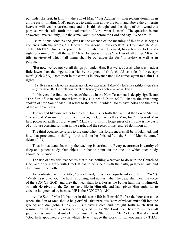put under His feet. In Him — "the Son of Man," "our Adonai" — man regains dominion in all the earth! In Him, God's purposes to exalt man above the earth and above the glittering heavens will yet be carried out; and it is this thought and the sight of this wondrous purpose which calls forth the exclamation, "Lord, what is man?" The question is not answered! We can only, like the same David, sit before the Lord and say, "Who am I?"

Psalm 8 thus contains and gives us the essence of the meaning of this title. It begins and ends with the words, "O Jehovah, our Adonai, how excellent is Thy name IN ALL THE EARTH." This is the point. The title, wherever it is used, has reference to Christ's right to dominion "in all the earth." It is His special title as "the Heir of all things." It is the title, in virtue of which "all things shall be put under His feet" in reality as well as in purpose.

"But now we see not yet all things put under Him. But we see Jesus, who was made a little lower than the angels...that He, by the grace of God, should taste death for every\* man" (Heb 2:8,9). Dominion in the earth is in abeyance until He comes again to claim His rights.

\* I.e., Every man, without distinction, not without exception! Before His death the sacrifices were slain only for Israel. But His death was for all, without any such distinction or limitation.

In this view the first occurrence of the title in the New Testament is deeply significant: "The Son of Man hath not where to lay His head" (Matt 8:20). That is the first thing spoken of "the Son of Man." It refers to the earth in which "foxes have holes and the birds of the air have nests."

The second likewise refers to the earth, but it sets forth the fact that the Son of Man — "the second Man — the Lord from heaven," is God as well as Man, for "the Son of Man hath power on earth to forgive sins" (Matt 9:6). It is this forgiveness of sins that is the basis of all future blessing for man in the earth, and the secret of his restored dominion in it.

The third occurrence refers to the time when this forgiveness shall be proclaimed, and how that proclamation shall go forth and not be finished "till the Son of Man be come" (Matt 10:23).

Thus in beauteous harmony the teaching is carried on. Every occurrence is worthy of deep and patient study. Our object is rather to point out the lines on which such study should be pursued.

The use of this title teaches us that it has nothing whatever to do with the Church of God, and only slightly with Israel. It has to do special with the earth, judgment, rule and dominion in the earth.

As contrasted with the title, "Son of God," it is most significant (see John 5:25-27): "Verily I say unto you, the hour is coming, and now is, when the dead shall hear the voice of the SON OF GOD, and they that hear shall live. For as the Father hath life in Himself, so hath He given to the Son to have life in Himself; and hath given Him authority to execute judgment also, because HE is the SON OF MAN!"

As the Son of Man He had not in this sense life in Himself. Before the hour can come when "the Son of Man should be glorified," that precious "corn of wheat" must fall into the ground and die (John 12:23, 24). But having died and brought forth much fruit in resurrection life and on resurrection ground — as "the Lord from heaven" — then all judgment is committed unto Him because He is "the Son of Man" (Acts 10:40-42). And "God hath appointed a day in which He will judge the world in righteousness by THAT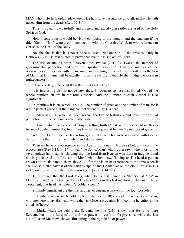MAN whom He hath ordained, whereof He hath given assurance unto all, in that He hath raised Him from the dead" (Acts 17:31).

Thus it is clear how carefully and divinely and exactly these titles are used by the Holy Spirit of God.

How incongruous it would be! How confusing to the thought and the teaching if the title, "Son of Man," were used in connection with the Church of God, or with reference to Christ as the Head of the Body!

No, the fact is that it is never once so used! Not once in all the epistles! Only in Hebrews 2:7 is Psalm 8 quoted to prove that Psalm 8 is spoken of Christ.

The title occurs 84 times.\* Seven times twelve (7 x 12). Twelve the number of governmental perfection and seven of spiritual perfection. Thus the number of the occurrences corresponds with the meaning and teaching of the title, for it will be as the Son of Man that His name will be excellent in all the earth, and that He shall judge the world in righteousness.

\* This is omitting with RV, Matthew 18:11, 25:13 and Luke 9:56.

It is interesting also to notice how these 84 occurrences are distributed. Out of the whole number, 80 are in the four Gospels! And the number in each Gospel is also significant.

In Matthew it is 30, which is  $5 \times 6$ . The number of grace and the number of man, for it was in perfect grace that the King had not where to lay His head.

In Mark it is 14, which is twice seven. The two of testimony and seven of spiritual perfection, for the Servant is spiritually perfect.

In Luke, which is the special Gospel setting forth Christ as the Perfect Man, this is balanced by the number 25, five times five, or the square of five — the number of grace.

While in John it occurs eleven times, a number which stands associated with Divine designs. It is the fifth prime number, and stands alone.

Then we have one occurrence in the Acts (7:56), one in Hebrews (2:6), and two in the Apocalypse (Rev 1:13, 14:14). It was "the Son of Man" whom John saw in the midst of the seven golden lamp-stands, showing that the Lord from Heaven was there in judgment and not in grace. And it is "the son of Man" whom John saw, "having on His head a golden crown and in His hand a sharp sickle" — for the vision has reference to the time when it shall be said "the harvest of the earth is ripe," "and He that sat on the cloud thrust in His sickle on the earth, and the earth was reaped" (Rev 14:14, 15).

Thus we see that the Lord Jesus, when He is first named as "the Son of Man" in Matthew 8:20, "had not where to lay His head." Yet in this last mention of Him in the New Testament, that head has upon it "a golden crown."

Similarly significant are the first and last occurrences in each of the four Gospels.

In Matthew, where we behold the King, the first (8:10) shows Him as the Son of Man, with nowhere to lay His head, while the last (26:64) proclaims Him coming hereafter in the clouds of heaven.

In Mark, where we behold the Servant, the first  $(2.10)$  shows that He is no mere Servant, but is the Lord of all, and has power on earth to forgive sins, while the last (14:62), as in Matthew, shows Him sitting at the right hand of power.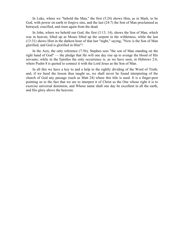In Luke, where we "behold the Man," the first (5:24) shows Him, as in Mark, to be God, with power on earth to forgive sins, and the last (24:7) the Son of Man proclaimed as betrayed, crucified, and risen again from the dead.

In John, where we behold our God, the first (3:13, 14), shows the Son of Man, which was in heaven, lifted up as Moses lifted up the serpent in the wilderness, while the last (13:31) shows Him in the darkest hour of that last "night," saying, "Now is the Son of Man glorified, and God is glorified in Him"!

In the Acts, the only reference (7:56), Stephen sees "the son of Man standing on the right hand of God" — the pledge that He will one day rise up to avenge the blood of His servants; while in the Epistles the only occurrence is, as we have seen, in Hebrews 2:6, where Psalm 8 is quoted to connect it with the Lord Jesus as the Son of Man.

In all this we have a key to and a help to the rightly dividing of the Word of Truth; and, if we heed the lesson thus taught us, we shall never be found interpreting of the church of God any passage (such as Matt 24) where this title is used. It is a finger-post pointing us to the fact that we are to interpret it of Christ as the One whose right it is to exercise universal dominion, and Whose name shall one day be excellent in all the earth, and His glory above the heavens.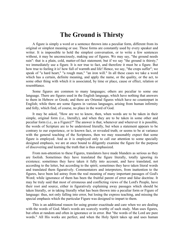# **The Ground is Thirsty**

A figure is simply a word or a sentence thrown into a peculiar form, different from its original or simplest meaning or use. These forms are constantly used by every speaker and writer. It is impossible to hold the simplest conversation, or to write a few sentences without, it may be unconsciously, making use of figures. We may say, "the ground needs rain": that is a plain, cold, matter-of-fact statement; but if we say "the ground is thirsty," we immediately use a figure. It is nor true to fact, and therefore it must be a figure. But how true to feeling it is! how full of warmth and life! Hence, we say, "the crops suffer"; we speak of "a hard heart," "a rough man," "an iron will." In all these cases we take a word which has a certain, definite meaning, and apply the name, or the quality, or the act, to some other thing with which it is associated, by time or place, cause or effect, relation or resemblance.

Some figures are common to many languages; others are peculiar to some one language. There are figures used in the English language, which have nothing that answers to them in Hebrew or Greek; and there are Oriental figures which have no counterpart in English; while there are some figures in various languages, arising from human infirmity and folly, which find, of course, no place in the word of God.

It may be asked, "How are we to know, then, when words are to be taken in their simple, original form (i.e., literally), and when they are to be taken in some other and peculiar form (i.e., as a Figure)?" The answer is that, whenever and wherever it is possible, the words of Scripture are to be understood literally, but when a statement appears to be contrary to our experience, or to known fact, or revealed truth; or seems to be at variance with the general teaching of the Scriptures, then we may reasonably expect that some figure is employed. And as it is employed only to call our attention to some specially designed emphasis, we are at once bound to diligently examine the figure for the purpose of discovering and learning the truth that is thus emphasized.

From non-attention to these Figures, translators have made blunders as serious as they are foolish. Sometimes they have translated the figure literally, totally ignoring its existence; sometimes they have taken it fully into account, and have translated, not according to the letter, but according to the spirit; sometimes they have taken literal words and translated them figuratively. Commentators and interpreters, from inattention to the figures, have been led astray from the real meaning of many important passages of God's Word; while ignorance of them has been the fruitful parent of error and false doctrine. It may be truly said that most of erroneous and conflicting views of the Lord's People, have their root and source, either in figuratively explaining away passages which should be taken literally, or in taking literally what has been thrown into a peculiar form or Figure of language: thus, not only falling into error, but losing the express teaching, and missing the special emphasis which the particular Figure was designed to impart to them.

This is an additional reason for using greater exactitude and care when we are dealing with the words of God. Man's words are scarcely worthy of such study. Man uses figures, but often at random and often in ignorance or in error. But "the words of the Lord are pure words." All His works are perfect, and when the Holy Spirit takes up and uses human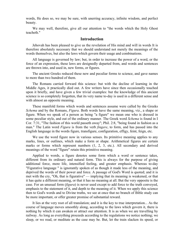words, He does so, we may be sure, with unerring accuracy, infinite wisdom, and perfect beauty.

We may well, therefore, give all our attention to "the words which the Holy Ghost teacheth."

### **Introduction**

Jehovah has been pleased to give us the revelation of His mind and will in words It is therefore absolutely necessary that we should understand not merely the meanings of the words themselves, but also the laws which govern their usage and combinations.

All language is governed by law; but, in order to increase the power of a word, or the force of an expression, these laws are designedly departed from, and words and sentences are thrown into, and used in, new forms, or figures.

The ancient Greeks reduced these new and peculiar forms to science, and gave names to more than two hundred of them.

The Romans carried forward this science: but with the decline of learning in the Middle Ages, it practically died out. A few writers have since then occasionally touched upon it briefly, and have given a few trivial examples: but the knowledge of this ancient science is so completely forgotten, that its very name to-day is used in a different sense and with almost an opposite meaning.

These manifold forms which words and sentences assume were called by the Greeks *Schema* and by the Romans, *Figura*. Both words have the same meaning, viz., a shape or figure. When we speak of a person as being "a figure" we mean one who is dressed in some peculiar style, and out of the ordinary manner. The Greek word *Schema* is found in I Cor. 7:31, "The fashion of this world passeth away"; Phil. 2:8, "being found in fashion as a man." The Latin word *Figura* is from the verb *fingere*, to form, and has passed into the English language in the words figure, transfigure, configuration, effigy, feint, feign, etc.

We use the word figure now in various senses. Its primitive meaning applies to any marks, lines, or outlines, which make a form or shape. Arithmetical figures are certain marks or forms which represent numbers (1, 2, 3, etc.). All secondary and derived meanings of the word "figure" retain this primitive meaning.

Applied to words, a figure denotes some form which a word or sentence takes, different from its ordinary and natural form. This is always for the purpose of giving additional force, more life, intensified feeling, and greater emphasis. Whereas to-day "Figurative language " is ignorantly spoken of as though it made less of the meaning, and deprived the words of their power and force. A passage of God's Word is quoted; and it is met with the cry, "Oh, that is figurative" — implying that its meaning is weakened, or that it has quite a different meaning, or that it has no meaning at all. But the very opposite is the case. For an unusual form (*figura*) is never used except to add force to the truth conveyed, emphasis to the statement of it, and depth to the meaning of it. When we apply this science then to God's words and to Divine truths, we see at once that no branch of Bible study can be more important, or offer greater promise of substantial reward.

It lies at the very root of all translation; and it is the key to true interpretation... As the course of language moves smoothly along, according to the laws which govern it, there is nothing by which it can awaken or attract our attention. It is as when we are travelling by railway. As long as everything proceeds according to the regulations we notice nothing; we sleep, or we read, or meditate as the case may be. But, let the train slacken its speed, or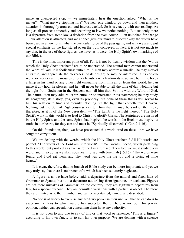make an unexpected stop; — we immediately hear the question asked, "What is the matter?" "What are we stopping for?" We hear one window go down and then another: attention is thoroughly aroused, and interest excited. So it is exactly with our reading. As long as all proceeds smoothly and according to law we notice nothing. But suddenly there is a departure from some law, a deviation from the even course — an unlooked for change — our attention is attracted, and we at once give our mind to discover why the words have been used in a new form, what the particular force of the passage is, and why we are to put special emphasis on the fact stated or on the truth conveyed. In fact, it is not too much to say that, in the use of these figures, we have, as it were, the Holy Spirit's own markings of our Bibles.

This is the most important point of all. For it is not by fleshly wisdom that the "words which the Holy Ghost teacheth" are to be understood. The natural man cannot understand the Word of God. It is foolishness unto him. A man may admire a sun-dial, he may marvel at its use, and appreciate the cleverness of its design; he may be interested in its carvedwork, or wonder at the mosaics or other beauties which adorn its structure: but, if he holds a lamp in his hand or any other light emanating from himself or from this world, he can make it any hour he pleases, and he will never be able to tell the time of day. Nothing but the light from God's sun in the Heavens can tell him that. So it is with the Word of God. The natural man may admire its structure, or be interested in its statements; he may study its geography, its history, yea, even its prophecy; but none of these things will reveal to him his relation to time and eternity. Nothing but the light that cometh from Heaven. Nothing but the Sun of Righteousness can tell him that. It may be said of the Bible, therefore, as it is of the New Jerusalem — "The Lamb is the light thereof." The Holy Spirit's work in this world is to lead to Christ, to glorify Christ. The Scriptures are inspired by the Holy Spirit; and the same Spirit that inspired the words in the Book must inspire its truths in our hearts, for they can and must be "Spiritually discerned" (I Cor. 2:1-16).

On this foundation, then, we have prosecuted this work. And on these lines we have sought to carry it out.

We are dealing with the words "which the Holy Ghost teacheth." All His works are perfect. "The words of the Lord are pure words"; human words, indeed, words pertaining to this world, but purified as silver is refined in a furnace. Therefore we must study every word, and in so doing we shall soon learn to say with Jeremiah (15:16), "Thy words were found, and I did eat them; and Thy word was unto me the joy and rejoicing of mine heart..."

It is clear, therefore, that no branch of Bible-study can be more important: and yet we may truly say that there is no branch of it which has been so utterly neglected.

A figure is, as we have before said, a departure from the natural and fixed laws of Grammar or Syntax; but it is a departure not arising from ignorance or accident. Figures are not mere mistakes of Grammar; on the contrary, they are legitimate departures from law, for a special purpose. They are permitted variations with a particular object. Therefore they are limited as to their number, and can be ascertained, named, and described.

No one is at liberty to exercise any arbitrary power in their use. All that art can do is to ascertain the laws to which nature has subjected them. There is no room for private opinion, neither can speculation concerning them have any authority.

It is not open to any one to say of this or that word or sentence, "This is a figure," according to his own fancy, or to suit his own purpose. We are dealing with a science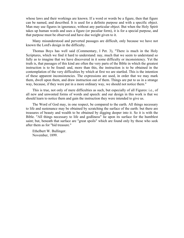whose laws and their workings are known. If a word or words be a figure, then that figure can be named, and described. It is used for a definite purpose and with a specific object. Man may use figures in ignorance, without any particular object. But when the Holy Spirit takes up human words and uses a figure (or peculiar form), it is for a special purpose, and that purpose must be observed and have due weight given to it.

Many misunderstood and perverted passages are difficult, only because we have not known the Lord's design in the difficulty.

Thomas Boys has well said (Commentary, I Pet. 3), "There is much in the Holy Scriptures, which we find it hard to understand: nay, much that we seem to understand so fully as to imagine that we have discovered in it some difficulty or inconsistency. Yet the truth is, that passages of this kind are often the very parts of the Bible in which the greatest instruction is to be found: and, more than this, the instruction is to be obtained in the contemplation of the very difficulties by which at first we are startled. This is the intention of these apparent inconsistencies. The expressions are used, in order that we may mark them, dwell upon them, and draw instruction out of them. Things are put to us in a strange way, because, if they were put in a more ordinary way, we should not notice them."

This is true, not only of mere difficulties as such, but especially of all Figures: i.e., of all new and unwonted forms of words and speech: and our design in this work is that we should learn to notice them and gain the instruction they were intended to give us.

The Word of God may, in one respect, be compared to the earth. All things necessary to life and sustenance may be obtained by scratching the surface of the earth: but there are treasures of beauty and wealth to be obtained by digging deeper into it. So it is with the Bible. "All things necessary to life and godliness" lie upon its surface for the humblest saint; but, beneath that surface are "great spoils" which are found only by those who seek after them as for "hid treasure."

Ethelbert W. Bullinger. November, 1899.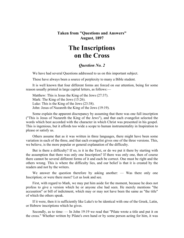**Taken from "Questions and Answers" August, 1897** 

# **The Inscriptions on the Cross**

## *Question No. 2*

We have had several Questions addressed to us on this important subject.

These have always been a source of perplexity to many a Bible student.

It is well known that four different forms are forced on our attention, being for some reason usually printed in large capital letters, as follows:—

Matthew: This is Jesus the King of the Jews (27:37). Mark: The King of the Jews (15:26). Luke: This is the King of the Jews (23:38). John: Jesus of Nazareth the King of the Jews (19:19).

Some explain the apparent discrepancy by assuming that there was one full inscription ("This is Jesus of Nazareth the King of the Jews"), and that each evangelist selected the words which best accorded with the character in which Christ was presented in his gospel. This is ingenious, but it affords too wide a scope to human instrumentality in Inspiration to please or satisfy us.

Others assume that as it was written in three languages, there might have been some variation in each of the three, and that each evangelist gives one of the three versions. This, we believe, is the more popular or general explanation of the difficulty.

But is there a difficulty? If so, is it in the Text, or do we put it there by starting with the assumption that there was only one Inscription? If there was only one, then of course there cannot be several different forms of it and each be correct. One must be right and the others wrong. This is where the difficulty lies, and our belief is that it is created by the readers and not by the writers.

We answer the question therefore by asking another: — Was there only one Inscription; or were there more? Let us look and see.

First, with regard to Mark, we may put him aside for the moment, because he does not profess to give a version which he or anyone else had seen. He merely mentions "the accusation" or bill of indictment, which may or may not have been the same as "the title" of which the others speak.

If it were, then it is sufficiently like Luke's to be identical with one of the Greek, Latin, or Hebrew inscriptions which he gives.

Secondly, as to time: — In John 19:19 we read that "Pilate wrote a title and put it on the cross." Whether written by Pilate's own hand or by some person acting for him, it was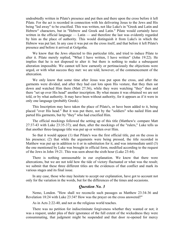undoubtedly written in Pilate's presence and put then and there upon the cross before it left Pilate. For the act is recorded in connection with his delivering Jesus to the Jews and His being "led away" to be crucified. This was written, not like Luke's in "Greek and Latin and Hebrew" characters, but in "Hebrew and Greek and Latin." Pilate would certainly have written in the official language — Latin — and therefore the last was evidently regarded by him as the place of authority. This would distinguish it from Luke's in which the Hebrew was put last. In any case it was put on the cross itself, and that before it left Pilate's presence and before it arrived at Golgotha.

We know that the Jews objected to this particular title, and tried to induce Pilate to alter it. Pilate merely replied, "What I have written, I have written" (John 19:22). He implies that he is not disposed to alter it: but there is nothing to make a subsequent alteration impossible. We cannot tell how earnestly or pertinaciously the objections were urged, or with what success they met: we are told, however, of the commencement of the altercation.

We only know that some time after Jesus was put upon the cross, and after the garments were divided, and after they had cast lots upon His vesture, that they then sat down and watched Him there (Matt 27:36), while they were watching "they" then and there "set up over His head" another inscription. By what means it was obtained we are not told, or by what authority. It may have been without authority, for it appears as if it were in only one language (probably Greek).

This Inscription may have taken the place of Pilate's, or have been added to it, being placed "over His head." But it was put there, not by the "soldiers" who nailed Him and parted His garments, but by "they" who had crucified Him.

The official mockings followed the setting up of this title (Matthew's: compare Matt 27:37-43 with Luke 23:35-37); and then, after the mockings of the "rulers," Luke tells us that another three-language title was put up or written over Him.

So that it would appear (1) that Pilate's was the first official title, put on the cross in his presence; (2) that while the arguments were being pressed, the title recorded in Matthew was put up in addition to it or in substitution for it, and was intermediate until (3) the one mentioned by Luke was brought in official form, modified according to the request of the Jews in John 19:21. This was seen about the sixth hour (Luke 23:44).

There is nothing unreasonable in our explanation. We know that there were altercations, but we are not told how the tide of victory fluctuated or what was the result; we submit that these three different titles are the evidences of that conflict and mark its various stages and its final issue.

In any case, those who may hesitate to accept our explanation, have got to account not only for the variation in the words, but for the differences of the times and occasions.

#### *Question No. 3*

Nemo, London. "How shall we reconcile such passages as Matthew 23:34-36 and Revelation 18:24 with Luke 23:34? How was the prayer on the cross answered?"

As in Acts 2:22-40, and not as the religious world teaches.

There was no petition for indiscriminate forgiveness whether they wanted or not; it was a request, under plea of their ignorance of the full extent of the wickedness they were consummating, that judgment might be suspended and that door re-opened for mercy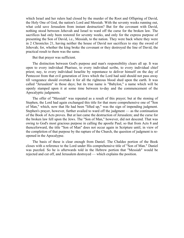which Israel and her rulers had closed by the murder of the Root and Offspring of David, the Holy One of God, the nation's Lord and Messiah. With the seventy weeks running out, what cold save Jerusalem from instant destruction? But for the covenant with David, nothing stood between Jehovah and Israel to ward off the curse for the broken law. The sacrifices had only been restored for seventy weeks, and only for the express purpose of presenting the Son of David, i.e., Messiah, to the nation. They were back where they were in 2 Chronicles 21, having neither the house of David nor sacrifices to stay the sword of Jehovah; for, whether the king broke the covenant or they destroyed the line of David, the practical result to them was the same.

But that prayer was sufficient.

The distinction between God's purpose and man's responsibility clears all up. It was open to every individual Pharisee, to every individual scribe, to every individual chief priest; nay, to every individual Israelite by repentance to deliver himself on the day of Pentecost from that evil generation of Jews which the Lord had said should not pass away till vengeance should overtake it for all the righteous blood shed upon the earth. It was called "Jerusalem" in those days; but its true name is "Babylon," a name which will be openly stamped upon it at some time between to-day and the commencement of the Apocalyptic judgments.

The offer of "Messiah" was repeated as a result of this prayer; but at the stoning of Stephen, the Lord had again exchanged this title for that more comprehensive one of "Son of Man," which, now that He had been "lifted up," was the sign of impending judgment. Stephen's prayer, however, further availed to ward off the judgment — as the continuation of the Book of Acts proves. But at last came the destruction of Jerusalem; and the curse for the broken law fell upon the Jews. The "Son of Man," however, did not descend. That was owing to God's most gracious purpose in calling the apostle Paul; so that from Acts 8 and thenceforward, the title "Son of Man" does not occur again in Scripture until, in view of the completion of that purpose by the rapture of the Church, the question of judgment is reopened in the Apocalypse.

The basis of these is clear enough from Daniel. The Chaldee portion of the Book closes with a reference to the Lord under His comprehensive title of "Son of Man." Daniel was puzzled. So he is afterwards told in the Hebrew portion that "Messiah" would be rejected and cut off, and Jerusalem destroyed — which explains the position.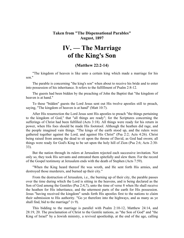## **Taken from "The Dispensational Parables" August, 1897**

# **IV. — The Marriage of the King's Son**

### **(Matthew 22:2-14)**

"The kingdom of heaven is like unto a certain king which made a marriage for his son."

The parable is concerning "the king's son" when about to receive his bride and to enter into possession of his inheritance. It refers to the fulfillment of Psalm 2:8-12.

The guests had been bidden by the preaching of John the Baptist that "the kingdom of heaven is at hand."

To these "bidden" guests the Lord Jesus sent out His twelve apostles still to preach, saying, "The kingdom of heaven is at hand" (Matt 10:7).

After His resurrection the Lord Jesus sent His apostles to preach "the things pertaining to the kingdom of God," that "all things are ready"; for the Scriptures concerning the sufferings of Christ had been fulfilled (Acts 3:18). All things were ready for his return in power, when His foes should be made His footstool. Although the heathen did rage, and the people imagined vain things. "The kings of the earth stood up, and the rulers were gathered together against the Lord, and against His Christ" (Psa 2:2; Acts 4:26). Christ being raised from among the dead to sit upon the throne of David, as God had sworn; all things were ready for God's King to be set upon the holy hill of Zion (Psa 2:6; Acts 2:30- 33).

But the nation through its rulers at Jerusalem rejected each successive invitation. Not only so, they took His servants and entreated them spitefully and slew them. For the record of the Gospel testimony at Jerusalem ends with the death of Stephen (Acts 7:59).

"When the King heard thereof He was wroth, and He sent forth His armies, and destroyed those murderers, and burned up their city."

From the destruction of Jerusalem, i.e., the burning up of their city, the parable passes over the time during which the Lord is sitting in the heavens, and is being declared as the Son of God among the Gentiles (Psa 2:4,7), unto the time of verse 8 when He shall receive the heathen for His inheritance, and the uttermost parts of the earth for His possession. Jesus "having received the kingdom" sends forth His apostles first to the nations to claim their submission to His authority. "Go ye therefore into the highways, and as many as ye shall find, bid to the marriage"  $(v 9)$ .

This bidding to the marriage is parallel with Psalm 2:10-12, Matthew 24:14, and 28:19, 20. The proclamation of Christ to the Gentile nations, as "the Son of God" and "the King of Israel" by a Jewish ministry, a revived apostleship, at the end of the age, calling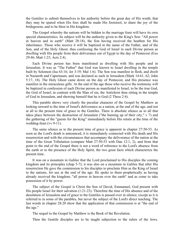the Gentiles to submit themselves to his authority before the great day of His wrath; that they may be spared when His foes shall be made His footstool, to share the joy of the bridegroom, and to be blest in His kingdom.

The Gospel whereby the nations will be bidden to the marriage feast will have its own special characteristics. Its subject will be the authority given to the King's Son: "All power in heaven and in earth" (Matt 28:18), the Son having received the heathen for His inheritance. Those who receive it will be baptized in the name of the Father, and of the Son, and of the Holy Ghost; thus confessing the God of Israel in each Divine person as dwelling with His people from their deliverance out of Egypt to the day of Pentecost (Exo 29:46; Matt 1:23; Acts 2:4).

Each Divine person has been manifested as dwelling with His people and in Jerusalem. It was as "The Father" that God was known to Israel dwelling in the temple built by Solomon (Isa 63:16; Jer 3:19; Mal 1:6). The Son was manifest in flesh, and dwelt in Nazareth and Capernaum, and was declared as such in Jerusalem (Mark 14:61, 62; John 5:17, 18). The Holy Ghost came down on the day of Pentecost, and His presence was manifest in the miraculous gifts. At the end of the age those who receive the testimony will be baptized in confession of each Divine person as manifested to Israel, to be the true God, the God of Israel; in contrast with the Man of sin, the Antichrist then sitting in the temple of God in Jerusalem, and shewing himself that he is God (2 Thess 2:4).

This parable shows very clearly the peculiar character of the Gospel by Matthew as looking onward to the time of Israel's deliverance as a nation, at the end of the age, and not at all to the present time of grace to the Gentiles. There is absolute silence as to all that takes place between the destruction of Jerusalem ("the burning up of their city," v 7) and the gathering of the "guests for the King" immediately before His return at the time of the wedding-feast (vv 9-11).

The same silence as to the present time of grace is apparent in chapter 27:50-53. As soon as the Lord's death is announced, it is immediately connected with His death and His resurrection and with the circumstances that accompany the deliverance of the nation at the time of the Great Tribulation (compare Matt 27:50-53 with Dan 12:1, 2), and from that point to the end of the Gospel there is not a word of reference to the Lord's absence from the earth or to the presence of the Holy Spirit, the two great facts which characterize the present time.

It was on a mountain in Galilee that the Lord proclaimed to His disciples the coming kingdom and its principles (chap 5-7); it was also on a mountain in Galilee that after His resurrection He gave the commission to his disciples to proclaim Him as the King of Israel to the nations, for use at the end of the age. He spoke to them prophetically as having already received the kingdom, "all power in heaven over the earth" and as come to take possession of it by power.

The subject of the Gospel is Christ the Son of David, Emmanuel, God present with His people Israel for their salvation (1:21-23). Therefore the time of His absence and of the desolation of Jerusalem and of grace to the Gentiles is passed over in silence, except as it is referred to in some of the parables, but never the subject of the Lord's direct teaching. The last words in chapter 28:20 show that the application of that commission is at "the end of the age."

The sequel to the Gospel by Matthew is the Book of the Revelation.

Then the Gentile disciples are to be taught subjection to the rulers of the Jews.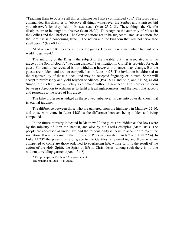"Teaching them to observe all things whatsoever I have commanded you." The Lord Jesus commanded His disciples to "observe all things whatsoever the Scribes and Pharisees bid you observe"; for they "sit in Moses' seat" (Matt 23:2, 3). These things the Gentile disciples are to be taught to observe (Matt 28:20). To recognize the authority of Moses in the Scribes and the Pharisees. The Gentile nations are to be subject to Israel as a nation, for the Lord has said concerning Israel, "The nation and the kingdom that will not serve thee shall perish" (Isa 60:12).

"And when the King came in to see the guests, He saw there a man which had not on a wedding garment."

The authority of the King is the subject of the Parable, but it is associated with the grace of the Son of God. A "wedding garment" (justification in Christ) is provided for each guest. For truth once revealed is not withdrawn however ordinances may change. But the guests are bidden, and are not compelled as in Luke 14:23. The invitation is addressed to the responsibility of those bidden, and may be accepted feignedly or in truth. Some will accept it professedly and yield feigned obedience (Psa 18:44 and 66:3, and 81:15), as did Simon in Acts 8:13, and will obey a command without a new heart. The Lord can discern between subjection to ordinances to fulfil a legal righteousness, and the heart that accepts and responds to the word of His grace.

The false professor is judged as the avowed unbeliever, is cast into outer darkness, that is, eternal judgment.

The difference between those who are gathered from the highways in Matthew 22:10, and those who come in Luke 14:23 is the difference between being bidden and being compelled.

In the future ministry indicated in Matthew 22 the guests are bidden as the Jews were by the ministry of John the Baptist, and also by the Lord's disciples (Matt 10:7). The people are addressed as under law, and the responsibility is theirs to accept or to reject the invitation. It was the same in the ministry of Peter in Jerusalem (Acts 2 and Matt 22:4). In Luke 14:23\* the present time of grace to the Gentiles is referred to, and those who are compelled to come are those ordained to everlasting life, whose faith is the result of the action of the Holy Spirit, the Spirit of life in Christ Jesus; among such there is no one without a wedding garment (Acts 13:48).

\* The principle in Matthew 22 is government. The principle in Luke 14 is grace.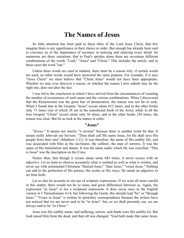# **The Names of Jesus**

So little attention has been paid to these titles of the Lord Jesus Christ, that few imagine there is any significance in their choice or order. But enough has already been said to convince us of the importance of accuracy in noticing and studying every detail. So numerous are these variations, that in Paul's epistles alone there are seventeen different combinations of the words "Lord," "Jesus" and "Christ." This includes the article, and in three cases the word "our."

Unless these words are used at random, there must be a reason why, if certain words are used, no other words would have answered the same purpose. For example, if it says "Jesus Christ" we must believe that "Christ Jesus" would not have been appropriate. Whether we may ever discover a reason, or whether the reason I now submit may be the right one, does not alter the fact.

I was led to the conclusion at which I have arrived from the circumstances of counting the number of occurrences of each name and the various combinations. When I discovered that the Resurrection was the great line of demarcation, the reason was not far to seek. When I found that in the Gospels "Jesus" occurs alone 612 times, and in the other books only 71 times (out of which 38 are in the transitional book of the Acts); while in all the four Gospels "Christ" occurs alone only 56 times, and in the other books 256 times, the reason was clear. But let us look at the names in order:

#### **"Jesus"**

"*Iēsous*." It means not merely "a saviour" because there is another word for that. It means really Jehovah our Saviour. "Thou shalt call His name Jesus, for He shall save His people from their sins" (Matthew 1:21). It was therefore, the name of His earthly life, and was associated with Him as the sin-bearer, the sufferer, the man of sorrows. It was the name of His humiliation and shame. It was the name under which He was crucified. "This is Jesus" was the inscription on the Cross.

Notice then, that though it occurs alone some 683 times, it never occurs with an adjective. Let us learn to observe accurately what is omitted as well as what is written, and never say with sentimental Christians "blessed Jesus," "dear Jesus," "sweet Jesus." Nothing can add to the perfection of His person, His works or His ways; He needs no adjective to set Him forth.

Let us also be accurate in our use of scripture expressions. If we were all more careful in this matter, there would not be so many and great differences between us. Again, the expression "in Jesus" is not a scriptural expression. It does occur once in the English version in I Thessalonians 4:14, but following the Greek, this should read "by" or "through Jesus." "Yours in Jesus" is written in epistolary correspondence because the writers have not noticed that we are never said to be "in Jesus": but, as we shall presently see, we are always said to be "in Christ."

Jesus was His earthly name; and suffering, sorrow, and death were His earthly lot. But God raised Him from the dead, and then all was changed. "God hath made that same Jesus,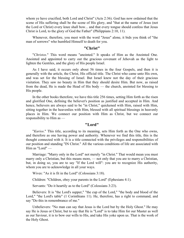whom ye have crucified, both Lord and Christ" (Acts 2:36). God has now ordained that the scene of His suffering shall be the scene of His glory, and "that at the name of Jesus (not the Lord or Christ) every knee shall bow... and that every tongue should confess that Jesus Christ is Lord, to the glory of God the Father" (Philippians 2:10, 11).

Whenever, therefore, you meet with the word "Jesus" alone, it bids you think of "the man of sorrows" who humbled Himself to death for you.

#### **"Christ"**

"*Christos*." This word means "anointed." It speaks of Him as the Anointed One. Anointed and appointed to carry out the gracious covenant of Jehovah as the light to lighten the Gentiles, and the glory of His people Israel.

As I have said, it occurs only about 56 times in the four Gospels, and then it is generally with the article, the Christ, His official title. The Christ who came unto His own, and was set for the blessing of Israel. But Israel knew not the day of their gracious visitation. They saw no beauty in Him that they should desire Him. But now, as raised from the dead, He is made the Head of His body — the church, anointed for blessing to His people.

In the other books therefore, we have this title 256 times, setting Him forth as the risen and glorified One, defining the believer's position as justified and accepted in Him. And hence, believers are always said to be "in Christ," quickened with Him, raised with Him, sitting together in the heavenlies with Him, blessed with all spiritual blessings in heavenly places in Him. We connect our position with Him as Christ, but we connect our responsibility to Him as —

#### **"Lord"**

"*Kurios*." This title, according to its meaning, sets Him forth as the One who owns, and therefore as one having power and authority. Whenever we find this title, this is the thought connected with it. It is a title connected with the privileges and responsibilities of our position and standing "IN Christ." All the various conditions of life are associated with Him as "Lord" —

Marriage: "Marry only in the Lord" not merely "in Christ." That would mean you must marry only a Christian, but this means more, — not only that you are to marry a Christian, but, in doing so, you are to say "If the Lord will": you are to recognize His authority, whom you are to acknowledge in all your ways.

Wives: "As it is fit in the Lord" (Colossians 3:18).

Children: "Children, obey your parents in the Lord" (Ephesians 4:1).

Servants: "Do it heartily as to the Lord" (Colossians 3:23).

Believers: It is "the Lord's supper," "the cup of the Lord," "the body and blood of the Lord," "the Lord's table" (1 Corinthians 11). He, therefore, has a right to command, and say "Do this in remembrance of me."

Unbelievers: "No man can say that Jesus is the Lord but by the Holy Ghost." He may say He is Jesus or Christ, but to say that He is "Lord" is to take Him for our Master as well as our Saviour, it is to bow our wills to His, and take His yoke upon us. That is the work of the Holy Ghost.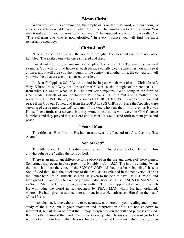#### **"Jesus Christ"**

When we have this combination, the emphasis is on the first word, and our thoughts are conveyed from what He was to what He is, from His humiliation to His exaltation. You may translate it in your own minds as you read, "The humbled one who is now exalted" or "The suffering one who is now glorified." In every instance you will find the most remarkable accuracy.

#### **"Christ Jesus"**

"Christ Jesus" conveys just the opposite thought. The glorified one who was once humbled. The exalted one who once suffered and died.

I must not stop to give you many examples. The whole New Testament is one vast example. You will not find however, each passage equally clear. Sometimes you will see it at once, and it will give you the thought of the context; at another time, the context will tell you why the titles are used in a particular order.

Look at Philippians 2:5: "Let this mind be in you which was also in Christ Jesus". Why "Christ Jesus"? Why not "Jesus Christ"? Because the thought of the context is from what He was to what He is. The next verse explains, "Who being in the form of God...made Himself of no reputation." Philippians 1:1, 2: "Paul and Timotheus, the servants of JESUS CHRIST, to all the saints IN CHRIST JESUS... Grace be unto you and peace from God our Father, and from the LORD JESUS CHRIST." Here the Apostles were servants of Jesus (now exalted) servants of the One who sent them forth even as He was Himself sent forth, as a servant: but they wrote to the saints who were "in Christ" (once humbled) and they prayed that, as Lord and Master He would send forth to them grace and peace.

#### **"Son of Man"**

This title sets Him forth in His human nature, as the "second man," and as the "last Adam."

#### **"Son of God"**

This title reveals Him in His divine nature, and in His relation to God. Hence, in Him all who believe are "called the sons of God."

There is an important difference to be observed in the use and choice of these names. Sometimes they occur in close proximity. Notably in John 5:25. The hour is coming "when the dead shall hear the voice of the SON OF GOD and they that hear shall live." It is as Son of God that He is the quickener of the dead, as is explained in the next verse: "For as the Father hath life in Himself; so hath He given to the Son to have life in Himself; and hath given Him authority to execute judgment also, because He is the SON OF MAN." It is as Son of Man that He will judge, as it is written: "God hath appointed a day in the which He will judge the world in righteousness by THAT MAN whom He hath ordained; whereof He hath given assurance unto all men, in that He hath raised Him from the dead" (Acts 17:31).

In conclusion, let me exhort you to be accurate, not merely in your reading and in your study of the Bible, but in your quotation and interpretation of it. Do not sit down to interpret it, but sit down before it that it may interpret to you the will and purposes of God. It is too often assumed that God never means exactly what He says; and persons go to His word not simply to learn what He says, but to tell us what He means, which is very often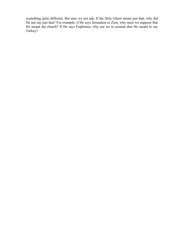something quite different. But may we not ask: If the Holy Ghost meant just that, why did He not say just that? For example, if He says Jerusalem or Zion, why must we suppose that He meant the church? If He says Euphrates, why are we to assume that He meant to say Turkey?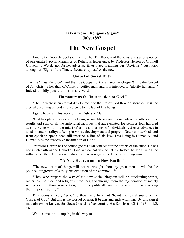## **Taken from "Religious Signs" July, 1897**

# **The New Gospel**

Among the "notable books of the month," The Review of Reviews gives a long notice of one entitled Social Meanings of Religious Experience, by Professor Herron of Grinnell University. We do not further advertise it, or place it among our "Reviews," but rather among our "Signs of the Times," because it preaches the new—

#### **"Gospel of Social Duty"**

—as the "True Religion": and the true Gospel: but it is "another Gospel"! It is the Gospel of Antichrist rather than of Christ. It deifies man, and it is intended to "glorify humanity." Indeed it boldly puts forth in so many words—

## **"Humanity as the Incarnation of God."**

"The universe is an eternal development of the life of God through sacrifice; it is the eternal becoming of God in obedience to the law of His being."

Again, he says in his work on The Duties of Man:

"God has placed beside you a Being whose life is continuous: whose faculties are the results and sum of all the individual faculties that have existed for perhaps four hundred ages; a Being who, in the midst of errors and crimes of individuals, yet ever advances in wisdom and morality; a Being in whose development and progress God has inscribed, and from epoch to epoch does still inscribe, a line of his law. This Being is Humanity, and Humanity is the successive incarnation of God."

Professor Herron has of course got his own panacea for the effects of the curse. He has not much faith in the Churches (and we do not wonder at it). Indeed he looks upon the influence of the Churches with dread, so far as regards the hope of bringing in—

#### **"A New Heaven and a New Earth."**

"The new order of things will not be brought about by great men, it will be the political outgrowth of a religious evolution of the common life...

"They who prepare the way of the new social kingdom will be quickening spirits, rather than political and religious reformers; and through them the regeneration of society will proceed without observation, while the politically and religiously wise are mocking their impracticability."

This seems all very "good" to those who have not "heard the joyful sound of the Gospel of God." But this is the Gospel of man. It begins and ends with man. By this sign it may always be known, for God's Gospel is "concerning His Son Jesus Christ" (Rom 1:3, 4).

While some are attempting in this way to—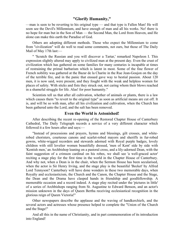#### **"Glorify Humanity,"**

—man is seen to be reverting to his original type — and that type is Fallen Man! He will soon see the Devil's Millennium, and have enough of man and all his works. No! there is no hope for man but in the Son of Man — the Second Man, the Lord from Heaven, and He alone can make this earth the Paradise of God.

Others are adopting different methods. Those who expect the Millennium to come from "civilization" will do well to read some comments, not ours, but those of The Daily Mail of May 17th last:—

" 'Scratch the Russian and you will discover a Tartar,' remarked Napoleon I. This expression slightly altered may apply to civilized man at the present day. Even the crust of civilization which has gathered on some families for many centuries is incapable at times of restraining the primal barbarism which is latent in most. Some of the fine flower of French nobility was gathered at the Bazar de la Charite in the Rue Jean-Goujon on the day of the terrible fire, and in the panic that ensued gave way to bestial passion. About 120 men, it is now said, were present, and they fought with the weak and helpless women for places of safety. With sticks and fists they struck out, not caring whom their blows reached in a shameful struggle for life. Alas! for poor humanity."

Scientists tell us that after all cultivation, whether of animals or plants, there is a law which causes them "to revert to the original type" as soon as artificial means are cut off. It is, and will be so with man, after all his civilization and cultivation, when the Church has been gathered unto the Lord, and the salt has been removed.

#### **Even the World is Astonished!**

After describing the recent re-opening of the Restored Chapter House of Canterbury Cathedral, The Daily Telegraph records a service of a very different character which followed it a few hours after and says:—

"Instead of processions and prayers, hymns and blessings, gilt crosses, and whiterobed choristers, courteous canons and scarlet-robed mayors and sheriffs in fur-robed gowns, white-wigged recorders and stewards adorned with Royal purple badges, lovely children with still lovelier women beautifully dressed, 'men of Kent' side by side with 'Kentish men,' an Archbishop leaning on a pastoral cross, and a lily-adorned Dean, with the faint suggestion of a crimson cardinal on his robes, we shall see 'a well-graced actor' reciting a stage play for the first time in the world in the Chapter House of Canterbury. And why not, when a Dean is in the chair, when the Sermon House has been secularised, when the actor is Sir Henry Irving, and the stage play is the beautiful 'Becket' by Alfred Lord Tennyson? Canterbury will have done wonders in these two memorable days, when Royalty and ecclesiasticism, the Church and the Canon, the Chapter House and the Stage, the Dean and the Drama have clasped hands in friendship and goodfellowship. A memorable occasion and a record indeed. A stage play recited under the 'pictures in little' of a series of Archbishops ranging from St. Augustine to Edward Benson, and an actor's mission unknown in the days of Queen Bertha receiving ecclesiastical recognition in the glorious reign of Queen Victoria!"

Other newspapers describe the applause and the waving of handkerchiefs, and the several actors and actresses whose presence helped to complete the "Union of the Church and the Stage!"

And all this in the name of Christianity, and in part commemoration of its introduction into England!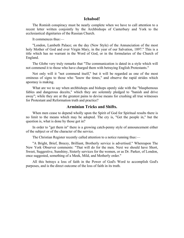#### **Ichabod!**

The Romish conspiracy must be nearly complete when we have to call attention to a recent letter written conjointly by the Archbishops of Canterbury and York to the ecclesiastical dignitaries of the Russian Church.

#### It commences thus:—

"London, Lambeth Palace; on the day (New Style) of the Annunciation of the most holy Mother of God and ever Virgin Mary, in the year of our Salvation, 1897." This is a title which has no warrant in the Word of God, or in the formularies of the Church of England.

The Globe very truly remarks that "The communication is dated in a style which will not commend it to those who have charged them with betraying English Protestants."

Not only will it "not commend itself," but it will be regarded as one of the most ominous of signs to those who "know the times," and observe the rapid strides which apostasy is making.

What are we to say when archbishops and bishops openly side with the "blasphemous" fables and dangerous deceits," which they are solemnly pledged to "banish and drive away"; while they are at the greatest pains to devise means for crushing all true witnesses for Protestant and Reformation truth and practice?

#### **Arminian Tricks and Shifts.**

When men cease to depend wholly upon the Spirit of God for Spiritual results there is no limit to the means which may be adopted. The cry is, "Get the people in," but the question is, what is done by those got in?

In order to "get them in" there is a growing catch-penny style of announcement either of the subject or of the character of the service.

The Christian Register recently called attention to a notice running thus:—

"A Bright, Brief, Breezy, Brilliant, Brotherly service is advertised." Whereupon The New York Observer comments: "That will do for the men. Next we should have Short, Sweet, Suggestive, Sunshiny, Sisterly services for the women, or as Dr. Parker, of London, once suggested, something of a Meek, Mild, and Motherly order."

All this betrays a loss of faith in the Power of God's Word to accomplish God's purposes, and is the direct outcome of the loss of faith in its truth.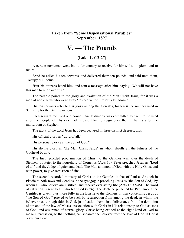## **Taken from "Some Dispensational Parables" September, 1897**

# **V. — The Pounds**

#### **(Luke 19:12-27)**

A certain nobleman went into a far country to receive for himself a kingdom, and to return.

"And he called his ten servants, and delivered them ten pounds, and said unto them, 'Occupy till I come.'

"But his citizens hated him, and sent a message after him, saying, 'We will not have this man to reign over us.'"

The parable points to the glory and exaltation of the Man Christ Jesus, for it was a man of noble birth who went away "to receive for himself a kingdom."

His ten servants refer to His glory among the Gentiles, for ten is the number used in Scripture for the Gentile nations.

Each servant received one pound. One testimony was committed to each, to be used after the people of His city had refused Him to reign over them. That is after the martyrdom of Stephen.

The glory of the Lord Jesus has been declared in three distinct degrees, thus—

His official glory as "Lord of all."

His personal glory as "the Son of God."

His divine glory as "the Man Christ Jesus" in whom dwells all the fulness of the Godhead bodily.

The first recorded proclamation of Christ to the Gentiles was after the death of Stephen, by Peter to the household of Cornelius (Acts 10). Peter preached Jesus as "Lord of all" and the Judge of quick and dead. The Man anointed of God with the Holy Ghost and with power, to give remission of sins.

The second recorded ministry of Christ to the Gentiles is that of Paul at Antioch in Pisidia to both Jews and Gentiles in the synagogue preaching Jesus as "the Son of God," by whom all who believe are justified, and receive everlasting life (Acts 13:32-48). The word of salvation is sent to all who fear God (v 26). The doctrine preached by Paul among the Gentiles is given to us more fully in the Epistle to the Romans. It was concerning Jesus as "the Son of God," proved to be such by resurrection from among the dead; in whom the believer has, through faith in God, justification from sins, deliverance from the dominion of sin and of the law of Moses. Association with Christ in His relationship to God as sons of God, and assurance of eternal glory, Christ being exalted at the right hand of God to make intercession, so that nothing can separate the believer from the love of God in Christ Jesus our Lord.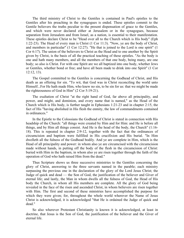The third ministry of Christ to the Gentiles is contained in Paul's epistles to the Gentiles after his preaching in the synagogues is ended. These epistles commit to the Gentile believers the truths peculiar to the present dispensation of grace to the Gentiles, and which were never declared either at Jerusalem or in the synagogues, because separation from Jerusalem and from Israel, as a nation, is essential to their manifestation. These epistles declare Christ to be "Head over all to the Church which is His body" (Eph 1:22-23). The Head of every man is Christ (1 Cor 11:3). "Now, ye are the body of Christ, and members in particular" (1 Cor 12:27). "He that is joined to the Lord is one spirit" (1 Cor 6:17). The union of the believers to Christ as the Head and to one another by the Spirit given by Christ, is the basis of all the practical teaching of these epistles. "As the body is one and hath many members, and all the members of that one body, being many, are one body; so also is Christ. For with one Spirit are we all baptized into one body, whether Jews or Gentiles, whether bond or free; and have all been made to drink into one Spirit" (1 Cor 12:12, 13).

The Gospel committed to the Gentiles is concerning the Godhead of Christ, and His death as an offering for sin. "To wit, that God was in Christ reconciling the world unto Himself...For He hath made Him, who knew no sin, to be sin for us: that we might be made the righteousness of God in Him" (2 Cor 5:19-21).

The exaltation of Christ "at the right hand of God, far above all principality, and power, and might, and dominion, and every name that is named," as the Head of the Church which is His body, is further taught in Ephesians 1:21-23 and in chapter 2:15, the fact of His "having abolished in His flesh the enmity, the law of commandments contained in ordinances."

In the Epistle to the Colossians the Godhead of Christ is stated in connection with His headship of the Church: "all things were created by Him and for Him: and He is before all things, and by Him all things consist. And He is the head of the body, the Church" (1:16- 18). This is repeated in chapter 2:9-12, together with the fact that the ordinances of circumcision and baptism were fulfilled in His crucifixion and His burial. "In Him dwelleth all the fulness of the Godhead bodily. And ye are complete in Him, which is the Head of all principality and power: in whom also ye are circumcised with the circumcision made without hands, in putting off the body of the flesh in the circumcision of Christ: buried with Him in the baptism, in whom also ye are risen together through the faith of the operation of God who hath raised Him from the dead."

Thus Scripture shows us three successive ministries to the Gentiles concerning the glory of Christ, answering to the three servants named in the parable; each ministry surpassing the previous one in the declaration of the glory of the Lord Jesus Christ; the Judge of quick and dead — the Son of God, the justification of the believer and Giver of eternal life; and lastly, the Man in whom dwells all the fulness of God, the Head of His body the Church, in whom all His members are complete. All the glory of God being revealed in the face of the risen and ascended Christ, in whom believers are risen together with Him. The first and second of these ministries have accomplished the purpose for which they were given; for, throughout the whole world wherever the Name of Jesus Christ is acknowledged, it is acknowledged "that He is ordained the Judge of quick and dead."

So also wherever Protestant Christianity is known it is acknowledged, at least in doctrine, that Jesus is the Son of God, the justification of the believer and the Giver of eternal life.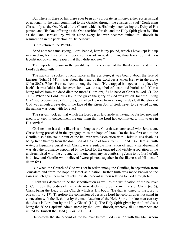But where is there or has there ever been any corporate testimony, either ecclesiastical or national, to the truth committed to the Gentiles through the epistles of Paul? Confessing Christ only as the One Head of the Church which is His body—confessing the Deity of His person, and His One offering as the One sacrifice for sin, and the Holy Spirit given by Him as the One Baptism, by which alone every believer becomes united to Himself in resurrection in the perfection of His person?

But to return to the Parable:—

"And another came saying, 'Lord, behold, here is thy pound, which I have kept laid up in a napkin, for I feared thee, because thou art an austere man; thou takest up that thou layedst not down, and reapest that thou didst not sow.'"

The important lesson in the parable is in the conduct of the third servant and in the Lord's dealing with him.

The napkin is spoken of only twice in the Scripture, it was bound about the face of Lazarus (John 11:44), it was about the head of the Lord Jesus when He lay in the grave (John 20:7). When He rose from among the dead, "He wrapped it together in a place by itself"; it was laid aside for ever, for it was the symbol of death and burial, and "Christ being raised from the dead dieth no more" (Rom 6:9). "The head of Christ is God" (1 Cor 11:3). When the Lord Jesus lay in the grave the glory of God was veiled, for "the Living One" had become dead (Rev 1:18); but when He rose from among the dead, all the glory of God was unveiled, revealed in the face of the Risen Son of God, never to be veiled again; the napkin was done with for ever!

The servant took up that which the Lord Jesus laid aside as having no further use, and used it to keep in concealment the one thing that the Lord had committed to him to use in His service!

Christendom has done likewise; so long as the Church was connected with Jerusalem, Christ being preached in the synagogues as the hope of Israel, "to the Jew first and to the Gentile also," the stand-point of the believer was association with Christ in His death, as being freed thereby from the dominion of sin and of law (Rom 6:11 and 7:4). Baptism with water, a figurative burial with Christ, was a suitable illustration of such a stand-point, it was also the ordinance appointed by the Lord for the outward and visible association of the uncircumcised with the circumcised in one company as confessing Jesus to be Lord of all; both Jew and Gentile who believed "were planted together in the likeness of His death" (Rom 6:5).

But when the Church of God was set in order among the Gentiles, in separation from Jerusalem and from the hope of Israel as a nation, further truth was made known to the saints which gave them an entirely new stand-point in their relation to God through faith.

Christ was declared to be the sanctification as well as the justification of the believer  $(1$  Cor 1:30); the bodies of the saints were declared to be the members of Christ  $(6:15)$ ; Christ being the Head of the Church which is His body. "He that is joined to the Lord is one spirit" (v 17). Therefore the confession of Jesus as Lord henceforth does not stand in connection with the flesh, but by the manifestation of the Holy Spirit, for "no man can say that Jesus is Lord, but by the Holy Ghost" (12:3). The Holy Spirit given by the Lord Jesus being the "One Baptism" administered by the Lord Himself, whereby all His members are united to Himself the Head (1 Cor 12:12, 13).

Henceforth the stand-point of the believer before God is union with the Man whom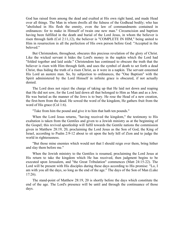God has raised from among the dead and exalted at His own right hand, and made Head over all things. The Man in whom dwells all the fulness of the Godhead bodily; who has "abolished in His flesh the enmity, even the law of commandments contained in ordinances: for to make in Himself of twain one new man." Circumcision and baptism having been fulfilled in the death and burial of the Lord Jesus, in whom the believer is risen through faith (Col 2:11,12), the believer is "COMPLETE IN HIM," being united to Him in resurrection in all the perfection of His own person before God: "Accepted in the beloved."

But Christendom, throughout, obscures this precious revelation of the glory of Christ. Like the wicked servant it hides the Lord's money in the napkin which the Lord had "folded together and laid aside." Christendom has continued to obscure the truth that the believer is risen with Him through faith, and uses the symbol of death to set forth a dead Christ, thus hiding the truth of a risen Christ, as it were in a napkin. The servant esteemed His Lord an austere man. So, by subjection to ordinances, the "One Baptism" with the Spirit administered by the Lord Himself in infinite grace is obscured, if not actually denied.

The Lord does not reject the charge of taking up that He laid not down and reaping that He did not sow, for the Lord laid down all that belonged to Him as Man and as a Jew. He was buried as the manner of the Jews is to bury. He rose the Head of a new creation, the first-born from the dead. He sowed the word of the kingdom, He gathers fruit from the word of His grace (Col 1:6).

"Take from him the pound and give it to him that hath ten pounds."

When the Lord Jesus returns, "having received the kingdom," the testimony to His exaltation is taken from the Gentiles and given to a Jewish ministry as at the beginning of the Gospel; this revived apostleship will fulfil towards the Gentile nations the commission given in Matthew 28:19, 20, proclaiming the Lord Jesus as the Son of God, the King of Israel, according to Psalm 2:9-12 about to sit upon the holy hill of Zion and to judge the world in righteousness.

"But those mine enemies which would not that I should reign over them, bring hither and slay them before me."

When the Jewish ministry to the Gentiles is resumed, proclaiming the Lord Jesus at His return to take the kingdom which He has received, then judgment begins to be executed upon Jerusalem, and "the Great Tribulation" commences (Matt 24:15-22). The Lord will be present with His disciples during these days according to His promise: "Lo, I am with you all the days, so long as the end of the age." The days of the Son of Man (Luke 17:26).

The stand-point of Matthew 28:19, 20 is shortly before the days which constitute the end of the age. The Lord's presence will be until and through the continuance of those days.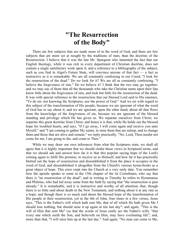# **"The Resurrection of the Body"**

There are few subjects that are made more of in the word of God, and there are few subjects that are more set at nought by the traditions of men, than the doctrine of the Resurrection. I believe that it was the late Mr. Spurgeon who lamented the fact that our English theology, while it was rich in every department of Christian doctrine, does not contain a single satisfactory work upon it; and a reference to a bibliography of the subject, such as you find in Alger's Future State, will convince anyone of that fact — a fact as instructive as it is remarkable. We are all constantly confessing in our Creed, "I look for the resurrection of the dead." Do we look for it? We are all as constantly confessing, "I believe the forgiveness of sins." Do we believe it? I think that the two may go together; and we may say of them that all the thousands who take the Christian name upon their lips know little about the forgiveness of sins, and look but little for the resurrection of the dead. It was with special reference to the resurrection that our blessed Lord said to His enemies, "Ye do err, not knowing the Scriptures, nor the power of God." And we err with regard to this subject of the transformation of His people, because we are ignorant of what the word of God has to say about it; and we are ignorant, upon the other hand, about all that flows from the knowledge of the forgiveness of sin, because we are ignorant of the blessed standing and privilege which He has given us. We separate ourselves from Christ; we separate this great doctrine from Christ; and hence it is that, while He holds out the blessed hope for troubled hearts, and says, "If I go away, I will come again and receive you unto Myself," and "I am coming to gather My saints, to raise them that are asleep, and to change them and those that are alive and remain," we reply practically, "No, Lord, Thou needst not come for me; I am going to die, and come to Thee."

While we may draw our own inferences from what the Scriptures state, we shall all agree that it is highly important that we should clothe those views in Scriptural terms, and that we should ask and answer how far it is that this popular saying hope of the Lord's coming again to fulfil His promise, to receive us to Himself; and how far it has practically blotted out the hope of resurrection and disestablished it from the place it occupies in the word of God, and disestablished it altogether from the Church's various hymn-books as a great object of hope. This error crept into the Church at a very early date. You remember how the apostle speaks to some in the 15th chapter of the lst Corinthians, who say that there is "no resurrection of the dead"; and in writing to Timothy he refers to Hymenaeus and Philetus, who had led away some from the faith by saying that "the resurrection is past already." It is remarkable, and it is instructive and worthy of all attention, that, though there is so little said about death in the New Testament, and nothing about it at any rate as a hope; and though there is so much said about the blessed hope of the transformation of His people at their resurrection, yet in the 6th of John, four times in a few verses, Jesus says, "This is the Father's will which hath sent Me, that of all which He hath given Me I should lose nothing, but should raise it up again at tire last day"; and again, "This is the will of Him that sent Me" (so that the words of Jesus really are the Father's will), "that every one which seeth the Son, and believeth on Him, may have everlasting life"; and, more than that, "I will raise him up at the last day." And again, "No man can come to Me,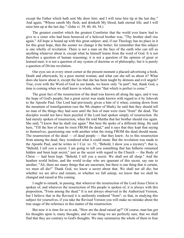except the Father which hath sent Me draw him: and I will raise hire tip at the last day." And again, "Whoso eateth My flesh, and drinketh My blood, hath eternal life; and I will raise him up at the last day." (John vi. 39, 40, 44, 54.)

The greatest comfort which the greatest Comforter that the world ever knew had to give to a sister who had been bereaved of a beloved brother was, "Thy brother shall rise again." All hope is bound up with this great subject: and, if our Theology has no place in it for this great hope, then the sooner we change it the better; for remember that this subject is one wholly of revelation. There is not a man on the face of the earth who can tell us anything whatever about it, except what he himself learns from the word of God. It is not therefore a question of human reasoning; it is not a question of the opinion of great or learned men; it is not a question of any system of doctrine or of philosophy; but it is purely a question of Divine revelation.

Our eyes see at every street corner at the present moment a placard advertising a book, Death and afterwards, by a poor mortal woman; and what can she tell us about it? What does she know about it, except the lies that she has been taught by demons and evil angels? True, even with the Word of God in our hands, we know only "in part"; but, thank God, a time is coming when we shall know in whole, when "that which is perfect is come."

The great fact of the resurrection of the dead was known all along the ages, and it was the hope of God's people; but a great secret was made known with regard to it by Jehovah to the Apostle Paul. Our Lord had previously given a hint of it when, coming down from the mountain of transfiguration (see the 9th chapter of Mark), he said that they should tell no man of the things they had seen until the Son of man were risen "from" the dead. The disciples would not have been puzzled if the Lord had spoken simply of resurrection. He had merely spoken of resurrection, when He told Martha that her brother should rise again. She said, "I know that he shall rise again." But here He spoke of a different thing. He said here, "Till the Son of man be risen FROM the dead," and it says that they kept that saying to themselves, questioning one with another what the rising FROM the dead should mean. The resurrection of the dead — of dead people — that they knew. As to this resurrection from among the dead, they wondered what it could mean. But the revelation was made to the Apostle Paul, and he writes in 1 Cor. xv. 51, "Behold, I show you a mystery"; that is, "Behold, I tell you a secret. I am going to tell you something that has hitherto remained hidden and been kept secret," just as the secret with regard to the Church — the Body of Christ — had been kept. "Behold, I tell you a secret. We shall not all sleep." And the heathen world before, and the world to-day who are ignorant of this secret, say one to another, "Ali, there are many things that are uncertain, but there is one thing that is certain, we must all die!" Thank God, we know a secret about that. We shall not all die; but whether we are alive and remain, or whether we fall asleep, we know that we shall be changed and raised at His coming.

I ought to remark, in passing, that wherever the resurrection of the Lord Jesus Christ is spoken of, and wherever the resurrection of His people is spoken of, it is always with this preposition, "From among the dead." It is not always observed in the Authorized Version, but I believe that in the Revised it is uniformly rendered "from"; so that, in studying this subject for yourselves, if you take the Revised Version you will make no mistake about the true usage of the reference in this matter of the resurrection.

But now it is time for us to ask, "How are the dead raised up?" Of course, man has got his thoughts upon it, many thoughts; and of one thing we are perfectly sure, that we shall find that they are contrary to God's thoughts. We may summarize the whole of them in four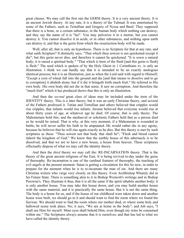great classes. We may call the first one the GERM theory. It is a very ancient theory. It is an ancient Jewish theory. At any rate, it is a theory of the Talmud. It was entertained by some of the Fathers, such as Tertullian and Gregory of Nyssa and Basil. They supposed that there is a bone, or a certain substance, in the human body which nothing can destroy, and they say the name of it is "luz". You may pulverize it in a mortar, but you cannot destroy it. You cannot dissolve it in acids, or in other substances, and nothing upon earth can destroy it; and that is the germ from which the resurrection body will be made.

Well, after all, that is only an hypothesis. There is no Scripture for that at any rate, and what saith Scripture? It distinctly says, "That which thou sowest is not quickened except it die"; but this germ never dies, and therefore it cannot be quickened. "It is sown a natural body; it is raised a spiritual body." "That which is born of the flesh [and this germ is flesh] is flesh." The seed which is spoken of by the Holy Ghost in 1 Corinthians xv. is only an illustration. I think we can hardly say that it is intended to be an exactly analogous identical process; but it is an illustration, just as when the Lord said with regard to Himself, "Except a corn of wheat fall into the ground and die [and that means to dissolve and to go to corruption] it abideth alone; but if it die it bringeth forth much fruit." He referred to His own body. His own body did not die in that sense. It saw no corruption. And therefore the "much fruit" which it has produced shows that this is only an illustration.

And then the *second* great class of ideas may be included under the term of the IDENTITY theory. This is a later theory, but it was an early Christian theory, and several of the Fathers professed it. Tatian and Tertullian and others believed that cripples would rise cripples, that infants would rise infants. Jerome believed that everyone would rise at about thirty years of age, at whatever age he died. Of course, that is only theory. The Mahometans hold this; and the mediaeval or scholastic Fathers held that as a person died so he would be raised. That is why, at this very moment, if a Mahometan is wounded in battle, he will never suffer his limb to be amputated. He would rather die in any agony, because he believes that he will rise again exactly as he dies. But this theory is met by such scriptures as these: "Thou sowest not that body that shall be"; "Flesh and blood cannot inherit the kingdom of God." We know that the earthly house of this tabernacle is to be dissolved, and that we are to have a new house, a house from heaven. These scriptures effectually dispose of what we may call the identity theory.

And then the *third* theory we may call the: RE-INCARNATION theory. That is the theory of the great ancient religions of the East. It is being revived to-day under the guise of theosophy. Re-incarnation is one of the cardinal features of theosophy, the teaching of evil angels at the present moment. Satan is getting a circulation for this lie now, in order to prepare for the moment when he is to re-incarnate the man of sin. And there are many Christian writers who verge very closely on this theory. Even Archbishop Whately did in his Future State. There is something akin to it in Bishop Westcott's writings and in Bishop Perowne's. They illustrate it thus, that it is all the same if the spirit inhabits another body; it is only another house. You may take this house down, and you may build another house with the same material, and it is practically the same house. But it is not the same thing. The body is a home for us, and if the house of our childhood were taken down and another house were built, we should go to it and should want to find the room where we found the Saviour. We should want to find the room where our mother died, or where some holy and hallowed scene took place. No; it says, "We are at home in the body"; and Job says, "I shall see Him for myself. Mine eyes shall behold Him, even though my reins be consumed within me." The Scriptures always assume that it is ourselves; and that has led to what we have called the identity theory.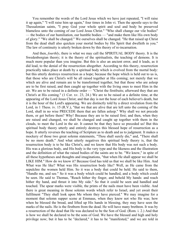You remember the words of the Lord Jesus which we have just repeated, "I will raise it up again," "I will raise him up again," four times in John vi. Then the apostle says to the Thessalonian saints, "I pray God your whole spirit and soul and body be preserved blameless unto the coming of our Lord Jesus Christ." "Who shall change our vile bodies" — the bodies of our humiliation, our humble bodies — "and make them like His own body of glory." "We shall be changed." We ourselves shall be changed. "He that raised up Christ from the dead shall also quicken your mortal bodies by His Spirit that dwelleth in you." The law of continuity is utterly broken down by this theory of re-incarnation.

And then, *fourthly*, there is what we may call the SPIRITUAL BODY theory. It is the Swedenborgian theory; it is the theory of the spiritualists, the teaching of demons. It is much more popular than you imagine. But this is also an ancient error, and it leads, as it did lead, to the denial of the resurrection altogether. According to this theory, resurrection practically takes place at death by a spiritual body which is evolved from the mortal body: but this utterly destroys resurrection as a hope; because the hope which is held out to us is, that those who are Christ's will be all raised together at His coming; not merely that we which are alive and remain are to be transformed together, but that those who are asleep are to be first raised, and then caught up together with the living ones to meet Him in the air. We are to be raised in a definite order — "Christ the firstfruits; afterward they that are Christ's at His coming." (1 Cor. xv. 23, 24.) We are to be raised at a definite time, at the appearing of the Lord Jesus Christ; and that day is not the hour of each believer's death, but it is the hour of the Lord's appearing. We are distinctly told by a direct revelation from the Lord, in 1 Thess. iv. 15 (R.V.), "that we that are alive that are left unto the coming of the Lord, shall in no wise PRECEDE them that are fallen asleep." Why shall we not precede them, or get before them? Why! Because they are to be raised first; and then, when they are raised and changed, we shall be changed and caught up together with them in the clouds, to meet the Lord in the air. It cannot be that they have so preceded us! But this spiritual body theory utterly and entirely destroys this blessed hope of resurrection as a hope. It utterly reverses the teaching of Scripture as to death and as to judgment. It makes a mockery of those two great solemn statements, "Thou shall surely die," and, "There shall be no more death." And what utterly negatives this spiritual body theory is, that the resurrection body is to be like Christ's, and we know that His body was not such a body. His was a glorious body, and His body is the very type and the likeness and the illustration and the definition of what the raised bodies of the saints are to be. "We know," in spite of all these hypotheses and thoughts and imaginations, "that when He shall appear we shall be LIKE HIM." How do we know it? Because God has told us that we shall be like Him. And What was He like? What was His resurrection body like? Well, as He came from the sepulchre the women held Him. So it was a body that could be held. He said to them, "Handle me, and see." So it was a body which could be handled, and a body which could be seen. He said to Thomas, "Reach hither thy finger, and behold My hands: and reach hither thy hand, and thrust it into My side." So that it could be seen and handled and touched. The spear marks were visible, the prints of the nails must have been visible. And there is great meaning in those solemn words which refer to Israel, and yet await their fulfilment "They shall look upon Me whom they have pierced." We may imagine for a moment that solemn supper scene at Emmaus, when they knew not who He was; how when he blessed the bread, and lifted up His hands in blessing, they may have seen the marks of the nails. He is the firstborn from the dead. He will have many brethren. It was by a resurrection of the dead that He was declared to be the Son of God. (Rom. i. 2.) And that is how we shall be declared to be the sons of God. We have the blessed and high and holy privilege now; but it has to be "declared," it has to be "manifested," and we are told in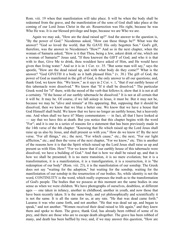Rom. viii. 19 when that manifestation will take place. It will be when the body shall be redeemed from the grave, and the manifestation of the sons of God shall take place at the coming of our Lord Jesus Christ in the air. Resurrection was His right, because he was Who He was. It is our blessed privilege and hope, because we are Who we are.

Again we may ask, "How are the dead raised up?" And the answer to the question is, "By the power of God." Nicodemus asked, "How can these things be?" What was the answer? "God so loved the world, that He GAVE His only begotten Son." God's gift, therefore, was the answer to Nicodemus's "How?" And so in the next chapter, when the woman of Samaria asked, "How is it that Thou, being a Jew, askest drink of me, which am a woman of Samaria?" Jesus said, "If thou knewest the GIFT of God, and who it is that with to thee, Give Me to drink, thou wouldest have asked of Him, and He would have given thee living water." And so it is in 1 Cor. xv. 35. "But some man will say," says the apostle, "How are the dead raised up, and with what body do they come?" What is the answer? "God GIVETH it a body as it hath pleased Him." (v. 38.) The gift of God, the power of God as manifested in the gift of God, is the only answer to all our questions; and, thank God, we know this. "We know," as it says in 2 Cor. v. 1, "that if our earthly house of this tabernacle were dissolved." We know that "If it shall be dissolved." The particular Greek word for "if" there, with the mood of the verb that follows it, show that it is not at all a certainty. "If the house of our earthly tabernacle be dissolved." It is not at all certain that it will be. It may be. Of course, if we fall asleep in Jesus, it must be. But it may not be, because we may be "alive and remain" at His appearing. But, supposing that it should be dissolved, then we know that we blue a better one. We know that we have a house that God Himself shall build. We know that we have no longer an earthly house, but a heavenly one. And when shall we have it? Many commentators — in fact, all that I have looked at — say that we have this at death. But you notice that this chapter begins with the word "For"; and it is one in a series of reasons for a statement that has been previously made in the 14th verse of the 4th chapter: "Knowing that He which raised up the Lord Jesus shall raise up us also by Jesus, and shall present us with you." How do we know it? By the next verse. "For all things," etc.; the next, "For which cause," etc.; the next, "For our light affliction," etc.; and then the verse of the next chapter, "For we know," etc. This is another of the reasons how it is that the Spirit which raised up the Lord Jesus shall raise us up and present us with Him. How? "For we know that if our earthly house of this tabernacle were dissolved, we have a building of God." And that is how we shall be raised up, and that is how we shall be presented. It is no mere transition, it is no mere evolution; but it is a transformation, it is a manifestation, it is a transfiguration, it is a resurrection, it is "the redemption of our body" (Rom. viii. 23), it is the manifestation of our sonship. The Greek does not say "waiting for the adoption," but waiting for the sonship, waiting for the manifestation of our sonship in the resurrection of our bodies. So, while identity is not the word, CONTINUITY is the word, which really expresses the truth as to the transformation of God's people. The bodies that we possess at this moment are the same bodies in one sense as when we were children. We have photographs of ourselves, doubtless, at different ages — one taken in infancy, another in childhood, another in youth, and now those that have been recently taken. It is the same body, and yet philosophically and scientifically it is not the same. It is all the same for us, at any rate. "He that was dead came forth." Lazarus it was who came forth, and not another. "He that was dead sat up, and began to speak," and not another. "Women received their dead raised to life again," and they knew them and spoke to them. The grave, thank God, has already been robbed of some of its prey, and there are those who are to escape death altogether. The grave has been robbed of many, and death has been baffled by two; and, if we may answer this question, "How are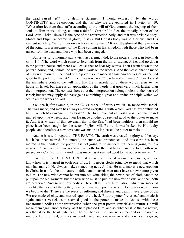the dead raised up"? in a definite statement, I would express it by the words CONTINUITY and re-creation: and that is why we are exhorted in 1 Peter iv. 19, "Wherefore let them that suffer according to the will of God commit the keeping of their souls to Him in well doing, as unto a faithful Creator." In fact, the transfiguration of the Lord Jesus Christ Himself is the type of the resurrection body, and that was a visible body. Moses and Elijah "appeared in glory," it says. But Christ's body was so glorious, and His raiment so white, "as no fuller on earth can white them." It was the glory of the revelation of the King. It is a specimen of the King coming in His kingdom with those who had been raised from the dead and those who had been changed.

But let us for a moment pay a visit, as Jeremiah did, to the potter's house, in Jeremiah xviii. 1-4. "The word which came to Jeremiah from the Lord, saying, Arise, and go down to the potter's house, and there I will cause thee to hear My words. Then I went down to the potter's house, and, behold, he wrought a work on the wheels. And the vessel that he made of clay was marred in the hand of the potter: so he made it again another vessel, as seemed good to the potter to make it." In the margin we read "he returned and made." If we look at the immediate context, we will find that the interpretation of these words refers to the house of Israel; but there is an application of the words that goes very much farther than their interpretation. The context shows that the interpretation belongs solely to the house of Israel; but we may apply the passage as exhibiting a great and divine principle which we see in all the works of God.

You see it, for example, in the COVENANT of works which He made with Israel. That was made, and man has always marred everything with which God has ever entrusted him. "Which My covenant they brake." The first covenant of works was like that vessel marred upon the wheels; and then He made another as seemed good to the potter to make it. And it is written of this covenant that if the first "had been faultless, then should no place have been sought for the second" (Heb. viii. 7); but it was broken by His faulty people, and therefore a new covenant was made as it pleased the potter to make it.

And so it is with regard to THE EARTH. The earth was created in glory and beauty, but it has been marred. Sin entered, the curse was pronounced, and this earth has been marred in the hands of the potter. It is not going to be mended, but there is going to be a new one. "I saw a new heaven and a new earth: for the first heaven and the first earth were passed away." (Rev. xxi. l.) And it was made "as it seemed good to the potter to make it."

It is true of our OLD NATURE that it has been marred in our first parents, and we know how it is marred in each one of us. It is never God's principle to mend that which man has marred. He always makes something new. And so He now makes a new creation in Christ Jesus. As the old nature is fallen and marred, man must have a new nature given to him. The new wine cannot be put into old wine skins, the new piece of cloth cannot be put upon the old garment; but the new wine must be put into new wine skins, and then both are preserved. And so with our bodies. These BODIES of humiliation, which are made of clay like the vessel of the potter, have been marred upon the wheel. As soon as we are born we begin to die. There are the seeds of suffering and disease and death in every one of us. We are made of clay, and marred upon the wheel. But the potter "returned" and made it again another vessel, as it seemed good to the potter to make it. And so with these transformed bodies at the resurrection, when the great potter Himself shall return. He will make them again another body, as it hath pleased Him: and so, whether it be the old nature, whether it be the heart, whether it he our bodies, they are never mended or repaired or improved or reformed; but they are condemned, and a new nature and a new heart is given,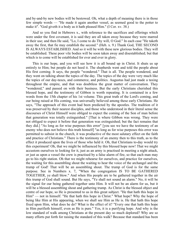and by-and-by new bodies will be bestowed. Oh, what a depth of meaning there is in those few simple words — "He made it again another vessel, as seemed good to the potter to make it". "God giveth it a body as it hath pleased Him." (I Cor. xv. 38.)

And so you find in Hebrews x., with reference to the sacrifices and offerings which were under the first covenant, it is said they are all taken away because they were marred in their use; and then He said, "Lo, I come to do Thy will, O God." In each case "He taketh away the first, that fie may establish the second." (Heb. x. 9.) Thank God, THE SECOND IS ALWAYS ESTABLISHED. And so it will be with these new glorious bodies. They will be established. These poor vile bodies will be soon taken away and disestablished; but that which is to come will be established for ever and ever in glory.

This is our hope, and you will see how it is all bound up in Christ. It shuts us up entirely to Him; but people do not heed it. The shepherds went and told the people about His first corning. It says, the people "wondered." That is all. The people wondered, and they went on talking about the topics of the day. The topics of the day were very much like the topics of our day-taxes, and commerce, and politics. Augustus had just made a taxing throughout the empire, and that was doubtless the great matter of conversation. They "wondered," and passed on with their business. But the early Christians cherished this blessed hope, and the testimony of Gibbon is worth repeating. It is contained in a few words from the 15th chapter of his 1st volume. This great truth of the Lord's coming, and our being raised at His coming, was universally believed among these early Christians. He says, "The approach of this event had been predicted by the apostles. The tradition of it was preserved by their nearest disciples, and those who understood in their literal sense the discourses of Christ Himself were obliged to expect the coming of the Son of man before that generation was totally extinguished." [That is where Gibbon was wrong. They were not obliged to expect it before that generation was extinguished; but the fact remains that they did.] "As long as for wise purposes this error" [you see we have the testimony of an enemy who does not believe this truth himself] "as long as for wise purposes this error was permitted to subsist in the church, it was productive of the most salutary effect on the faith and practice of Christians." There is the testimony of an enemy then to this truth, as to the effect it produced upon the lives of those who held it. Oh, that Christians to-day would try this experiment! Oh, that we might be influenced by this blessed hope now! That we might accustom ourselves to looking for it, just as an army is practised in meeting a night attack, or just as upon a vessel the crew is practised by a false alarm of fire, so that each man may go to his right station. Oh that we might rehearse for ourselves, and practice for ourselves, the waiting for this assembling shout the waiting to hear the voice of the archangel and the trump of God! That will be an assembling shout. The trump of God is for the same purpose. See in Numbers x. 7, "When the congregation IS TO BE GATHERED TOGETHER, ye shall blow." And when His people are to be gathered together in the air this trump of God shall sound. But He says, "Ye shall not sound an alarm." No, it will be the signal for our being gathered together unto Him. It will not be an alarm for us, but it will be a blessed assembling shout and gathering trump. As Christ is the blessed object and centre of our hope, so He is presented to us in this great subject. "He that hath this hope in Him" — not in himself. "He that hath this hope in Christ." What hope? Why the hope of being like Him at His appearing, when we shall see Him as He is. He that hath this hope fixed upon Him, what does he do? What is the effect of it? "Every one that hath this hope in Him purifieth himself, even as He is pure." Yes, it is a purifying hope. And why is the low standard of walk among Christians at the present day so much deplored? Why are so many efforts put forth for raising the standard of this walk? Because that standard has been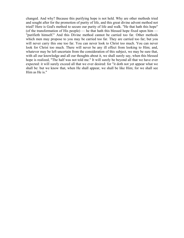changed. And why? Because this purifying hope is not held. Why are other methods tried and sought after for the promotion of purity of life, and this great divine advent method not tried? Here is God's method to secure our purity of life and walk. "He that hath this hope" (of the transformation of His people) — he that hath this blessed hope fixed upon him — "purifieth himself." And this Divine method cannot be carried too far. Other methods which men may propose to you may be carried too far. They are carried too far; but you will never carry this one too far. You can never look to Christ too much. You can never look for Christ too much. There will never be any ill effect from looking to Him; and, whatever may be left uncertain from the consideration of this subject, we may be sure that, with all our knowledge and all our thoughts about it, we shall surely say, when this blessed hope is realized, "The half was not told me." It will surely be beyond all that we have ever expected: it will surely exceed all that we ever desired: for "it doth not yet appear what we shall be: but we know that, when He shall appear, we shall be like Him; for we shall see Him as He is."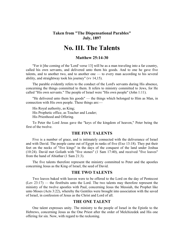## **Taken from "The Dispensational Parables" July, 1897**

## **No. III. The Talents**

#### **Matthew 25:14-30**

"For it [the coming of the 'Lord' verse 13] will be as a man traveling into a far country, called his own servants, and delivered unto them his goods. And to one he gave five talents, and to another two, and to another one — to every man according to his several ability, and straightway took his journey" (vv 14,15).

The parable evidently refers to the conduct of the Lord's servants during His absence, concerning the things committed to them. It refers to ministry committed to Jews, for He called "His own servants." The people of Israel were "His own people" (John 1:11).

"He delivered unto them his goods" — the things which belonged to Him as Man, in connection with His own people. These things are:—

His Royal authority, as King; His Prophetic office, as Teacher and Leader; His Priesthood and Offering.

To Peter the Lord Jesus gave the "keys of the kingdom of heaven," Peter being the first of the twelve.

#### **THE FIVE TALENTS**

Five is a number of grace, and is intimately connected with the deliverance of Israel and with David. The people came out of Egypt in ranks of five (Exo 13:18). They put their feet on the necks of "five kings" in the days of the conquest of the land under Joshua (10:24). David met Goliath with "five stones" (1 Sam 17:40), and received "five loaves" from the hand of Abiathar (1 Sam 21:3).

The five talents therefore represent the ministry committed to Peter and the apostles concerning Jesus as the King of Israel, the seed of David.

#### **THE TWO TALENTS**

Two loaves baked with leaven were to be offered to the Lord on the day of Pentecost (Lev 23:17) — the firstfruits unto the Lord. The two talents may therefore represent the ministry of the twelve apostles with Paul, concerning Jesus the Messiah, the Prophet like unto Moses (Acts 3:22), whereby the Gentiles were brought into association with the saved of Israel, in confession of Jesus as the Christ and Lord of all.

#### **THE ONE TALENT**

One talent expresses unity. The ministry to the people of Israel in the Epistle to the Hebrews, concerning Jesus as the One Priest after the order of Melchizedek and His one offering for sin. Now, with regard to the reckoning.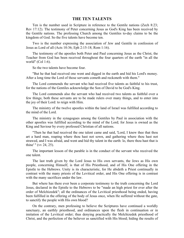#### **THE TEN TALENTS**

Ten is the number used in Scripture in reference to the Gentile nations (Zech 8:23; Rev 17:12). The testimony of Peter concerning Jesus as God's King has been received by the Gentile nations. The professing Church among the Gentiles to-day claims to be the kingdom of God. So the five talents have become ten.

Two is the number expressing the association of Jew and Gentile in confession of Jesus as Lord of all (Acts 10:36; Eph 2:15-18; Rom 1:16).

The testimony of the apostles both Peter and Paul concerning Jesus as the Christ, the Teacher from God has been received throughout the four quarters of the earth "in all the world" (Col 1:6).

So the two talents have become four.

"But he that had received one went and digged in the earth and hid his Lord's money. After a long time the Lord of those servants cometh and reckoneth with them."

The Lord commends the servant who had received five talents as faithful to his trust, for the nations of the Gentiles acknowledge the Son of David to be God's King.

The Lord commends also the servant who had received two talents as faithful over a few things; both these servants are to be made rulers over many things, and to enter into the joy of their Lord: to reign with Him.

The ministry of the twelve apostles within the land of Israel was fulfilled according to the mind of the Lord.

The ministry in the synagogues among the Gentiles by Paul in association with the other apostles was fulfilled according to the mind of the Lord; for Jesus is owned as the King and Saviour by every professed Christian of all nations.

"Then he that had received the one talent came and said, 'Lord, I knew thee that thou art a hard man, reaping where thou hast not sown, and gathering where thou hast not strawed, and I was afraid, and went and hid thy talent in the earth: lo, there thou hast that is thine' " (vv 24, 25).

The important lesson of the parable is in the conduct of the servant who received the one talent.

The last truth given by the Lord Jesus to His own servants, the Jews as His own people, concerning Himself, is that of His Priesthood, and of His One offering in the Epistle to the Hebrews. Unity is its characteristic, for He abideth a Priest continually in contrast with the many priests of the Levitical order, and His One offering is in contrast with the many sacrifices under the law.

But where has there ever been a corporate testimony to the truth concerning the Lord Jesus, declared in the Epistle to the Hebrews to be "made an high priest for ever after the order of Melchizedek"; all the ordinances of the Levitical priesthood being ended, having been fulfilled in the offering of the body of Jesus once, when He suffered without the gate, to sanctify the people with His own blood?

On the contrary, men professing to believe the Scriptures have continued a worldly sanctuary, an earthly priesthood, and ordinances upon the flesh in continuation or in imitation of the Levitical order; thus denying practically the Melchizedek priesthood of Christ, and the perfection of the believer as sanctified with His blood; hiding the results of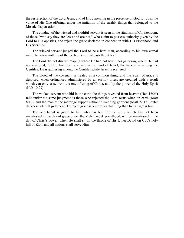the resurrection of the Lord Jesus, and of His appearing in the presence of God for us in the value of His One offering, under the imitation of the earthly things that belonged to the Mosaic dispensation.

The conduct of the wicked and slothful servant is seen in the ritualism of Christendom, of those "who say they are Jews and are not," who claim to possess authority given by the Lord to His apostles, and reject the grace declared in connection with His Priesthood and His Sacrifice.

The wicked servant judged the Lord to be a hard man, according to his own carnal mind; he knew nothing of the perfect love that casteth out fear.

The Lord did not disown reaping where He had not sown, nor gathering where He had not scattered; for He had been a sower in the land of Israel, the harvest is among the Gentiles; He is gathering among the Gentiles while Israel is scattered.

The blood of the covenant is treated as a common thing, and the Spirit of grace is despised, when ordinances administered by an earthly priest are credited with a result which can only arise from the one offering of Christ, and by the power of the Holy Spirit (Heb 10:29).

The wicked servant who hid in the earth the things revealed from heaven (Heb 12:25) falls under the same judgment as those who rejected the Lord Jesus when on earth (Matt 8:12), and the man at the marriage supper without a wedding garment (Matt 22:13), outer darkness, eternal judgment. To reject grace is a more fearful thing than to transgress law.

The one talent is given to him who has ten, for the unity which has not been manifested in the day of grace under the Melchizedek priesthood, will be manifested in the day of Christ's power, when He shall sit on the throne of His father David on God's holy hill of Zion, and all nations shall serve Him.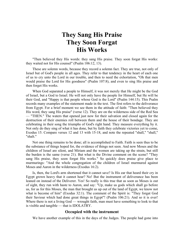# **They Sang His Praise They Soon Forgat His Works**

"Then believed they His words: they sang His praise. They soon forgat His works: they waited not for His counsel" (Psalm 106:12, 13).

These are solemn words, because they record a solemn fact. They are true, not only of Israel but of God's people in all ages. They refer to that tendency in the heart of each one of us to cry unto the Lord in our trouble, and then to need the exhortation, "Oh that men would praise the Lord for His goodness" (Psalm 107:8), and even to sing His praise and then forget His works.

When God separated a people to Himself, it was not merely that He might be the God of Israel, but a God to Israel. He will not only have the people for Himself, but He will be their God, and "Happy is that people whose God is the Lord" (Psalm 144:15). This Psalm records many examples of the statement made in the text. The first refers to the deliverance from Egypt. For a brief moment we see them in the attitude of faith: "Then believed they His word, they sang His praise" (verse 12). They are on the wilderness side of the Red Sea — "THEN." The waters that opened just now for their salvation and closed again for the destruction of their enemies roll between them and the house of their bondage. They are celebrating in their song the triumphs of God's right hand. They measure everything by it. Not only do they sing of what it has done, but by faith they celebrate victories yet to come, Exodus 15. Compare verses 12 and 13 with 15-18, and note the repeated "shall," "shall," "shalt."

Not one thing remains to be done; all is accomplished to Faith. Faith is seen thus to be the substance of things hoped for, the evidence of things not seen. And now Moses and the children of Israel are silent, and Miriam and the women are taking up the strain, but still the burden is the same (verse 21). But what is the Divine comment on the scene? "They sang His praise, they soon forgat His works." So quickly does praise give place to murmurings: "And the whole congregation of the children of Israel murmured against Moses and Aaron in the wilderness (Exodus 16:2).

Is, then, the Lord's arm shortened that it cannot save? Is His ear that heard their cry in Egypt grown heavy that it cannot hear? No! But the instrument of deliverance has been leaned on instead of the Deliverer. Yes! So really is this true that as soon as Moses is out of sight, they run with haste to Aaron, and say: "Up, make us gods which shall go before us, for as for this Moses, the man that brought us up out of the land of Egypt, we know not what is become of him" (Exodus 32:1). The comment of the Spirit is: "They forgat God their Saviour which had done great things in Egypt"! (Psalm 106:21). And so it is ever! Where there is not a living God — wrought faith, man must have something to look to that is visible and tangible — that is IDOLATRY.

#### **Occupied with the instrument**

We have another example of this in the days of the Judges. The people had gone into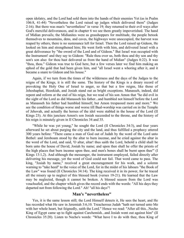open idolatry, and the Lord had sold them into the hands of their enemies Yet (as in Psalm 106:8, 41-44) "Nevertheless the Lord raised up judges which delivered them" (Judges 2:16). But there was man's "nevertheless" in verse 19; they returned to their evil ways after God's merciful deliverances, and in chapter 6 we see them greatly impoverished. The hand of Midian prevails; the Midianites were as grasshoppers for multitude, the people betook themselves to mountains, dens, and caves, the highways were unoccupied, the harvest was reaped by others, there is no sustenance left for Israel. Then the Lord raised up Gideon, He looked on him and strengthened him; He went forth with him, and delivered Israel with a great deliverance by "the sword of the Lord and of Gideon." But Israel was occupied with the Instrument! and they say to Gideon: "Rule thou over us, both thou and thy son and thy son's son also: for thou hast delivered us from the hand of Midian" (Judges 8:22). It was "thou, thou." Gideon was true to God here, but a few verses later we find him making an ephod of the gold that had been given him, and "all Israel went a whoring after it, and it became a snare to Gideon and his house."

Again, if we turn from the times of the wilderness and the days of the Judges to the reigns of the Kings, it is still the same. The history of the Kings is a dreary record of provoking the Holy One of Israel to anger, so that but a few reigns, like those of Jehoshaphat, Hezekiah, and Josiah stand out as bright exceptions. Manasseh, indeed, did repent and reform at the end of his reign, but we read of his son Amon that "he did evil in the sight of the Lord as did Manasseh his father...and humbled not himself before the Lord as Manasseh his father had humbled himself, but Amon trespassed more and more." We see the condition of things worse and worse till Baal-worship was carried on in the Temple of Jehovah, and actually the horses of the idol were stabled in the house of the Lord (II Kings 23). At this juncture Amon's son Josiah succeeded to the throne, and the history of his reign is minutely given in II Chronicles 34 and 35.

"While he was yet young," he sought the Lord (II Chronicles 34:3), and four years afterward he set about purging the city and the land, and thus fulfilled a prophecy uttered 300 years before: "There came a man of God out of Judah by the word of the Lord unto Bethel: and Jeroboam stood by the altar to burn incense, and he cried against the altar in the word of the Lord, and said, 'O altar, altar! thus saith the Lord, behold a child shall be born unto the house of David, Josiah by name; and upon thee shall he offer the priests of the high places that burn incense upon thee, and men's bones shall be burnt upon thee'" (I Kings 13:1,2). And although the messenger, the instrument employed, failed directly after delivering his message, yet the word of God could not fail. That word came to pass. The king, "Josiah by name," received a great encouragement for his work, and a solemn warning to "take heed" to the voice of the Lord, for in the midst of his labours "the Book of the Law" was found (II Chronicles 34:14). The king received it in its power, for he traced all the misery up to neglect of this blessed book (verses 19-21). He learned that the Law may be neglected, though it cannot be broken. A blessed season from the Lord was vouchsafed, and the chapter which gives the record ends with the words: "All his days they departed not from following the Lord." Ah! "all his days"!

#### **Man's "nevertheless"**

Yes, it is the same lesson still; the Lord Himself detects it, He sees the heart, and He has recorded what He saw in Jeremiah 3:6,10. Treacherous Judah "hath not turned unto Me with her whole heart, but feignedly, saith the Lord." Hence we read: "After all this...Necho King of Egypt came up to fight against Carchemish...and Josiah went out against him" (II Chronicles 35:20). Listen to Necho's words: "What have I to do with thee, thou King of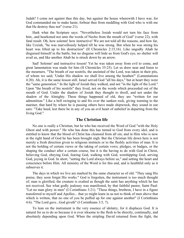Judah? I come not against thee this day, but against the house wherewith I have war, for God commanded me to make haste; forbear thee from meddling with God who is with me that He destroy thee not" (verse 21).

Hark what the Scripture says: "Nevertheless Josiah would not turn his face from him...and hearkened not unto the words of Necho from the mouth of God" (verse 22), with fatal result. Oh, how solemn! how instructive! We are not told all the reasons, and how far, like Uzziah, "he was marvellously helped till he was strong. But when he was strong his heart was lifted up to his destruction" (II Chronicles 2:15,16). Like ungodly Ahab he disguised himself in the battle, but no disguise will hide us from God's eye, no shelter will avail us, and like another Ahab he is struck down by an arrow.

Sad! Solemn! and instructive lesson! Yet he was taken away from evil to come, and great lamentation was made for him (II Chronicles 35:25). Let us draw near and listen to the mourners. "The breath of our nostrils, the anointed of the Lord, was taken in their pits, of whom we said, 'Under His shadow we shall live among the heathen'" (Lamentations 4:20). Ah, it is the same lesson still. Israel served God "all his days," but at heart they were the "same generation." In the light of Josiah they walked, and not "in the light of the Lord." Upon "the breath of his nostrils" they lived, not on the words which proceeded out of the mouth of God. Under the shadow of Josiah they thought to dwell, and not under the shadow of the Almighty. These things happened of old, they are "written for our admonition." Like a bell swinging to and fro over the sunken rock, giving warning to the mariner, that hard by where he is passing others have made shipwreck, they sound in our ears: "Take heed, lest there be in any of you an evil heart of unbelief in departing from the living God."

#### **The Christian life**

No one is really a Christian, but he who has received the Word of God "with the Holy Ghost and with power." He who has done this has turned to God from every idol, and is entitled to know that the blood of Christ has cleansed from all sin; and in Him who is now at the right hand of God he has been brought nigh. But the Christian life down here is not merely a fresh direction given to religious instincts or to the fleshly activities of man. It is not the holding of certain views or the taking of certain vows; pledges, or badges, or the shaping the conduct after a certain course, but it is the having to do with God in Christ, believing God, obeying God, fearing God, walking with God, worshipping God, serving God, joying in God. In short, "setting the Lord always before us," and setting the heart and conscience before Him. All ministry of the Word is for this end, and is healthful only as it subserves it.

The days in which we live are marked by the same character as of old: "They sang His praise, they soon forgat His works." God is forgotten, the instrument is too much thought of; man is glorified, the creature is exalted as though the saint has anything which he has not received. See what godly jealousy was manifested, by that faithful pastor, Saint Paul: "Let no man glory in men" (I Corinthians 3:21). "These things, brethren, I have in a figure transferred to myself and Apollos... that ye might learn in us not to think of men above that which is written, that no one of you be puffed up for one against another" (I Corinthians 4:6). "The Lord gave...God giveth" (I Corinthians 3:5, 7).

To lean on the instrument is the very essence of idolatry, for it displaces God. It is natural for us to do so because it is ever irksome to the flesh to be directly, continually, and absolutely depending upon God. When the stripling David returned from the fight, the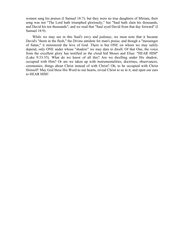women sang his praises (I Samuel 18:7); but they were no true daughters of Miriam, their song was not "The Lord hath triumphed gloriously," but "Saul hath slain his thousands, and David his ten thousands"; and we read that "Saul eyed David from that day forward" (I Samuel 18:9).

While we may see in this Saul's envy and jealousy, we must note that it became David's "thorn in the flesh," the Divine antidote for man's praise, and though a "messenger of Satan," it ministered the love of God. There is but ONE on whom we may safely depend, only ONE under whose "shadow" we may dare to dwell. Of that One, the voice from the excellent glory has testified as the cloud hid Moses and Elias: "HEAR HIM" (Luke 9:33-35). What do we know of all this? Are we dwelling under His shadow, occupied with Him? Or are we taken up with instrumentalities, doctrines, observances, ceremonies, things about Christ instead of with Christ? Oh, to be occupied with Christ Himself! May God bless His Word to our hearts, reveal Christ to us in it, and open our ears to HEAR HIM!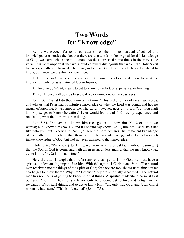# **Two Words for "Knowledge"**

Before we proceed further to consider some other of the practical effects of this knowledge, let us notice the fact that there are two words in the original for this knowledge of God, two verbs which mean to know. As these are used some times in the very same verse, it is very important that we should carefully distinguish that which the Holy Spirit has so especially emphasised. There are, indeed, six Greek words which are translated to know, but these two are the most common.

1. The one, *oida*, means to know without learning or effort; and refers to what we know intuitively, or as a matter of fact or history.

2. The other, *ginōskō*, means to get to know; by effort, or experience, or learning.

This difference will be clearly seen, if we examine one or two passages:

John 13:7. "What I do thou knowest not now." This is the former of these two words, and tells us that Peter had no intuitive knowledge of what the Lord was doing; and had no means of knowing. It was impossible. The Lord, however, goes on to say, "but thou shalt know (i.e., get to know) hereafter." Peter would learn, and find out, by experience and revelation, what the Lord was then doing.

John 8:55. "Ye have not known him (i.e., gotten to know him. No. 2 of these two words); but I know him (No. 1 ); and if I should say know (No. 1) him not, I shall be a liar like unto you; but I know him (No. 1)." Here the Lord declares His immanent knowledge of the Father; and declares that those whom He was addressing, not only had no such innate knowledge of God, but had not even attained to that knowledge.

I John 5:20. "We know (No. 1, i.e., we know as a historical fact, without learning it) that the Son of God is come, and hath given us an understanding, that we may know (i.e., get to know, No. 2) him that is true."

Here the truth is taught that, before any one can get to know God, he must have a spiritual understanding imparted to him. With this agrees 1 Corinthians 2:14. "The natural man receiveth not the things of the Spirit of God; for they are foolishness unto him; neither can he get to know them." Why not? Because "they are spiritually discerned." The natural man has no means of getting to know spiritual things. A spiritual understanding must first be "given" to him. Then he is able not only to discern, but to love and delight in the revelation of spiritual things, and to get to know Him, "the only true God, and Jesus Christ whom he hath sent." "This is life eternal" (John 17:3).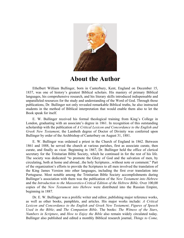

**About the Author** 

Ethelbert William Bullinger, born in Canterbury, Kent, England on December 15, 1837, was one of history's greatest Biblical scholars. His mastery of primary Biblical languages, his comprehensive research, and his literary skills introduced indispensable and unparalleled resources for the study and understanding of the Word of God. Through those publications, Dr. Bullinger not only revealed remarkable Biblical truths, he also instructed students in the method of Biblical interpretation that would enable them also to let the Book speak for itself.

E. W. Bullinger received his formal theological training from King's College in London, graduating with an associate's degree in 1861. In recognition of this outstanding scholarship with the publication of *A Critical Lexicon and Concordance to the English and Greek New Testament*, the Lambeth degree of Doctor of Divinity was conferred upon Bullinger by order of the Archbishop of Canterbury on August 31, 1881.

E. W. Bullinger was ordained a priest in the Church of England in 1862. Between 1861 and 1888, he served the church at various parishes, first as associate curate, then curate, and finally as vicar. Beginning in 1867, Dr. Bullinger held the office of clerical secretary for the Trinitarian Bible Society, which he continued in for the rest of his life. The society was dedicated "to promote the Glory of God and the salvation of men, by circulating, both at home and abroad...the holy Scriptures...without note or comment." Part of the organization's efforts to provide the Scriptures to all men involved the translation of the King James Version into other languages, including the first ever translation into Portuguese. Most notable among the Trinitarian Bible Society accomplishments during Bullinger's association with them was the publication of the *New Testament into Hebrew* and the *Introduction to the Massoretico-Critical Edition of the Hebrew Bible*. Over 100,00 copies of the *New Testament into Hebrew* were distributed into the Russian Empire, beginning in 1887.

Dr. E. W. Bullinger was a prolific writer and editor, publishing major reference works, as well as other books, pamphlets, and articles. His major works include: *A Critical Lexicon and Concordance to the English and Greek New Testament*; *Figures of Speech Used in the Bible*; and *The Companion Bible*. The books: *The Witness of the Stars*, *Numbers in Scripture*, and *How to Enjoy the Bible* also remain widely circulated today. Bullinger also published and edited a monthly Biblical research journal, *Things to Come,*